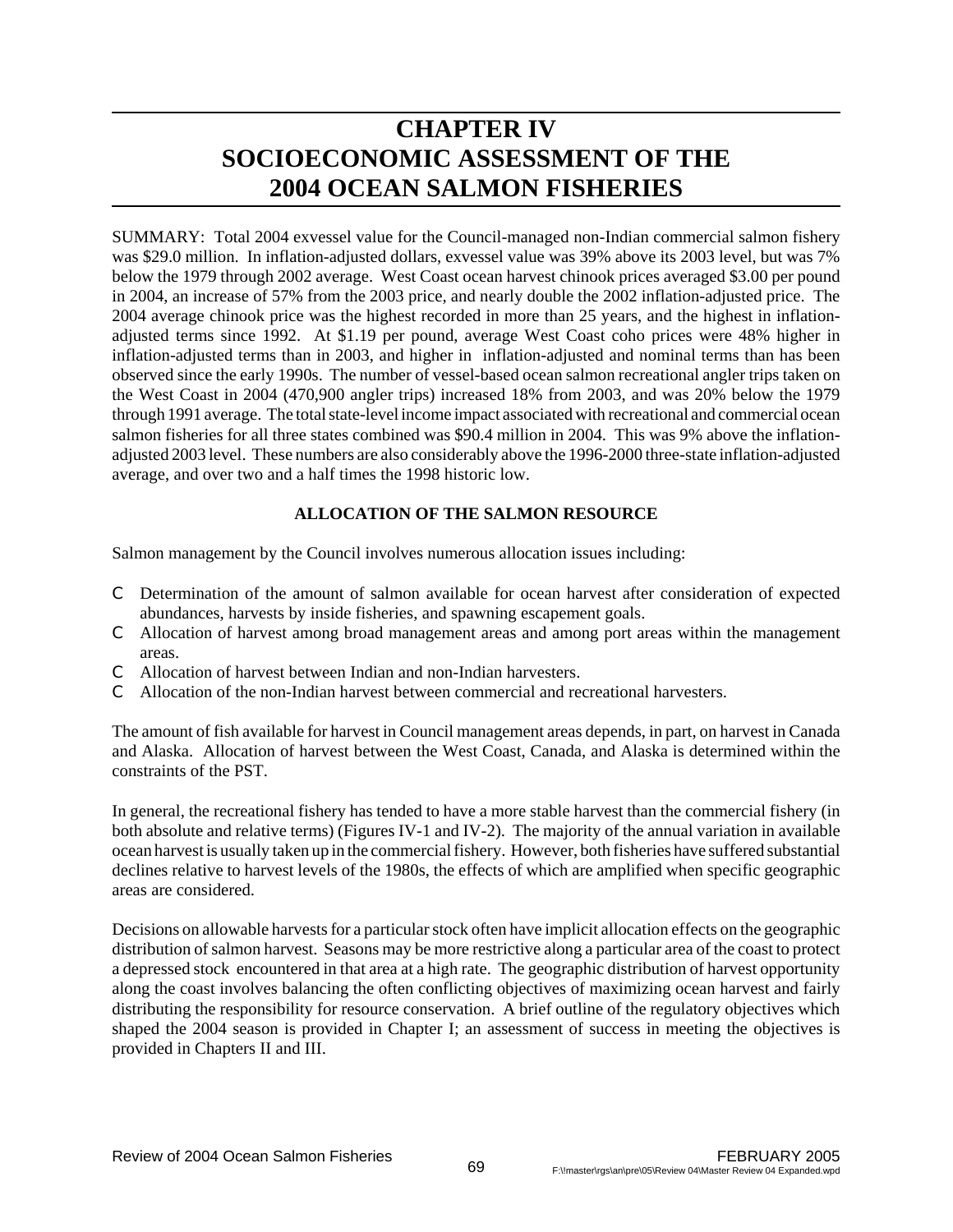# **CHAPTER IV SOCIOECONOMIC ASSESSMENT OF THE 2004 OCEAN SALMON FISHERIES**

SUMMARY: Total 2004 exvessel value for the Council-managed non-Indian commercial salmon fishery was \$29.0 million. In inflation-adjusted dollars, exvessel value was 39% above its 2003 level, but was 7% below the 1979 through 2002 average. West Coast ocean harvest chinook prices averaged \$3.00 per pound in 2004, an increase of 57% from the 2003 price, and nearly double the 2002 inflation-adjusted price. The 2004 average chinook price was the highest recorded in more than 25 years, and the highest in inflationadjusted terms since 1992. At \$1.19 per pound, average West Coast coho prices were 48% higher in inflation-adjusted terms than in 2003, and higher in inflation-adjusted and nominal terms than has been observed since the early 1990s. The number of vessel-based ocean salmon recreational angler trips taken on the West Coast in 2004 (470,900 angler trips) increased 18% from 2003, and was 20% below the 1979 through 1991 average. The total state-level income impact associated with recreational and commercial ocean salmon fisheries for all three states combined was \$90.4 million in 2004. This was 9% above the inflationadjusted 2003 level. These numbers are also considerably above the 1996-2000 three-state inflation-adjusted average, and over two and a half times the 1998 historic low.

# **ALLOCATION OF THE SALMON RESOURCE**

Salmon management by the Council involves numerous allocation issues including:

- C Determination of the amount of salmon available for ocean harvest after consideration of expected abundances, harvests by inside fisheries, and spawning escapement goals.
- C Allocation of harvest among broad management areas and among port areas within the management areas.
- C Allocation of harvest between Indian and non-Indian harvesters.
- C Allocation of the non-Indian harvest between commercial and recreational harvesters.

The amount of fish available for harvest in Council management areas depends, in part, on harvest in Canada and Alaska. Allocation of harvest between the West Coast, Canada, and Alaska is determined within the constraints of the PST.

In general, the recreational fishery has tended to have a more stable harvest than the commercial fishery (in both absolute and relative terms) (Figures IV-1 and IV-2). The majority of the annual variation in available ocean harvest is usually taken up in the commercial fishery. However, both fisheries have suffered substantial declines relative to harvest levels of the 1980s, the effects of which are amplified when specific geographic areas are considered.

Decisions on allowable harvests for a particular stock often have implicit allocation effects on the geographic distribution of salmon harvest. Seasons may be more restrictive along a particular area of the coast to protect a depressed stock encountered in that area at a high rate. The geographic distribution of harvest opportunity along the coast involves balancing the often conflicting objectives of maximizing ocean harvest and fairly distributing the responsibility for resource conservation. A brief outline of the regulatory objectives which shaped the 2004 season is provided in Chapter I; an assessment of success in meeting the objectives is provided in Chapters II and III.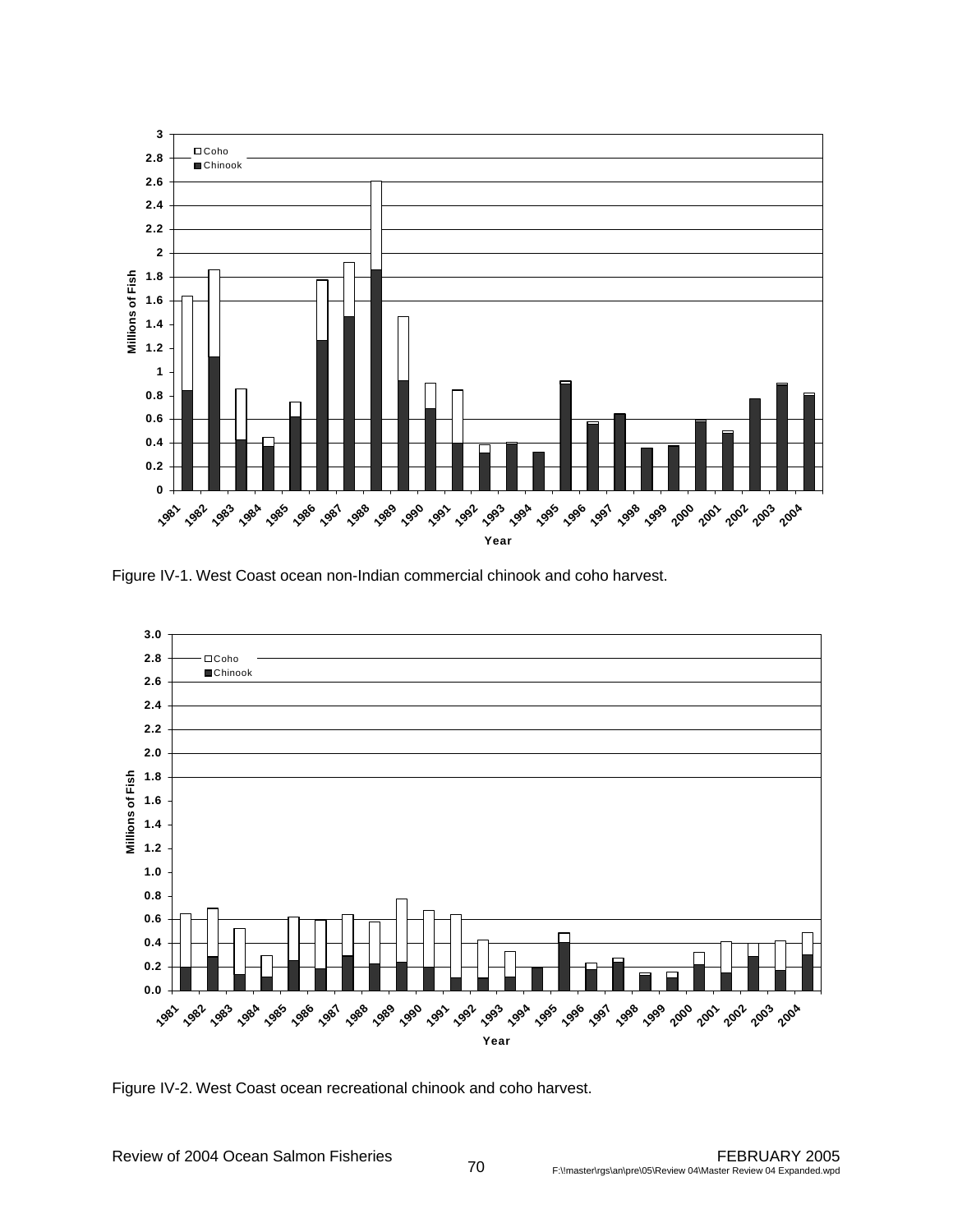

Figure IV-1. West Coast ocean non-Indian commercial chinook and coho harvest.



Figure IV-2. West Coast ocean recreational chinook and coho harvest.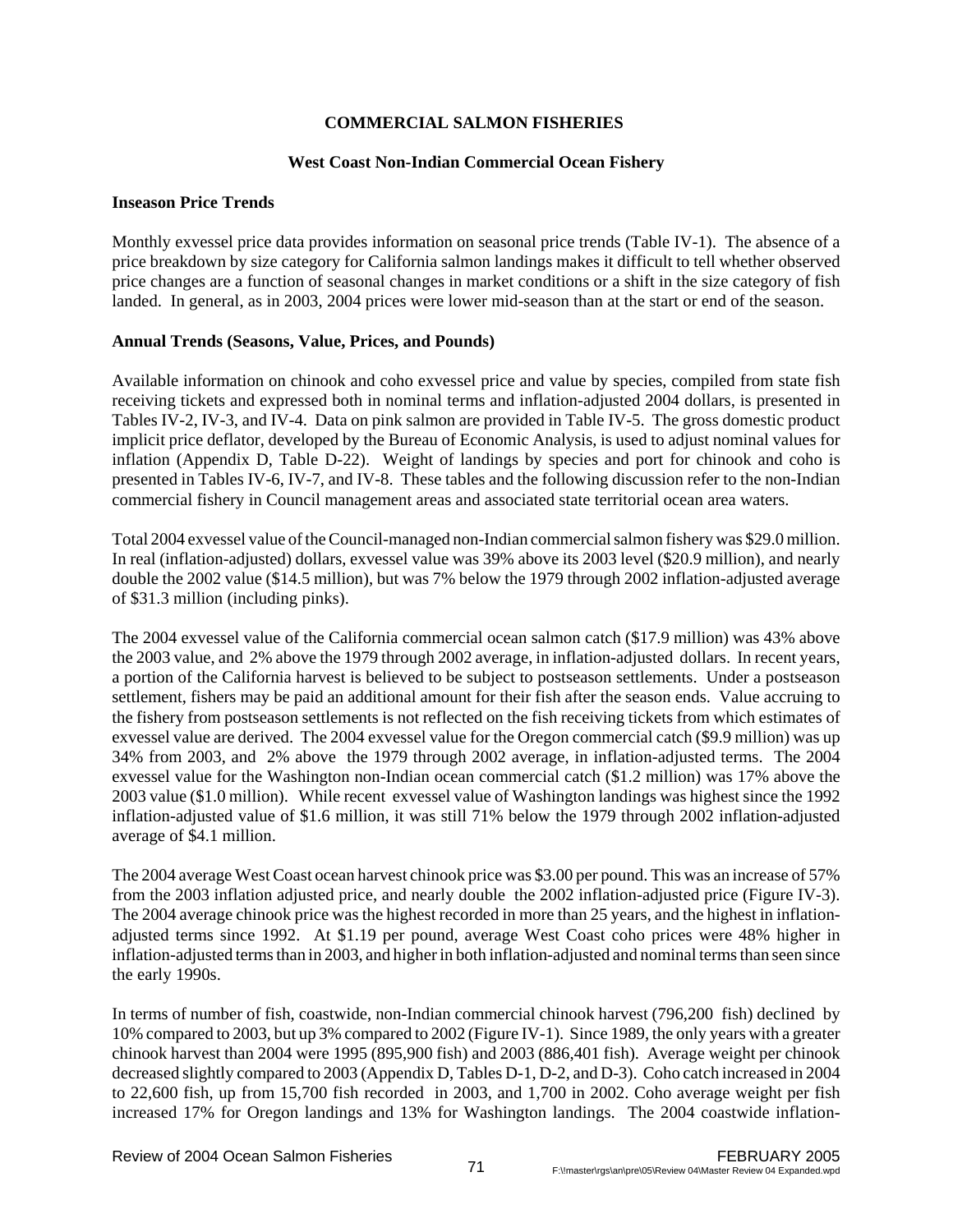# **COMMERCIAL SALMON FISHERIES**

# **West Coast Non-Indian Commercial Ocean Fishery**

# **Inseason Price Trends**

Monthly exvessel price data provides information on seasonal price trends (Table IV-1). The absence of a price breakdown by size category for California salmon landings makes it difficult to tell whether observed price changes are a function of seasonal changes in market conditions or a shift in the size category of fish landed. In general, as in 2003, 2004 prices were lower mid-season than at the start or end of the season.

# **Annual Trends (Seasons, Value, Prices, and Pounds)**

Available information on chinook and coho exvessel price and value by species, compiled from state fish receiving tickets and expressed both in nominal terms and inflation-adjusted 2004 dollars, is presented in Tables IV-2, IV-3, and IV-4. Data on pink salmon are provided in Table IV-5. The gross domestic product implicit price deflator, developed by the Bureau of Economic Analysis, is used to adjust nominal values for inflation (Appendix D, Table D-22). Weight of landings by species and port for chinook and coho is presented in Tables IV-6, IV-7, and IV-8. These tables and the following discussion refer to the non-Indian commercial fishery in Council management areas and associated state territorial ocean area waters.

Total 2004 exvessel value of the Council-managed non-Indian commercial salmon fishery was \$29.0 million. In real (inflation-adjusted) dollars, exvessel value was 39% above its 2003 level (\$20.9 million), and nearly double the 2002 value (\$14.5 million), but was 7% below the 1979 through 2002 inflation-adjusted average of \$31.3 million (including pinks).

The 2004 exvessel value of the California commercial ocean salmon catch (\$17.9 million) was 43% above the 2003 value, and 2% above the 1979 through 2002 average, in inflation-adjusted dollars. In recent years, a portion of the California harvest is believed to be subject to postseason settlements. Under a postseason settlement, fishers may be paid an additional amount for their fish after the season ends. Value accruing to the fishery from postseason settlements is not reflected on the fish receiving tickets from which estimates of exvessel value are derived. The 2004 exvessel value for the Oregon commercial catch (\$9.9 million) was up 34% from 2003, and 2% above the 1979 through 2002 average, in inflation-adjusted terms. The 2004 exvessel value for the Washington non-Indian ocean commercial catch (\$1.2 million) was 17% above the 2003 value (\$1.0 million). While recent exvessel value of Washington landings was highest since the 1992 inflation-adjusted value of \$1.6 million, it was still 71% below the 1979 through 2002 inflation-adjusted average of \$4.1 million.

The 2004 average West Coast ocean harvest chinook price was \$3.00 per pound. This was an increase of 57% from the 2003 inflation adjusted price, and nearly double the 2002 inflation-adjusted price (Figure IV-3). The 2004 average chinook price was the highest recorded in more than 25 years, and the highest in inflationadjusted terms since 1992. At \$1.19 per pound, average West Coast coho prices were 48% higher in inflation-adjusted terms than in 2003, and higher in both inflation-adjusted and nominal terms than seen since the early 1990s.

In terms of number of fish, coastwide, non-Indian commercial chinook harvest (796,200 fish) declined by 10% compared to 2003, but up 3% compared to 2002 (Figure IV-1). Since 1989, the only years with a greater chinook harvest than 2004 were 1995 (895,900 fish) and 2003 (886,401 fish). Average weight per chinook decreased slightly compared to 2003 (Appendix D, Tables D-1, D-2, and D-3). Coho catch increased in 2004 to 22,600 fish, up from 15,700 fish recorded in 2003, and 1,700 in 2002. Coho average weight per fish increased 17% for Oregon landings and 13% for Washington landings. The 2004 coastwide inflation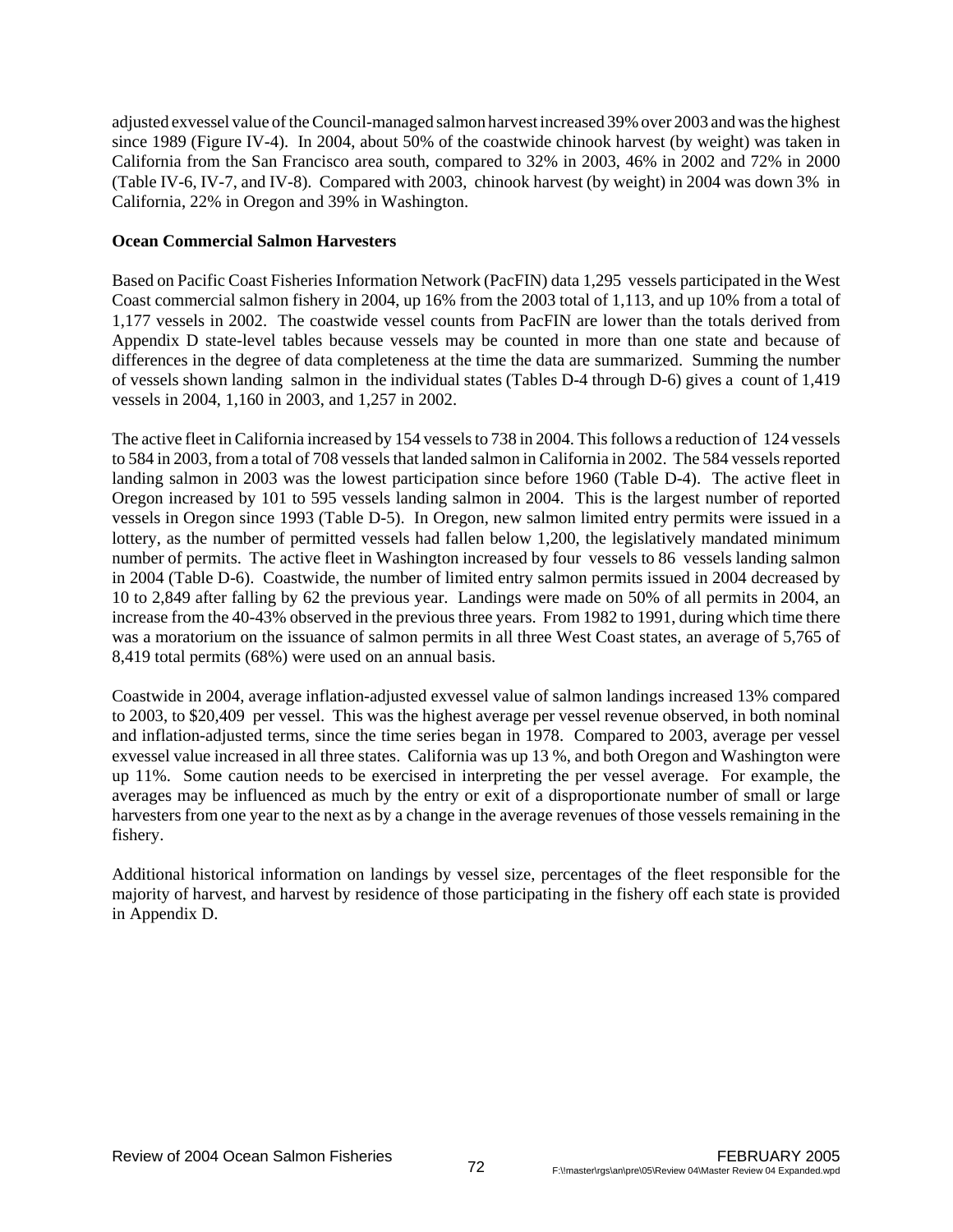adjusted exvessel value of the Council-managed salmon harvest increased 39% over 2003 and was the highest since 1989 (Figure IV-4). In 2004, about 50% of the coastwide chinook harvest (by weight) was taken in California from the San Francisco area south, compared to 32% in 2003, 46% in 2002 and 72% in 2000 (Table IV-6, IV-7, and IV-8). Compared with 2003, chinook harvest (by weight) in 2004 was down 3% in California, 22% in Oregon and 39% in Washington.

### **Ocean Commercial Salmon Harvesters**

Based on Pacific Coast Fisheries Information Network (PacFIN) data 1,295 vessels participated in the West Coast commercial salmon fishery in 2004, up 16% from the 2003 total of 1,113, and up 10% from a total of 1,177 vessels in 2002. The coastwide vessel counts from PacFIN are lower than the totals derived from Appendix D state-level tables because vessels may be counted in more than one state and because of differences in the degree of data completeness at the time the data are summarized. Summing the number of vessels shown landing salmon in the individual states (Tables D-4 through D-6) gives a count of 1,419 vessels in 2004, 1,160 in 2003, and 1,257 in 2002.

The active fleet in California increased by 154 vessels to 738 in 2004. This follows a reduction of 124 vessels to 584 in 2003, from a total of 708 vessels that landed salmon in California in 2002. The 584 vessels reported landing salmon in 2003 was the lowest participation since before 1960 (Table D-4). The active fleet in Oregon increased by 101 to 595 vessels landing salmon in 2004. This is the largest number of reported vessels in Oregon since 1993 (Table D-5). In Oregon, new salmon limited entry permits were issued in a lottery, as the number of permitted vessels had fallen below 1,200, the legislatively mandated minimum number of permits. The active fleet in Washington increased by four vessels to 86 vessels landing salmon in 2004 (Table D-6). Coastwide, the number of limited entry salmon permits issued in 2004 decreased by 10 to 2,849 after falling by 62 the previous year. Landings were made on 50% of all permits in 2004, an increase from the 40-43% observed in the previous three years. From 1982 to 1991, during which time there was a moratorium on the issuance of salmon permits in all three West Coast states, an average of 5,765 of 8,419 total permits (68%) were used on an annual basis.

Coastwide in 2004, average inflation-adjusted exvessel value of salmon landings increased 13% compared to 2003, to \$20,409 per vessel. This was the highest average per vessel revenue observed, in both nominal and inflation-adjusted terms, since the time series began in 1978. Compared to 2003, average per vessel exvessel value increased in all three states. California was up 13 %, and both Oregon and Washington were up 11%. Some caution needs to be exercised in interpreting the per vessel average. For example, the averages may be influenced as much by the entry or exit of a disproportionate number of small or large harvesters from one year to the next as by a change in the average revenues of those vessels remaining in the fishery.

Additional historical information on landings by vessel size, percentages of the fleet responsible for the majority of harvest, and harvest by residence of those participating in the fishery off each state is provided in Appendix D.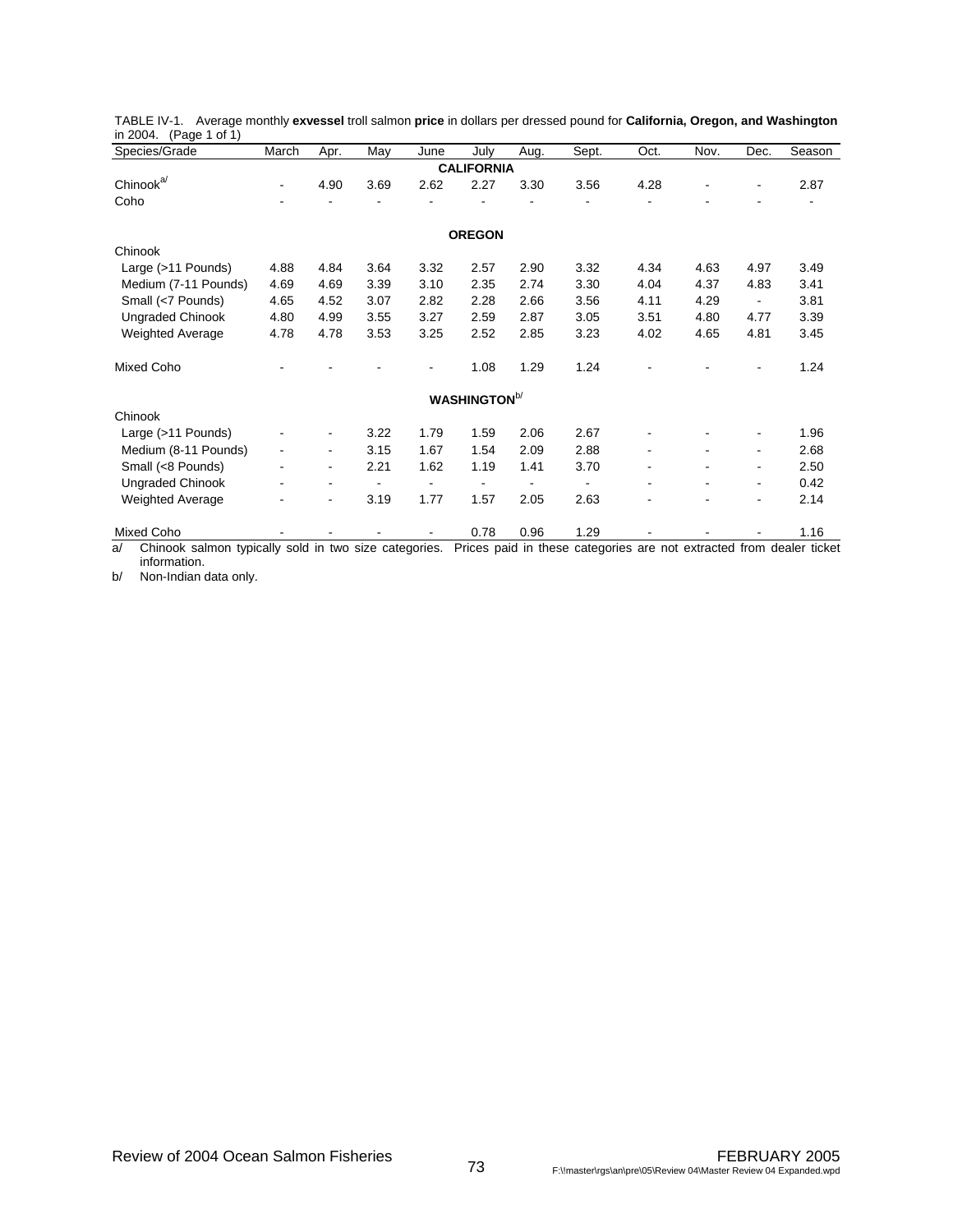| Species/Grade                                               | March                    | Apr.                         | May  | June | July                 | Aug. | Sept. | Oct. | Nov. | Dec.                     | Season                                                               |
|-------------------------------------------------------------|--------------------------|------------------------------|------|------|----------------------|------|-------|------|------|--------------------------|----------------------------------------------------------------------|
|                                                             |                          |                              |      |      | <b>CALIFORNIA</b>    |      |       |      |      |                          |                                                                      |
| Chinook <sup>a/</sup>                                       | $\overline{\phantom{a}}$ | 4.90                         | 3.69 | 2.62 | 2.27                 | 3.30 | 3.56  | 4.28 |      | $\overline{\phantom{a}}$ | 2.87                                                                 |
| Coho                                                        |                          |                              |      |      |                      |      |       |      |      |                          |                                                                      |
|                                                             |                          |                              |      |      | <b>OREGON</b>        |      |       |      |      |                          |                                                                      |
| Chinook                                                     |                          |                              |      |      |                      |      |       |      |      |                          |                                                                      |
| Large (>11 Pounds)                                          | 4.88                     | 4.84                         | 3.64 | 3.32 | 2.57                 | 2.90 | 3.32  | 4.34 | 4.63 | 4.97                     | 3.49                                                                 |
| Medium (7-11 Pounds)                                        | 4.69                     | 4.69                         | 3.39 | 3.10 | 2.35                 | 2.74 | 3.30  | 4.04 | 4.37 | 4.83                     | 3.41                                                                 |
| Small (<7 Pounds)                                           | 4.65                     | 4.52                         | 3.07 | 2.82 | 2.28                 | 2.66 | 3.56  | 4.11 | 4.29 | $\overline{\phantom{a}}$ | 3.81                                                                 |
| <b>Ungraded Chinook</b>                                     | 4.80                     | 4.99                         | 3.55 | 3.27 | 2.59                 | 2.87 | 3.05  | 3.51 | 4.80 | 4.77                     | 3.39                                                                 |
| <b>Weighted Average</b>                                     | 4.78                     | 4.78                         | 3.53 | 3.25 | 2.52                 | 2.85 | 3.23  | 4.02 | 4.65 | 4.81                     | 3.45                                                                 |
| <b>Mixed Coho</b>                                           |                          |                              |      |      | 1.08                 | 1.29 | 1.24  |      |      |                          | 1.24                                                                 |
|                                                             |                          |                              |      |      | <b>WASHINGTON</b> b/ |      |       |      |      |                          |                                                                      |
| Chinook                                                     |                          |                              |      |      |                      |      |       |      |      |                          |                                                                      |
| Large (>11 Pounds)                                          |                          | $\qquad \qquad \blacksquare$ | 3.22 | 1.79 | 1.59                 | 2.06 | 2.67  |      |      |                          | 1.96                                                                 |
| Medium (8-11 Pounds)                                        | $\overline{\phantom{a}}$ | ۰                            | 3.15 | 1.67 | 1.54                 | 2.09 | 2.88  |      |      | $\overline{\phantom{0}}$ | 2.68                                                                 |
| Small (<8 Pounds)                                           | ٠                        | ٠                            | 2.21 | 1.62 | 1.19                 | 1.41 | 3.70  |      |      | ٠                        | 2.50                                                                 |
| <b>Ungraded Chinook</b>                                     |                          |                              |      |      |                      |      |       |      |      | $\blacksquare$           | 0.42                                                                 |
| <b>Weighted Average</b>                                     |                          | ۰                            | 3.19 | 1.77 | 1.57                 | 2.05 | 2.63  |      |      | ٠                        | 2.14                                                                 |
| Mixed Coho                                                  |                          |                              |      |      | 0.78                 | 0.96 | 1.29  |      |      |                          | 1.16                                                                 |
| Chinook salmon typically sold in two size categories.<br>a/ |                          |                              |      |      |                      |      |       |      |      |                          | Prices paid in these categories are not extracted from dealer ticket |

|        |                        |  |  | TABLE IV-1. Average monthly exvessel troll salmon price in dollars per dressed pound for California, Oregon, and Washington |  |  |  |
|--------|------------------------|--|--|-----------------------------------------------------------------------------------------------------------------------------|--|--|--|
|        | in 2004. (Page 1 of 1) |  |  |                                                                                                                             |  |  |  |
| $   -$ |                        |  |  |                                                                                                                             |  |  |  |

information. b/ Non-Indian data only.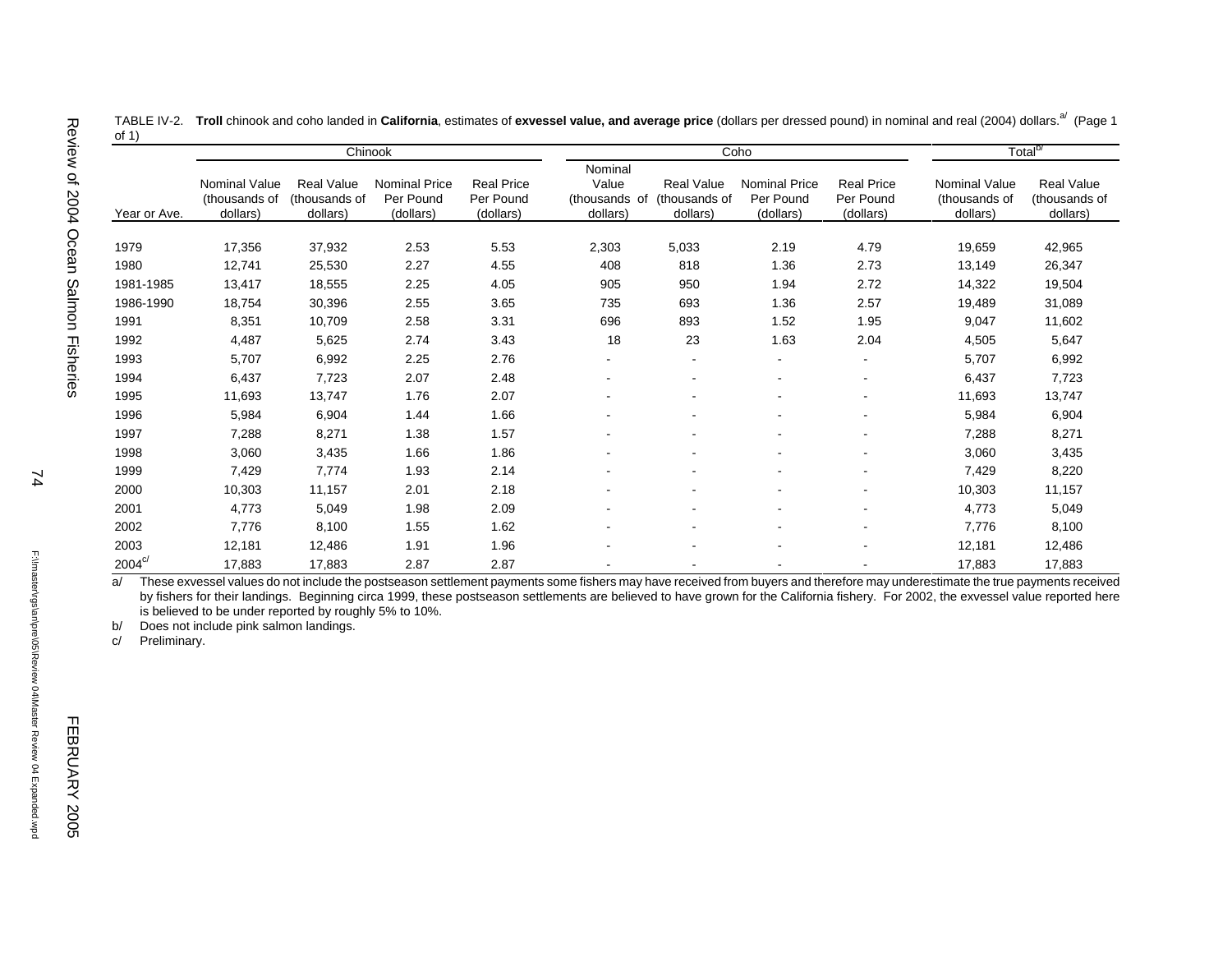|              |                                                   |                                                | Chinook                                        |                                             |                                               |                                                | Coho                                    |                                             |                                            | Total <sup>b/</sup>                            |
|--------------|---------------------------------------------------|------------------------------------------------|------------------------------------------------|---------------------------------------------|-----------------------------------------------|------------------------------------------------|-----------------------------------------|---------------------------------------------|--------------------------------------------|------------------------------------------------|
| Year or Ave. | <b>Nominal Value</b><br>(thousands of<br>dollars) | <b>Real Value</b><br>(thousands of<br>dollars) | <b>Nominal Price</b><br>Per Pound<br>(dollars) | <b>Real Price</b><br>Per Pound<br>(dollars) | Nominal<br>Value<br>(thousands of<br>dollars) | <b>Real Value</b><br>(thousands of<br>dollars) | Nominal Price<br>Per Pound<br>(dollars) | <b>Real Price</b><br>Per Pound<br>(dollars) | Nominal Value<br>(thousands of<br>dollars) | <b>Real Value</b><br>(thousands of<br>dollars) |
| 1979         | 17,356                                            | 37,932                                         | 2.53                                           | 5.53                                        | 2,303                                         | 5,033                                          | 2.19                                    | 4.79                                        | 19,659                                     | 42,965                                         |
| 1980         | 12,741                                            | 25,530                                         | 2.27                                           | 4.55                                        | 408                                           | 818                                            | 1.36                                    | 2.73                                        | 13,149                                     | 26,347                                         |
| 1981-1985    | 13,417                                            | 18,555                                         | 2.25                                           | 4.05                                        | 905                                           | 950                                            | 1.94                                    | 2.72                                        | 14,322                                     | 19,504                                         |
| 1986-1990    | 18,754                                            | 30,396                                         | 2.55                                           | 3.65                                        | 735                                           | 693                                            | 1.36                                    | 2.57                                        | 19,489                                     | 31,089                                         |
| 1991         | 8,351                                             | 10,709                                         | 2.58                                           | 3.31                                        | 696                                           | 893                                            | 1.52                                    | 1.95                                        | 9,047                                      | 11,602                                         |
| 1992         | 4,487                                             | 5,625                                          | 2.74                                           | 3.43                                        | 18                                            | 23                                             | 1.63                                    | 2.04                                        | 4,505                                      | 5,647                                          |
| 1993         | 5,707                                             | 6,992                                          | 2.25                                           | 2.76                                        | $\overline{\phantom{0}}$                      | $\blacksquare$                                 | $\blacksquare$                          |                                             | 5,707                                      | 6,992                                          |
| 1994         | 6,437                                             | 7,723                                          | 2.07                                           | 2.48                                        |                                               |                                                |                                         |                                             | 6,437                                      | 7,723                                          |
| 1995         | 11,693                                            | 13,747                                         | 1.76                                           | 2.07                                        | ۰                                             |                                                | $\overline{\phantom{a}}$                |                                             | 11,693                                     | 13,747                                         |
| 1996         | 5,984                                             | 6,904                                          | 1.44                                           | 1.66                                        |                                               | $\overline{\phantom{a}}$                       |                                         |                                             | 5,984                                      | 6,904                                          |
| 1997         | 7,288                                             | 8,271                                          | 1.38                                           | 1.57                                        |                                               |                                                |                                         |                                             | 7,288                                      | 8,271                                          |
| 1998         | 3,060                                             | 3,435                                          | 1.66                                           | 1.86                                        |                                               | $\overline{\phantom{a}}$                       | $\overline{\phantom{a}}$                |                                             | 3,060                                      | 3,435                                          |
| 1999         | 7,429                                             | 7,774                                          | 1.93                                           | 2.14                                        |                                               | $\overline{\phantom{a}}$                       |                                         |                                             | 7,429                                      | 8,220                                          |
| 2000         | 10,303                                            | 11,157                                         | 2.01                                           | 2.18                                        |                                               | $\blacksquare$                                 |                                         |                                             | 10,303                                     | 11,157                                         |
| 2001         | 4,773                                             | 5,049                                          | 1.98                                           | 2.09                                        |                                               |                                                |                                         |                                             | 4,773                                      | 5,049                                          |
| 2002         | 7,776                                             | 8,100                                          | 1.55                                           | 1.62                                        |                                               | $\overline{\phantom{a}}$                       | $\overline{\phantom{a}}$                |                                             | 7,776                                      | 8,100                                          |
| 2003         | 12,181                                            | 12,486                                         | 1.91                                           | 1.96                                        |                                               | $\overline{\phantom{a}}$                       | $\overline{\phantom{a}}$                |                                             | 12,181                                     | 12,486                                         |
| $2004^{c/}$  | 17,883                                            | 17,883                                         | 2.87                                           | 2.87                                        |                                               |                                                |                                         |                                             | 17,883                                     | 17,883                                         |

TABLE IV-2. Troll chinook and coho landed in California, estimates of exvessel value, and average price (dollars per dressed pound) in nominal and real (2004) dollars.<sup>a/</sup> (Page 1 of 1)

a/ These exvessel values do not include the postseason settlement payments some fishers may have received from buyers and therefore may underestimate the true payments received by fishers for their landings. Beginning circa 1999, these postseason settlements are believed to have grown for the California fishery. For 2002, the exvessel value reported here is believed to be under reported by roughly 5% to 10%.

b/ Does not include pink salmon landings.

c/ Preliminary.

FEBRUARY 2005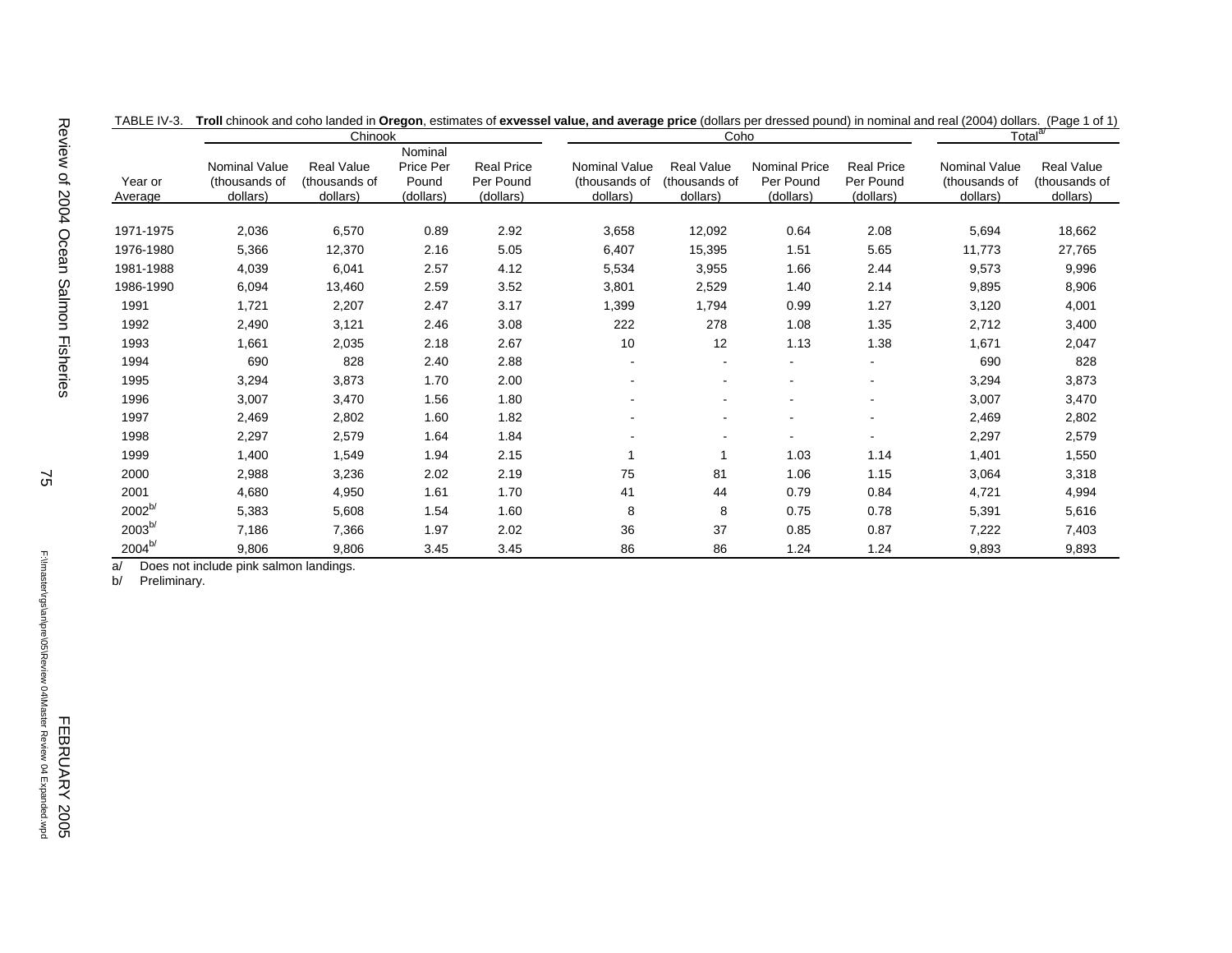|                    | Chinook                                           |                                                |                                            |                                             |                                            | Coho                                           |                                                |                                             | Total <sup>a/</sup>                               |                                         |
|--------------------|---------------------------------------------------|------------------------------------------------|--------------------------------------------|---------------------------------------------|--------------------------------------------|------------------------------------------------|------------------------------------------------|---------------------------------------------|---------------------------------------------------|-----------------------------------------|
| Year or<br>Average | <b>Nominal Value</b><br>(thousands of<br>dollars) | <b>Real Value</b><br>(thousands of<br>dollars) | Nominal<br>Price Per<br>Pound<br>(dollars) | <b>Real Price</b><br>Per Pound<br>(dollars) | Nominal Value<br>(thousands of<br>dollars) | <b>Real Value</b><br>(thousands of<br>dollars) | <b>Nominal Price</b><br>Per Pound<br>(dollars) | <b>Real Price</b><br>Per Pound<br>(dollars) | <b>Nominal Value</b><br>(thousands of<br>dollars) | Real Value<br>(thousands of<br>dollars) |
|                    |                                                   |                                                |                                            |                                             |                                            |                                                |                                                |                                             |                                                   |                                         |
| 1971-1975          | 2,036                                             | 6,570                                          | 0.89                                       | 2.92                                        | 3,658                                      | 12,092                                         | 0.64                                           | 2.08                                        | 5,694                                             | 18,662                                  |
| 1976-1980          | 5,366                                             | 12,370                                         | 2.16                                       | 5.05                                        | 6,407                                      | 15,395                                         | 1.51                                           | 5.65                                        | 11,773                                            | 27,765                                  |
| 1981-1988          | 4,039                                             | 6,041                                          | 2.57                                       | 4.12                                        | 5,534                                      | 3,955                                          | 1.66                                           | 2.44                                        | 9,573                                             | 9,996                                   |
| 1986-1990          | 6,094                                             | 13,460                                         | 2.59                                       | 3.52                                        | 3,801                                      | 2,529                                          | 1.40                                           | 2.14                                        | 9,895                                             | 8,906                                   |
| 1991               | 1,721                                             | 2,207                                          | 2.47                                       | 3.17                                        | 1,399                                      | 1,794                                          | 0.99                                           | 1.27                                        | 3,120                                             | 4,001                                   |
| 1992               | 2,490                                             | 3,121                                          | 2.46                                       | 3.08                                        | 222                                        | 278                                            | 1.08                                           | 1.35                                        | 2,712                                             | 3,400                                   |
| 1993               | 1,661                                             | 2,035                                          | 2.18                                       | 2.67                                        | 10                                         | 12                                             | 1.13                                           | 1.38                                        | 1,671                                             | 2,047                                   |
| 1994               | 690                                               | 828                                            | 2.40                                       | 2.88                                        |                                            |                                                | $\blacksquare$                                 | $\blacksquare$                              | 690                                               | 828                                     |
| 1995               | 3,294                                             | 3,873                                          | 1.70                                       | 2.00                                        |                                            |                                                |                                                |                                             | 3,294                                             | 3,873                                   |
| 1996               | 3,007                                             | 3,470                                          | 1.56                                       | 1.80                                        |                                            |                                                |                                                |                                             | 3,007                                             | 3,470                                   |
| 1997               | 2,469                                             | 2,802                                          | 1.60                                       | 1.82                                        |                                            |                                                | $\blacksquare$                                 | $\blacksquare$                              | 2,469                                             | 2,802                                   |
| 1998               | 2,297                                             | 2,579                                          | 1.64                                       | 1.84                                        |                                            |                                                |                                                |                                             | 2,297                                             | 2,579                                   |
| 1999               | 1,400                                             | 1,549                                          | 1.94                                       | 2.15                                        | $\overline{\mathbf{1}}$                    |                                                | 1.03                                           | 1.14                                        | 1,401                                             | 1,550                                   |
| 2000               | 2,988                                             | 3,236                                          | 2.02                                       | 2.19                                        | 75                                         | 81                                             | 1.06                                           | 1.15                                        | 3,064                                             | 3,318                                   |
| 2001               | 4,680                                             | 4,950                                          | 1.61                                       | 1.70                                        | 41                                         | 44                                             | 0.79                                           | 0.84                                        | 4,721                                             | 4,994                                   |
| 2002 <sup>b/</sup> | 5,383                                             | 5,608                                          | 1.54                                       | 1.60                                        | 8                                          | 8                                              | 0.75                                           | 0.78                                        | 5,391                                             | 5,616                                   |
| $2003^{b/}$        | 7,186                                             | 7,366                                          | 1.97                                       | 2.02                                        | 36                                         | 37                                             | 0.85                                           | 0.87                                        | 7,222                                             | 7,403                                   |
| $2004^{b/}$        | 9,806                                             | 9,806                                          | 3.45                                       | 3.45                                        | 86                                         | 86                                             | 1.24                                           | 1.24                                        | 9,893                                             | 9,893                                   |

| TABLE IV-3. Troll chinook and coho landed in Oregon, estimates of exvessel value, and average price (dollars per dressed pound) in nominal and real (2004) dollars. (Page 1 of 1) |  |  |  |
|-----------------------------------------------------------------------------------------------------------------------------------------------------------------------------------|--|--|--|
|                                                                                                                                                                                   |  |  |  |
|                                                                                                                                                                                   |  |  |  |

a/ Does not include pink salmon landings.

b/ Preliminary.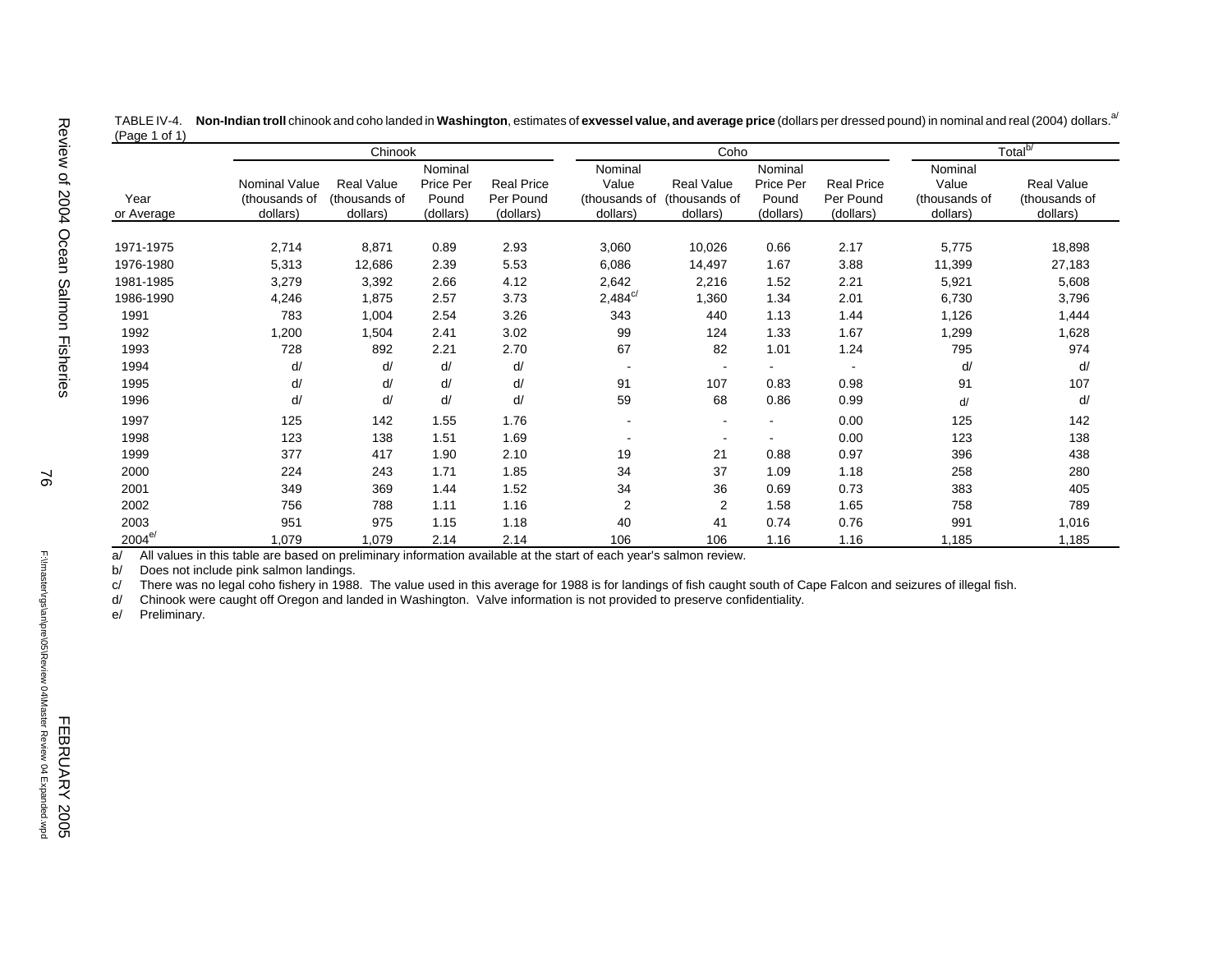| $(\text{Page}   \text{O}   \text{I})$ |                      |                   |           |                   |                         |                |           |                   |               |                     |
|---------------------------------------|----------------------|-------------------|-----------|-------------------|-------------------------|----------------|-----------|-------------------|---------------|---------------------|
|                                       |                      | Chinook           |           |                   |                         | Coho           |           |                   |               | Total <sup>b/</sup> |
|                                       |                      |                   | Nominal   |                   | Nominal                 |                | Nominal   |                   | Nominal       |                     |
|                                       | <b>Nominal Value</b> | <b>Real Value</b> | Price Per | <b>Real Price</b> | Value                   | Real Value     | Price Per | <b>Real Price</b> | Value         | <b>Real Value</b>   |
| Year                                  | (thousands of        | (thousands of     | Pound     | Per Pound         | (thousands of           | (thousands of  | Pound     | Per Pound         | (thousands of | (thousands of       |
| or Average                            | dollars)             | dollars)          | (dollars) | (dollars)         | dollars)                | dollars)       | (dollars) | (dollars)         | dollars)      | dollars)            |
|                                       |                      |                   |           |                   |                         |                |           |                   |               |                     |
| 1971-1975                             | 2,714                | 8,871             | 0.89      | 2.93              | 3,060                   | 10,026         | 0.66      | 2.17              | 5,775         | 18,898              |
| 1976-1980                             | 5,313                | 12,686            | 2.39      | 5.53              | 6,086                   | 14,497         | 1.67      | 3.88              | 11,399        | 27,183              |
| 1981-1985                             | 3,279                | 3,392             | 2.66      | 4.12              | 2,642                   | 2,216          | 1.52      | 2.21              | 5,921         | 5,608               |
| 1986-1990                             | 4,246                | 1,875             | 2.57      | 3.73              | $2,484^{\circ}$         | 1,360          | 1.34      | 2.01              | 6,730         | 3,796               |
| 1991                                  | 783                  | 1,004             | 2.54      | 3.26              | 343                     | 440            | 1.13      | 1.44              | 1,126         | 1,444               |
| 1992                                  | 1,200                | 1,504             | 2.41      | 3.02              | 99                      | 124            | 1.33      | 1.67              | 1,299         | 1,628               |
| 1993                                  | 728                  | 892               | 2.21      | 2.70              | 67                      | 82             | 1.01      | 1.24              | 795           | 974                 |
| 1994                                  | d/                   | d/                | d/        | d/                |                         |                |           |                   | d/            | d/                  |
| 1995                                  | d/                   | d/                | d/        | d/                | 91                      | 107            | 0.83      | 0.98              | 91            | 107                 |
| 1996                                  | d/                   | d/                | d/        | d/                | 59                      | 68             | 0.86      | 0.99              | d/            | d/                  |
| 1997                                  | 125                  | 142               | 1.55      | 1.76              |                         |                |           | 0.00              | 125           | 142                 |
| 1998                                  | 123                  | 138               | 1.51      | 1.69              |                         |                |           | 0.00              | 123           | 138                 |
| 1999                                  | 377                  | 417               | 1.90      | 2.10              | 19                      | 21             | 0.88      | 0.97              | 396           | 438                 |
| 2000                                  | 224                  | 243               | 1.71      | 1.85              | 34                      | 37             | 1.09      | 1.18              | 258           | 280                 |
| 2001                                  | 349                  | 369               | 1.44      | 1.52              | 34                      | 36             | 0.69      | 0.73              | 383           | 405                 |
| 2002                                  | 756                  | 788               | 1.11      | 1.16              | $\overline{\mathbf{c}}$ | $\overline{2}$ | 1.58      | 1.65              | 758           | 789                 |
| 2003                                  | 951                  | 975               | 1.15      | 1.18              | 40                      | 41             | 0.74      | 0.76              | 991           | 1,016               |
| $2004^{e/}$                           | 1,079                | 1,079             | 2.14      | 2.14              | 106                     | 106            | 1.16      | 1.16              | 1,185         | 1,185               |

TABLE IV-4. **Non-Indian troll** chinook and coho landed in **Washington**, estimates of **exvessel value, and average price** (dollars per dressed pound) in nominal and real (2004) dollars.a/  $(D_{0}q_{0} + 4 \leq 1)$ 

 $a$  All values in this table are based on preliminary information available at the start of each year's salmon review.<br>b/ Does not include pink salmon landings.

Does not include pink salmon landings.

c/ There was no legal coho fishery in 1988. The value used in this average for 1988 is for landings of fish caught south of Cape Falcon and seizures of illegal fish.

d/ Chinook were caught off Oregon and landed in Washington. Valve information is not provided to preserve confidentiality.

Preliminary.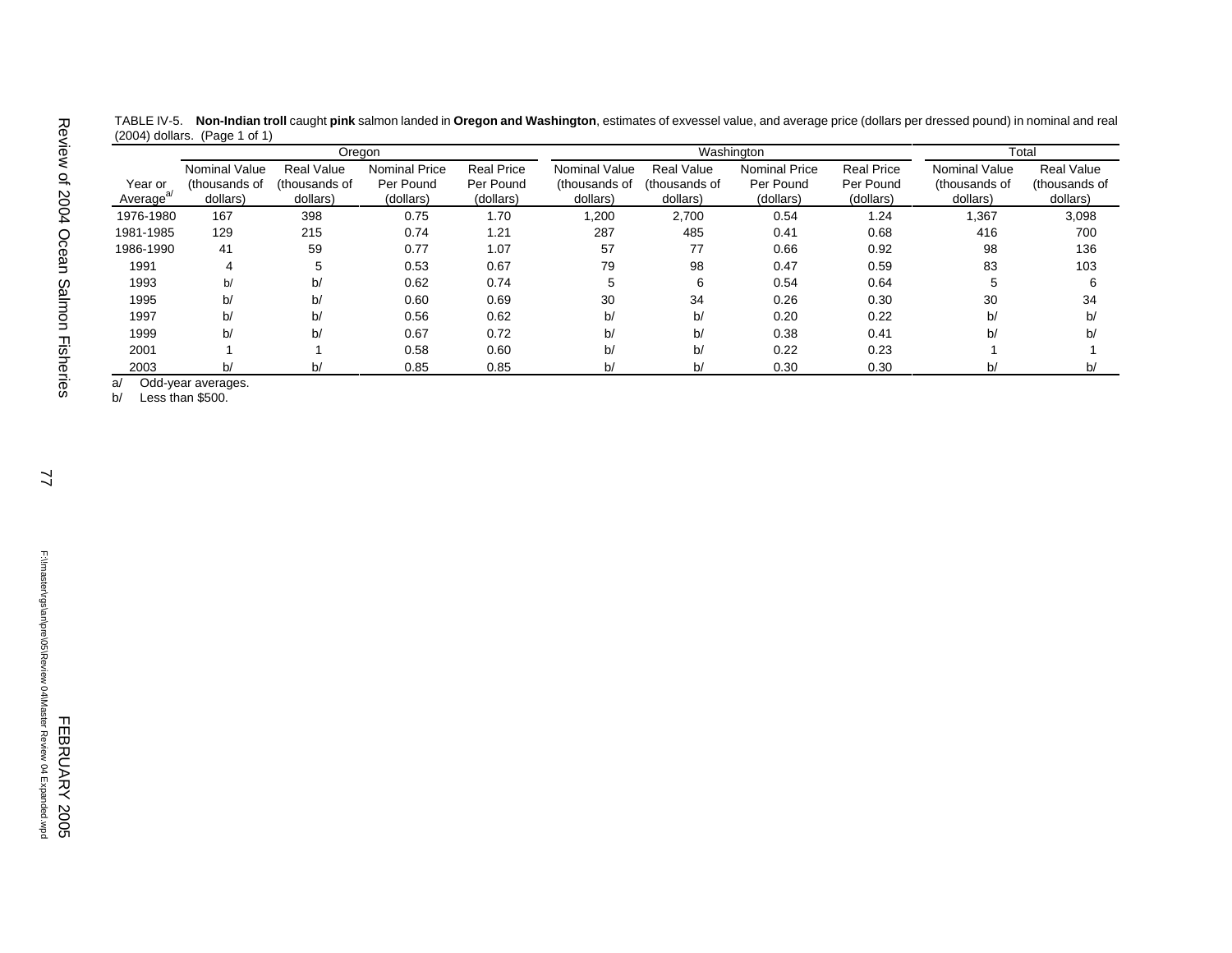| TABLE IV-5. Non-Indian troll caught pink salmon landed in Oregon and Washington, estimates of exvessel value, and average price (dollars per dressed pound) in nominal and real |
|---------------------------------------------------------------------------------------------------------------------------------------------------------------------------------|
| $(2004)$ dollars. (Page 1 of 1)                                                                                                                                                 |

|                                 |                                                   |                                                | Oregon                                         |                                             |                                                   |                                                | Washington                                     |                                             |                                            | Total                                          |
|---------------------------------|---------------------------------------------------|------------------------------------------------|------------------------------------------------|---------------------------------------------|---------------------------------------------------|------------------------------------------------|------------------------------------------------|---------------------------------------------|--------------------------------------------|------------------------------------------------|
| Year or<br>Average <sup>®</sup> | <b>Nominal Value</b><br>(thousands of<br>dollars) | <b>Real Value</b><br>(thousands of<br>dollars) | <b>Nominal Price</b><br>Per Pound<br>(dollars) | <b>Real Price</b><br>Per Pound<br>(dollars) | <b>Nominal Value</b><br>(thousands of<br>dollars) | <b>Real Value</b><br>(thousands of<br>dollars) | <b>Nominal Price</b><br>Per Pound<br>(dollars) | <b>Real Price</b><br>Per Pound<br>(dollars) | Nominal Value<br>(thousands of<br>dollars) | <b>Real Value</b><br>(thousands of<br>dollars) |
| 1976-1980                       | 167                                               | 398                                            | 0.75                                           | 1.70                                        | 1,200                                             | 2,700                                          | 0.54                                           | 1.24                                        | .367                                       | 3,098                                          |
| 1981-1985                       | 129                                               | 215                                            | 0.74                                           | 1.21                                        | 287                                               | 485                                            | 0.41                                           | 0.68                                        | 416                                        | 700                                            |
| 1986-1990                       | 41                                                | 59                                             | 0.77                                           | 1.07                                        | 57                                                | 77                                             | 0.66                                           | 0.92                                        | 98                                         | 136                                            |
| 1991                            | 4                                                 | 5                                              | 0.53                                           | 0.67                                        | 79                                                | 98                                             | 0.47                                           | 0.59                                        | 83                                         | 103                                            |
| 1993                            | b/                                                | b/                                             | 0.62                                           | 0.74                                        | 5                                                 | 6                                              | 0.54                                           | 0.64                                        | 5                                          | 6                                              |
| 1995                            | b/                                                | b/                                             | 0.60                                           | 0.69                                        | 30                                                | 34                                             | 0.26                                           | 0.30                                        | 30                                         | 34                                             |
| 1997                            | b/                                                | b/                                             | 0.56                                           | 0.62                                        | b/                                                | b/                                             | 0.20                                           | 0.22                                        | b/                                         | b/                                             |
| 1999                            | b/                                                | b/                                             | 0.67                                           | 0.72                                        | b/                                                | b/                                             | 0.38                                           | 0.41                                        | b/                                         | b/                                             |
| 2001                            |                                                   |                                                | 0.58                                           | 0.60                                        | b/                                                | b/                                             | 0.22                                           | 0.23                                        |                                            |                                                |
| 2003                            | b/                                                | b/                                             | 0.85                                           | 0.85                                        | b/                                                | b/                                             | 0.30                                           | 0.30                                        | b/                                         | b/                                             |

a/ Odd-year averages.

b/ Less than \$500.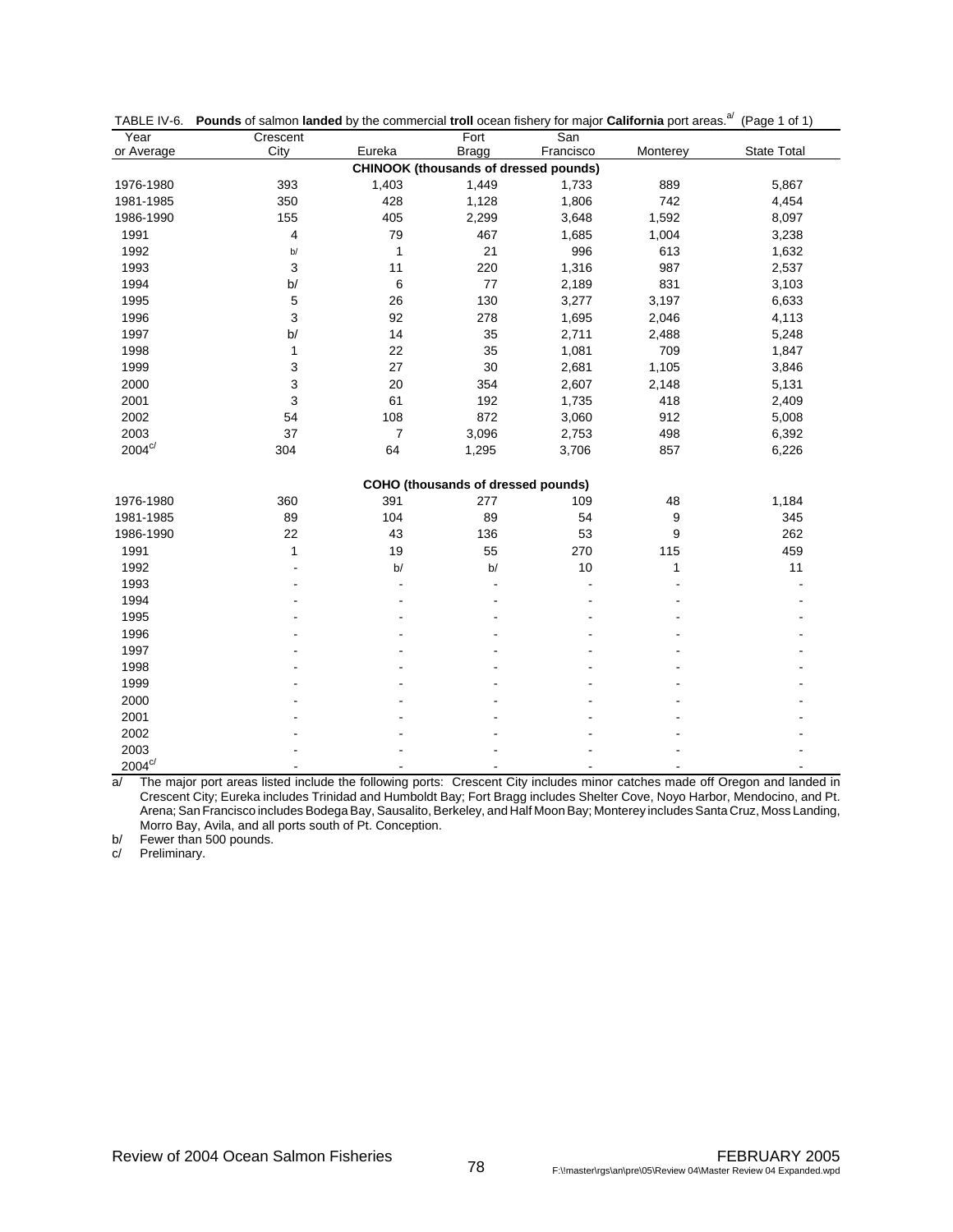| Year                  | Crescent |                | Fort                                         | San       |                  |                    |
|-----------------------|----------|----------------|----------------------------------------------|-----------|------------------|--------------------|
| or Average            | City     | Eureka         | <b>Bragg</b>                                 | Francisco | Monterey         | <b>State Total</b> |
|                       |          |                | <b>CHINOOK (thousands of dressed pounds)</b> |           |                  |                    |
| 1976-1980             | 393      | 1,403          | 1,449                                        | 1,733     | 889              | 5,867              |
| 1981-1985             | 350      | 428            | 1,128                                        | 1,806     | 742              | 4,454              |
| 1986-1990             | 155      | 405            | 2,299                                        | 3,648     | 1,592            | 8,097              |
| 1991                  | 4        | 79             | 467                                          | 1,685     | 1,004            | 3,238              |
| 1992                  | b/       | 1              | 21                                           | 996       | 613              | 1,632              |
| 1993                  | 3        | 11             | 220                                          | 1,316     | 987              | 2,537              |
| 1994                  | b/       | $\,6$          | 77                                           | 2,189     | 831              | 3,103              |
| 1995                  | 5        | 26             | 130                                          | 3,277     | 3,197            | 6,633              |
| 1996                  | 3        | 92             | 278                                          | 1,695     | 2,046            | 4,113              |
| 1997                  | b/       | 14             | 35                                           | 2,711     | 2,488            | 5,248              |
| 1998                  | 1        | 22             | 35                                           | 1,081     | 709              | 1,847              |
| 1999                  | 3        | 27             | 30                                           | 2,681     | 1,105            | 3,846              |
| 2000                  | 3        | 20             | 354                                          | 2,607     | 2,148            | 5,131              |
| 2001                  | 3        | 61             | 192                                          | 1,735     | 418              | 2,409              |
| 2002                  | 54       | 108            | 872                                          | 3,060     | 912              | 5,008              |
| 2003                  | 37       | $\overline{7}$ | 3,096                                        | 2,753     | 498              | 6,392              |
| $2004^{\mathrm{c}/}$  | 304      | 64             | 1,295                                        | 3,706     | 857              | 6,226              |
|                       |          |                |                                              |           |                  |                    |
|                       |          |                | COHO (thousands of dressed pounds)           |           |                  |                    |
| 1976-1980             | 360      | 391            | 277                                          | 109       | 48               | 1,184              |
| 1981-1985             | 89       | 104            | 89                                           | 54        | $\boldsymbol{9}$ | 345                |
| 1986-1990             | 22       | 43             | 136                                          | 53        | $\boldsymbol{9}$ | 262                |
| 1991                  | 1        | 19             | 55                                           | 270       | 115              | 459                |
| 1992                  |          | b/             | b/                                           | 10        | 1                | 11                 |
| 1993                  |          |                |                                              | L,        |                  |                    |
| 1994                  |          |                |                                              |           |                  |                    |
| 1995                  |          |                |                                              |           |                  |                    |
| 1996                  |          |                |                                              |           |                  |                    |
| 1997                  |          |                |                                              |           |                  |                    |
| 1998                  |          |                |                                              |           |                  |                    |
| 1999                  |          |                |                                              |           |                  |                    |
| 2000                  |          |                |                                              |           |                  |                    |
| 2001                  |          |                |                                              |           |                  |                    |
| 2002                  |          |                |                                              |           |                  |                    |
| 2003                  |          |                |                                              |           |                  |                    |
| $2004^{\mathrm{c/s}}$ |          |                |                                              |           |                  |                    |

|  |  | TABLE IV-6. Pounds of salmon landed by the commercial troll ocean fishery for major California port areas. <sup>a/</sup> (Page 1 of 1) |  |  |  |
|--|--|----------------------------------------------------------------------------------------------------------------------------------------|--|--|--|
|--|--|----------------------------------------------------------------------------------------------------------------------------------------|--|--|--|

a/ The major port areas listed include the following ports: Crescent City includes minor catches made off Oregon and landed in Crescent City; Eureka includes Trinidad and Humboldt Bay; Fort Bragg includes Shelter Cove, Noyo Harbor, Mendocino, and Pt. Arena; San Francisco includes Bodega Bay, Sausalito, Berkeley, and Half Moon Bay; Monterey includes Santa Cruz, Moss Landing, Morro Bay, Avila, and all ports south of Pt. Conception.

b/ Fewer than 500 pounds.

c/ Preliminary.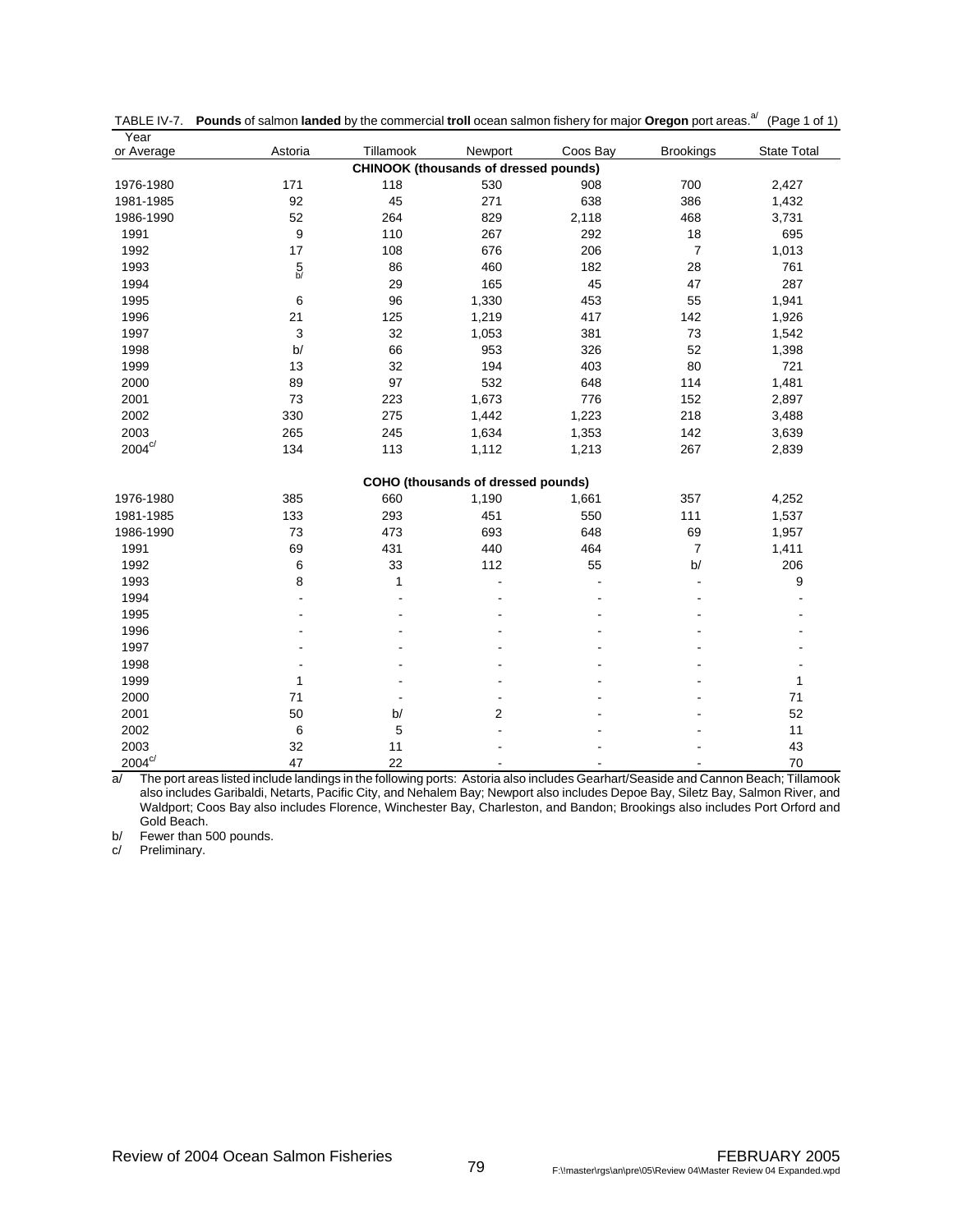| Year                 |               |                |                                              |                |                  |                    |
|----------------------|---------------|----------------|----------------------------------------------|----------------|------------------|--------------------|
| or Average           | Astoria       | Tillamook      | Newport                                      | Coos Bay       | <b>Brookings</b> | <b>State Total</b> |
|                      |               |                | <b>CHINOOK (thousands of dressed pounds)</b> |                |                  |                    |
| 1976-1980            | 171           | 118            | 530                                          | 908            | 700              | 2,427              |
| 1981-1985            | 92            | 45             | 271                                          | 638            | 386              | 1,432              |
| 1986-1990            | 52            | 264            | 829                                          | 2,118          | 468              | 3,731              |
| 1991                 | 9             | 110            | 267                                          | 292            | 18               | 695                |
| 1992                 | 17            | 108            | 676                                          | 206            | $\overline{7}$   | 1,013              |
| 1993                 | $\frac{5}{5}$ | 86             | 460                                          | 182            | 28               | 761                |
| 1994                 |               | 29             | 165                                          | 45             | 47               | 287                |
| 1995                 | 6             | 96             | 1,330                                        | 453            | 55               | 1,941              |
| 1996                 | 21            | 125            | 1,219                                        | 417            | 142              | 1,926              |
| 1997                 | 3             | 32             | 1,053                                        | 381            | 73               | 1,542              |
| 1998                 | b/            | 66             | 953                                          | 326            | 52               | 1,398              |
| 1999                 | 13            | 32             | 194                                          | 403            | 80               | 721                |
| 2000                 | 89            | 97             | 532                                          | 648            | 114              | 1,481              |
| 2001                 | 73            | 223            | 1,673                                        | 776            | 152              | 2,897              |
| 2002                 | 330           | 275            | 1,442                                        | 1,223          | 218              | 3,488              |
| 2003                 | 265           | 245            | 1,634                                        | 1,353          | 142              | 3,639              |
| $2004^{\mathrm{c}/}$ | 134           | 113            | 1,112                                        | 1,213          | 267              | 2,839              |
|                      |               |                | COHO (thousands of dressed pounds)           |                |                  |                    |
| 1976-1980            | 385           | 660            | 1,190                                        | 1,661          | 357              | 4,252              |
| 1981-1985            | 133           | 293            | 451                                          | 550            | 111              | 1,537              |
| 1986-1990            | 73            | 473            | 693                                          | 648            | 69               | 1,957              |
| 1991                 | 69            | 431            | 440                                          | 464            | $\overline{7}$   | 1,411              |
| 1992                 | 6             | 33             | 112                                          | 55             | b/               | 206                |
| 1993                 | 8             | 1              |                                              | $\overline{a}$ | ÷,               | 9                  |
| 1994                 |               | $\blacksquare$ |                                              |                |                  |                    |
| 1995                 | ٠             | $\overline{a}$ |                                              |                |                  |                    |
| 1996                 |               | $\overline{a}$ |                                              |                |                  |                    |
| 1997                 |               |                |                                              |                |                  |                    |
| 1998                 |               |                |                                              |                |                  |                    |
| 1999                 | 1             |                |                                              |                |                  | 1                  |
| 2000                 | 71            |                | $\overline{\phantom{a}}$                     |                |                  | 71                 |
| 2001                 | 50            | b/             | 2                                            |                |                  | 52                 |
| 2002                 | 6             | 5              |                                              |                |                  | 11                 |
| 2003                 | 32            | 11             |                                              |                |                  | 43                 |
| $2004^{c/}$          | 47            | 22             | $\overline{a}$                               | $\blacksquare$ | $\overline{a}$   | 70                 |

|  |  | TABLE IV-7. Pounds of salmon landed by the commercial troll ocean salmon fishery for major Oregon port areas. <sup>a/</sup> (Page 1 of 1) |  |  |
|--|--|-------------------------------------------------------------------------------------------------------------------------------------------|--|--|
|--|--|-------------------------------------------------------------------------------------------------------------------------------------------|--|--|

a/ The port areas listed include landings in the following ports: Astoria also includes Gearhart/Seaside and Cannon Beach; Tillamook also includes Garibaldi, Netarts, Pacific City, and Nehalem Bay; Newport also includes Depoe Bay, Siletz Bay, Salmon River, and Waldport; Coos Bay also includes Florence, Winchester Bay, Charleston, and Bandon; Brookings also includes Port Orford and Gold Beach.

b/ Fewer than 500 pounds.

c/ Preliminary.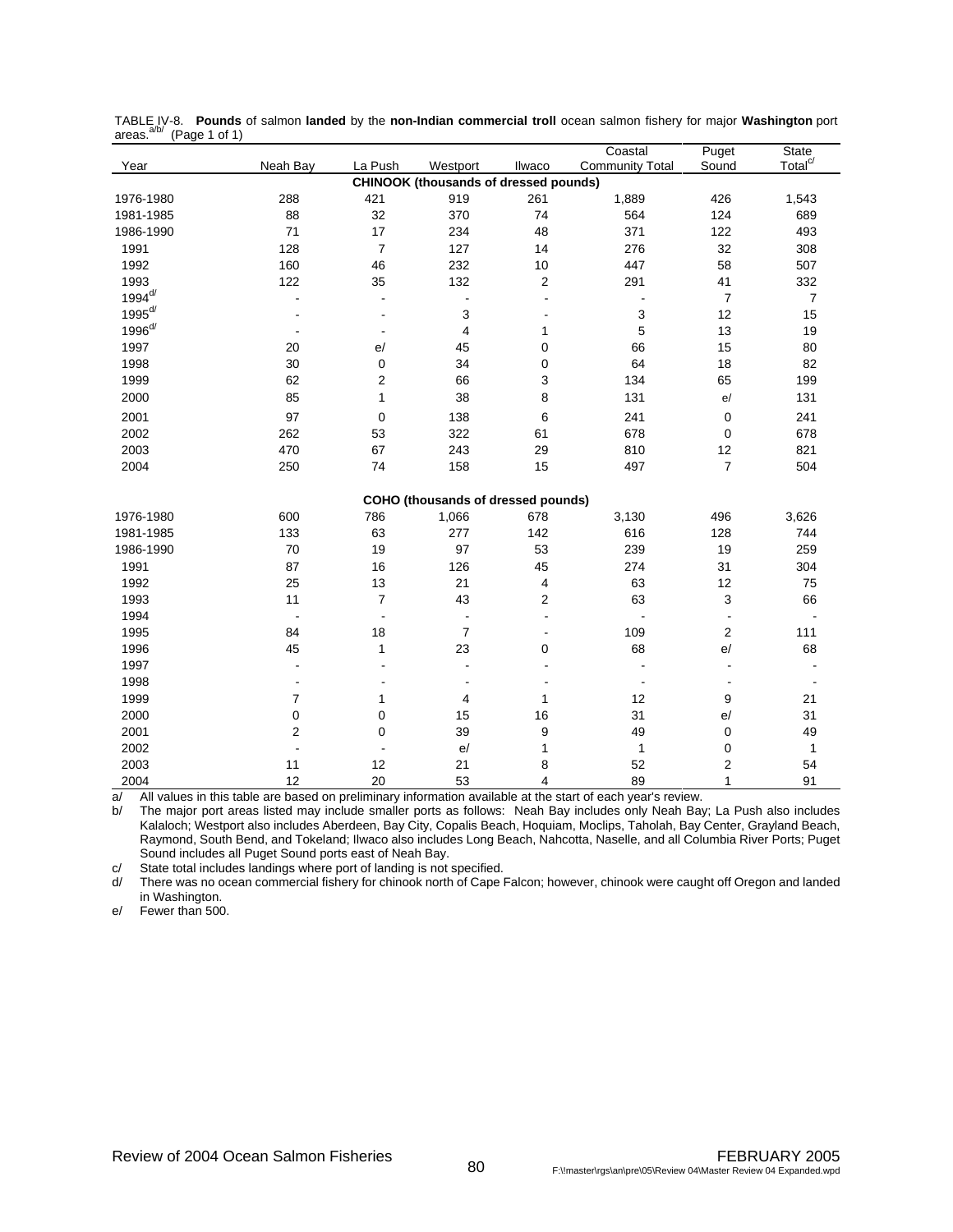| (1 agu 1 o 1 1 j |                         |                         |                                              |                         | Coastal                | Puget          | <b>State</b>        |
|------------------|-------------------------|-------------------------|----------------------------------------------|-------------------------|------------------------|----------------|---------------------|
| Year             | Neah Bay                | La Push                 | Westport                                     | Ilwaco                  | <b>Community Total</b> | Sound          | Total <sup>c/</sup> |
|                  |                         |                         | <b>CHINOOK (thousands of dressed pounds)</b> |                         |                        |                |                     |
| 1976-1980        | 288                     | 421                     | 919                                          | 261                     | 1,889                  | 426            | 1,543               |
| 1981-1985        | 88                      | 32                      | 370                                          | 74                      | 564                    | 124            | 689                 |
| 1986-1990        | 71                      | 17                      | 234                                          | 48                      | 371                    | 122            | 493                 |
| 1991             | 128                     | $\overline{7}$          | 127                                          | 14                      | 276                    | 32             | 308                 |
| 1992             | 160                     | 46                      | 232                                          | 10                      | 447                    | 58             | 507                 |
| 1993             | 122                     | 35                      | 132                                          | $\overline{c}$          | 291                    | 41             | 332                 |
| $1994^{d/}$      |                         |                         | $\overline{\phantom{a}}$                     | Ĭ.                      | $\overline{a}$         | $\overline{7}$ | $\overline{7}$      |
| $1995^{d/2}$     |                         |                         | 3                                            |                         | 3                      | 12             | 15                  |
| $1996^{d/}$      |                         |                         | $\overline{\mathbf{4}}$                      | 1                       | 5                      | 13             | 19                  |
| 1997             | 20                      | e/                      | 45                                           | $\pmb{0}$               | 66                     | 15             | 80                  |
| 1998             | 30                      | 0                       | 34                                           | $\pmb{0}$               | 64                     | 18             | 82                  |
| 1999             | 62                      | $\overline{\mathbf{c}}$ | 66                                           | 3                       | 134                    | 65             | 199                 |
| 2000             | 85                      | $\mathbf{1}$            | 38                                           | 8                       | 131                    | e/             | 131                 |
| 2001             | 97                      | $\mathbf 0$             | 138                                          | 6                       | 241                    | $\pmb{0}$      | 241                 |
| 2002             | 262                     | 53                      | 322                                          | 61                      | 678                    | $\pmb{0}$      | 678                 |
| 2003             | 470                     | 67                      | 243                                          | 29                      | 810                    | 12             | 821                 |
| 2004             | 250                     | 74                      | 158                                          | 15                      | 497                    | $\overline{7}$ | 504                 |
|                  |                         |                         | COHO (thousands of dressed pounds)           |                         |                        |                |                     |
| 1976-1980        | 600                     | 786                     | 1,066                                        | 678                     | 3,130                  | 496            | 3,626               |
| 1981-1985        | 133                     | 63                      | 277                                          | 142                     | 616                    | 128            | 744                 |
| 1986-1990        | 70                      | 19                      | 97                                           | 53                      | 239                    | 19             | 259                 |
| 1991             | 87                      | 16                      | 126                                          | 45                      | 274                    | 31             | 304                 |
| 1992             | 25                      | 13                      | 21                                           | 4                       | 63                     | 12             | 75                  |
| 1993             | 11                      | $\overline{7}$          | 43                                           | $\overline{\mathbf{c}}$ | 63                     | 3              | 66                  |
| 1994             | $\overline{a}$          | ÷,                      | $\blacksquare$                               | $\overline{a}$          | $\overline{a}$         | $\overline{a}$ |                     |
| 1995             | 84                      | 18                      | $\overline{7}$                               | $\overline{a}$          | 109                    | $\overline{2}$ | 111                 |
| 1996             | 45                      | $\mathbf{1}$            | 23                                           | 0                       | 68                     | e/             | 68                  |
| 1997             |                         |                         | $\overline{a}$                               | ÷,                      |                        |                |                     |
| 1998             |                         |                         | ÷                                            |                         | $\blacksquare$         | $\blacksquare$ |                     |
| 1999             | $\overline{7}$          | $\mathbf{1}$            | 4                                            | 1                       | 12                     | 9              | 21                  |
| 2000             | $\pmb{0}$               | 0                       | 15                                           | 16                      | 31                     | e/             | 31                  |
| 2001             | $\overline{\mathbf{c}}$ | 0                       | 39                                           | 9                       | 49                     | $\mathbf 0$    | 49                  |
| 2002             |                         | $\blacksquare$          | e/                                           | $\mathbf{1}$            | $\mathbf{1}$           | $\pmb{0}$      | $\mathbf{1}$        |
| 2003             | 11                      | 12                      | 21                                           | 8                       | 52                     | 2              | 54                  |
| 2004             | 12                      | 20                      | 53                                           | 4                       | 89                     | 1              | 91                  |

TABLE IV-8. **Pounds** of salmon l**anded** by the **non-Indian commercial troll** ocean salmon fishery for major **Washington** port<br>areas.<sup>a/b/</sup> (Page 1 of 1)

 $a$  All values in this table are based on preliminary information available at the start of each year's review.<br>b The maior port areas listed may include smaller ports as follows: Neah Bay includes only Neah Bay

The major port areas listed may include smaller ports as follows: Neah Bay includes only Neah Bay; La Push also includes Kalaloch; Westport also includes Aberdeen, Bay City, Copalis Beach, Hoquiam, Moclips, Taholah, Bay Center, Grayland Beach, Raymond, South Bend, and Tokeland; Ilwaco also includes Long Beach, Nahcotta, Naselle, and all Columbia River Ports; Puget Sound includes all Puget Sound ports east of Neah Bay.

c/ State total includes landings where port of landing is not specified.

d/ There was no ocean commercial fishery for chinook north of Cape Falcon; however, chinook were caught off Oregon and landed in Washington.

e/ Fewer than 500.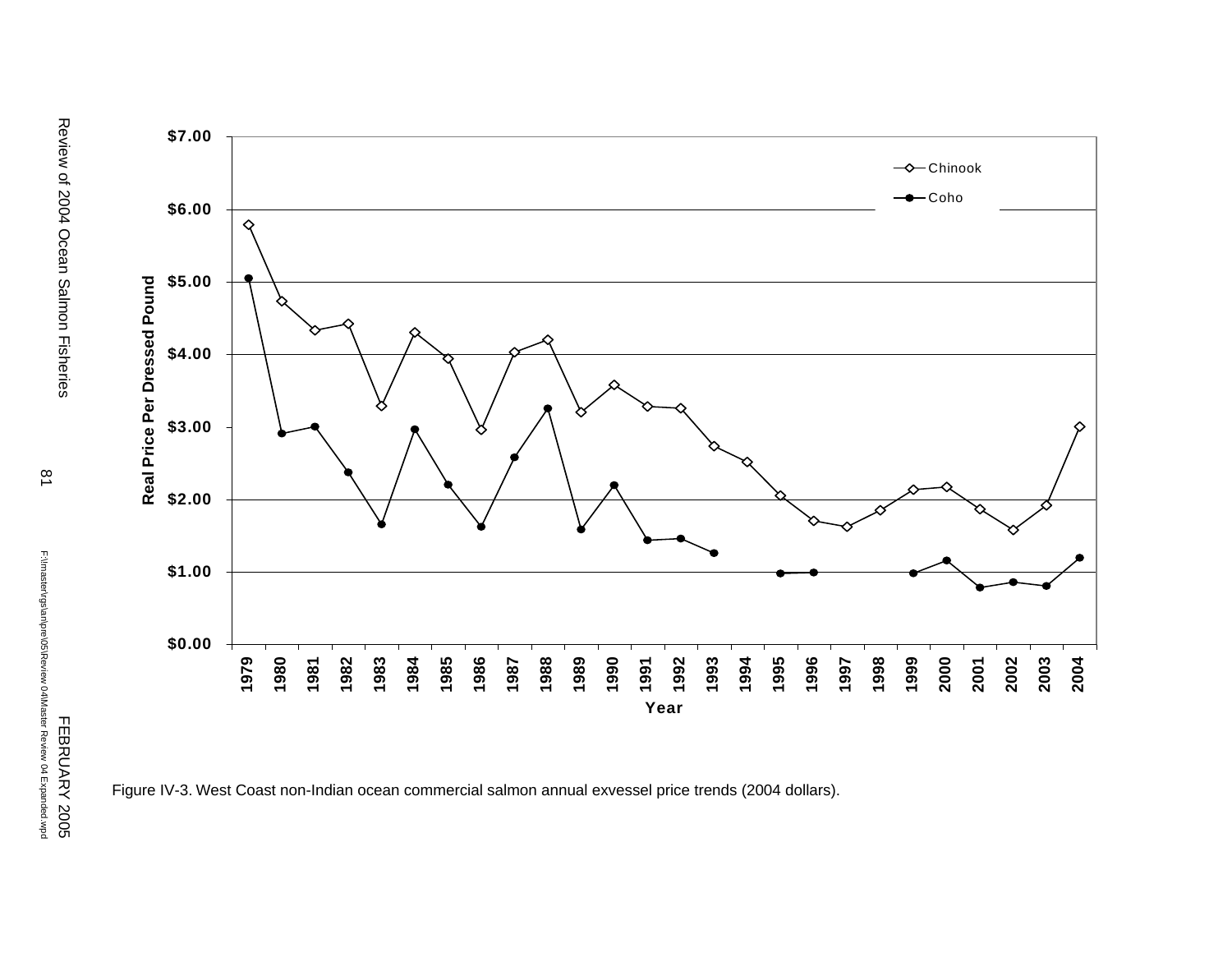

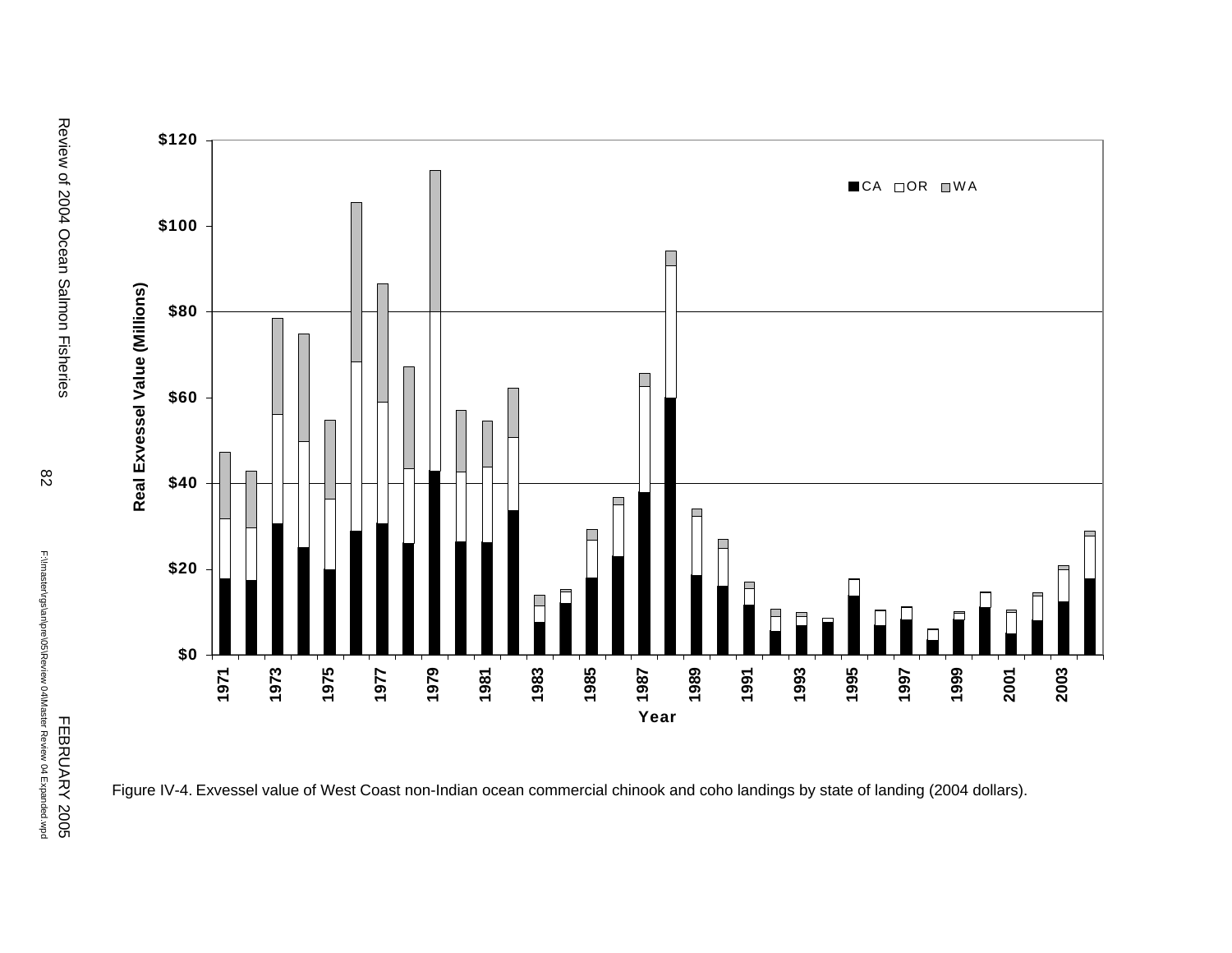

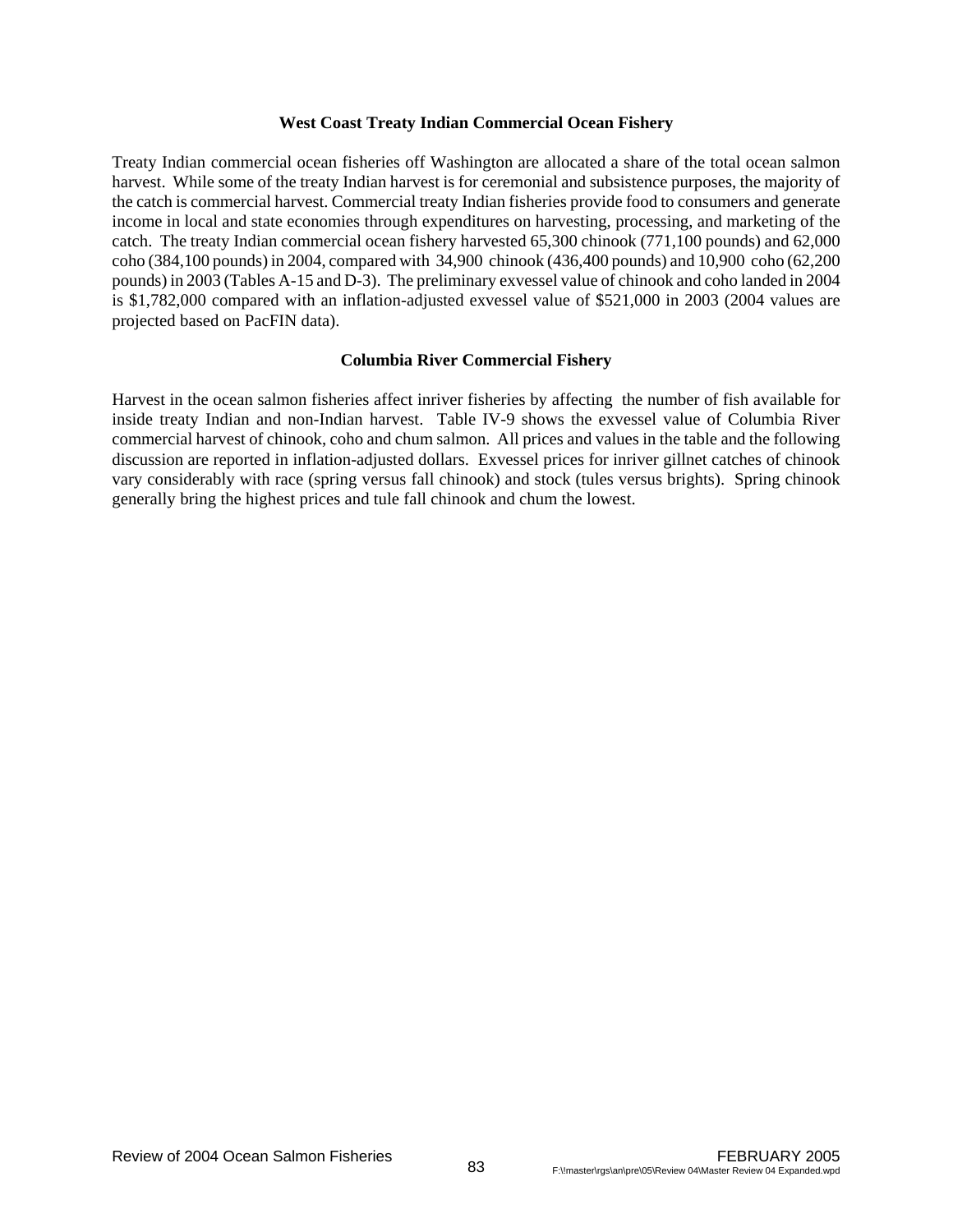#### **West Coast Treaty Indian Commercial Ocean Fishery**

Treaty Indian commercial ocean fisheries off Washington are allocated a share of the total ocean salmon harvest. While some of the treaty Indian harvest is for ceremonial and subsistence purposes, the majority of the catch is commercial harvest. Commercial treaty Indian fisheries provide food to consumers and generate income in local and state economies through expenditures on harvesting, processing, and marketing of the catch. The treaty Indian commercial ocean fishery harvested 65,300 chinook (771,100 pounds) and 62,000 coho (384,100 pounds) in 2004, compared with 34,900 chinook (436,400 pounds) and 10,900 coho (62,200 pounds) in 2003 (Tables A-15 and D-3). The preliminary exvessel value of chinook and coho landed in 2004 is \$1,782,000 compared with an inflation-adjusted exvessel value of \$521,000 in 2003 (2004 values are projected based on PacFIN data).

# **Columbia River Commercial Fishery**

Harvest in the ocean salmon fisheries affect inriver fisheries by affecting the number of fish available for inside treaty Indian and non-Indian harvest. Table IV-9 shows the exvessel value of Columbia River commercial harvest of chinook, coho and chum salmon. All prices and values in the table and the following discussion are reported in inflation-adjusted dollars. Exvessel prices for inriver gillnet catches of chinook vary considerably with race (spring versus fall chinook) and stock (tules versus brights). Spring chinook generally bring the highest prices and tule fall chinook and chum the lowest.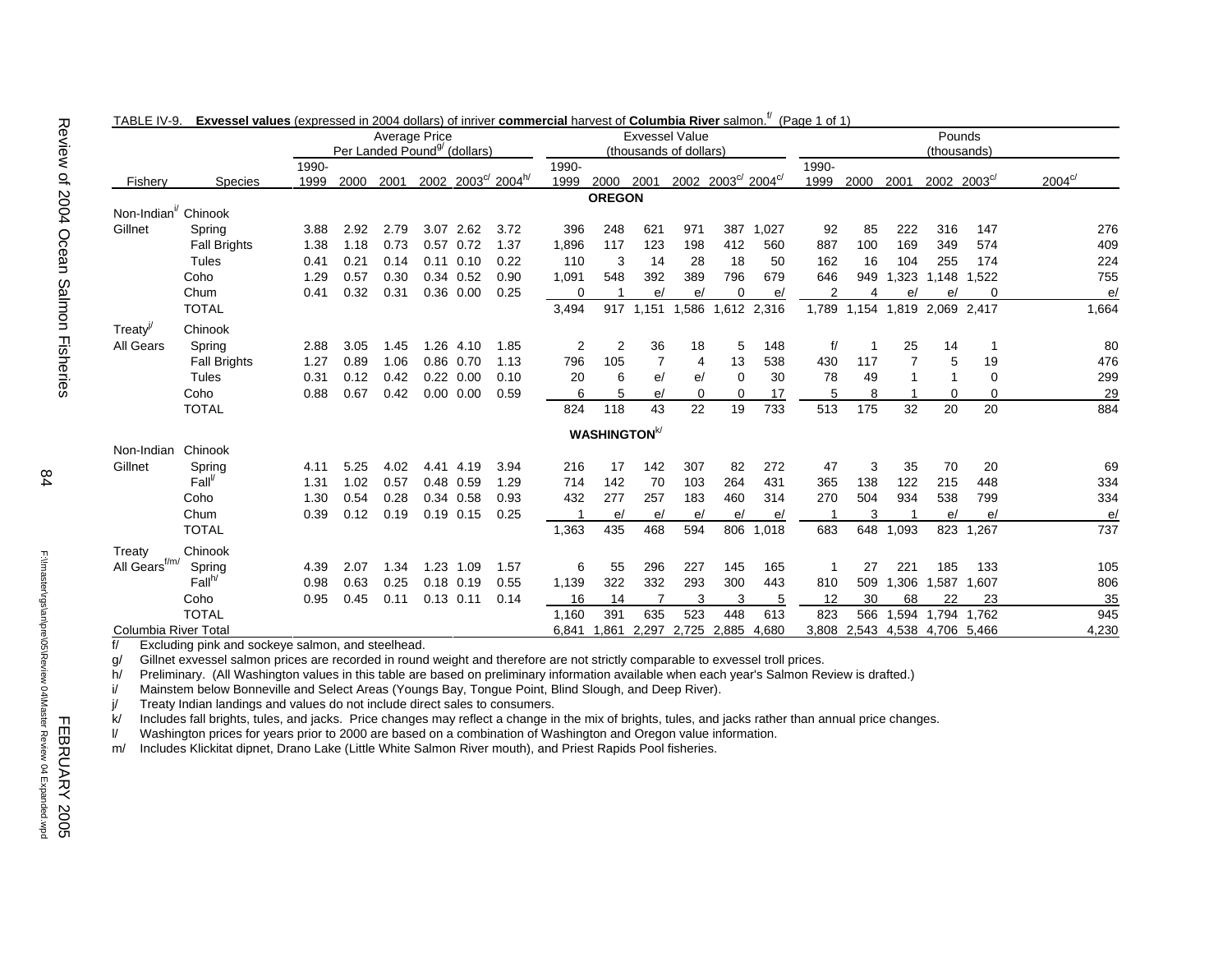| TABLE IV-9.                         | <b>Exvessel values</b> (expressed in 2004 dollars) of infliver <b>commercial</b> narvest of <b>Columbia River</b> salmon. |               | Per Landed Pound <sup>g</sup> (dollars) | Average Price |                   |                   |                               |               |                                 |                | <b>Exvessel Value</b>   |                  |       | $(Paqe 1$ or $1)$ |       |       | Pounds                                |          |                 |
|-------------------------------------|---------------------------------------------------------------------------------------------------------------------------|---------------|-----------------------------------------|---------------|-------------------|-------------------|-------------------------------|---------------|---------------------------------|----------------|-------------------------|------------------|-------|-------------------|-------|-------|---------------------------------------|----------|-----------------|
| Fishery                             | <b>Species</b>                                                                                                            | 1990-<br>1999 | 2000                                    | 2001          |                   |                   | 2002 2003° 2004 <sup>h/</sup> | 1990-<br>1999 | 2000                            | 2001           | (thousands of dollars)  | 2002 2003° 2004° |       | 1990-<br>1999     | 2000  | 2001  | (thousands)<br>$2002 - 2003^{\circ/}$ |          | $2004^{\circ/}$ |
|                                     |                                                                                                                           |               |                                         |               |                   |                   |                               |               | <b>OREGON</b>                   |                |                         |                  |       |                   |       |       |                                       |          |                 |
| Non-Indian <sup>i</sup> Chinook     |                                                                                                                           |               |                                         |               |                   |                   |                               |               |                                 |                |                         |                  |       |                   |       |       |                                       |          |                 |
| Gillnet                             | Spring                                                                                                                    | 3.88          | 2.92                                    | 2.79          | 3.07              | 2.62              | 3.72                          | 396           | 248                             | 621            | 971                     | 387              | 1,027 | 92                | 85    | 222   | 316                                   | 147      | 276             |
|                                     | <b>Fall Brights</b>                                                                                                       | 1.38          | 1.18                                    | 0.73          | $0.57$ 0.72       |                   | 1.37                          | 1,896         | 117                             | 123            | 198                     | 412              | 560   | 887               | 100   | 169   | 349                                   | 574      | 409             |
|                                     | Tules                                                                                                                     | 0.41          | 0.21                                    | 0.14          | $0.11$ $0.10$     |                   | 0.22                          | 110           | 3                               | 14             | 28                      | 18               | 50    | 162               | 16    | 104   | 255                                   | 174      | 224             |
|                                     | Coho                                                                                                                      | 1.29          | 0.57                                    | 0.30          |                   | 0.34 0.52         | 0.90                          | 1,091         | 548                             | 392            | 389                     | 796              | 679   | 646               | 949   | 1,323 | 1.148                                 | 1,522    | 755             |
|                                     | Chum                                                                                                                      | 0.41          | 0.32                                    | 0.31          |                   | 0.36 0.00         | 0.25                          | 0             |                                 | e/             | e/                      | 0                | e/    | 2                 | 4     | e/    | e/                                    | $\Omega$ | e/              |
|                                     | <b>TOTAL</b>                                                                                                              |               |                                         |               |                   |                   |                               | 3,494         | 917                             | 1.151          | 1,586                   | 1,612 2,316      |       | 1,789             | 1,154 |       | 1,819 2,069 2,417                     |          | 1,664           |
| $T$ reaty <sup><math>V</math></sup> | Chinook                                                                                                                   |               |                                         |               |                   |                   |                               |               |                                 |                |                         |                  |       |                   |       |       |                                       |          |                 |
| All Gears                           | Spring                                                                                                                    | 2.88          | 3.05                                    | 1.45          | 1.26              | 4.10              | 1.85                          | 2             | 2                               | 36             | 18                      | 5                | 148   | f/                |       | 25    | 14                                    | -1       | 80              |
|                                     | <b>Fall Brights</b>                                                                                                       | 1.27          | 0.89                                    | 1.06          | 0.86 0.70         |                   | 1.13                          | 796           | 105                             | $\overline{7}$ | 4                       | 13               | 538   | 430               | 117   |       | 5                                     | 19       | 476             |
|                                     | Tules                                                                                                                     | 0.31          | 0.12                                    | 0.42          | $0.22 \quad 0.00$ |                   | 0.10                          | 20            | 6                               | e/             | e/                      | $\Omega$         | 30    | 78                | 49    |       |                                       | $\Omega$ | 299             |
|                                     | Coho                                                                                                                      | 0.88          | 0.67                                    | 0.42          |                   | $0.00 \quad 0.00$ | 0.59                          | 6             | 5                               | e/             | $\Omega$                | 0                | 17    | 5                 | 8     |       | 0                                     | $\Omega$ | 29              |
|                                     | <b>TOTAL</b>                                                                                                              |               |                                         |               |                   |                   |                               | 824           | 118                             | 43             | 22                      | 19               | 733   | 513               | 175   | 32    | 20                                    | 20       | 884             |
|                                     |                                                                                                                           |               |                                         |               |                   |                   |                               |               |                                 |                |                         |                  |       |                   |       |       |                                       |          |                 |
| Non-Indian                          | Chinook                                                                                                                   |               |                                         |               |                   |                   |                               |               | <b>WASHINGTON</b> <sup>k/</sup> |                |                         |                  |       |                   |       |       |                                       |          |                 |
| Gillnet                             | Spring                                                                                                                    | 4.11          | 5.25                                    | 4.02          | 4.41              | 4.19              | 3.94                          | 216           | 17                              | 142            | 307                     | 82               | 272   | 47                | 3     | 35    | 70                                    | 20       | 69              |
|                                     | $Fall^V$                                                                                                                  | 1.31          | 1.02                                    | 0.57          | 0.48 0.59         |                   | 1.29                          | 714           | 142                             | 70             | 103                     | 264              | 431   | 365               | 138   | 122   | 215                                   | 448      | 334             |
|                                     | Coho                                                                                                                      | 1.30          | 0.54                                    | 0.28          | 0.34 0.58         |                   | 0.93                          | 432           | 277                             | 257            | 183                     | 460              | 314   | 270               | 504   | 934   | 538                                   | 799      | 334             |
|                                     | Chum                                                                                                                      | 0.39          | 0.12                                    | 0.19          | $0.19$ $0.15$     |                   | 0.25                          |               | e/                              | e/             | e/                      | e/               | e/    |                   | 3     |       | e/                                    | e/       | e/              |
|                                     | <b>TOTAL</b>                                                                                                              |               |                                         |               |                   |                   |                               | 1,363         | 435                             | 468            | 594                     | 806              | 1,018 | 683               | 648   | 1,093 | 823                                   | 1,267    | 737             |
|                                     |                                                                                                                           |               |                                         |               |                   |                   |                               |               |                                 |                |                         |                  |       |                   |       |       |                                       |          |                 |
| Treaty<br>All Gears <sup>f/m/</sup> | Chinook<br>Spring                                                                                                         | 4.39          | 2.07                                    | 1.34          | 1.23 1.09         |                   | 1.57                          | 6             | 55                              | 296            | 227                     | 145              | 165   | 1                 | 27    | 221   | 185                                   | 133      | 105             |
|                                     | Fall <sup>h</sup>                                                                                                         | 0.98          | 0.63                                    | 0.25          | $0.18$ 0.19       |                   | 0.55                          | 1,139         | 322                             | 332            | 293                     | 300              | 443   | 810               | 509   | 1,306 | 1,587                                 | 1,607    | 806             |
|                                     | Coho                                                                                                                      | 0.95          | 0.45                                    | 0.11          | $0.13$ $0.11$     |                   | 0.14                          | 16            | 14                              | 7              | 3                       | 3                | 5     | 12                | 30    | 68    | 22                                    | 23       | 35              |
|                                     | <b>TOTAL</b>                                                                                                              |               |                                         |               |                   |                   |                               | 1,160         | 391                             | 635            | 523                     | 448              | 613   | 823               | 566   | 1,594 | 1,794                                 | 1.762    | 945             |
| Columbia River Total                |                                                                                                                           |               |                                         |               |                   |                   |                               | 6,841         | 1,861                           |                | 2,297 2,725 2,885 4,680 |                  |       |                   |       |       | 3,808 2,543 4,538 4,706 5,466         |          | 4,230           |

#### $T \cdot D \cdot F \cdot M \cdot S$ **Exvessel values** (expressed in 2004 dollars) of inriver **commercial** harvest of **Columbia River** salmon.f/ (Page 1 of 1)

f/ Excluding pink and sockeye salmon, and steelhead.

g/ Gillnet exvessel salmon prices are recorded in round weight and therefore are not strictly comparable to exvessel troll prices.

h/ Preliminary. (All Washington values in this table are based on preliminary information available when each year's Salmon Review is drafted.)

i/ Mainstem below Bonneville and Select Areas (Youngs Bay, Tongue Point, Blind Slough, and Deep River).

j/ Treaty Indian landings and values do not include direct sales to consumers.

k/ Includes fall brights, tules, and jacks. Price changes may reflect a change in the mix of brights, tules, and jacks rather than annual price changes.

l/ Washington prices for years prior to 2000 are based on a combination of Washington and Oregon value information.

m/ Includes Klickitat dipnet, Drano Lake (Little White Salmon River mouth), and Priest Rapids Pool fisheries.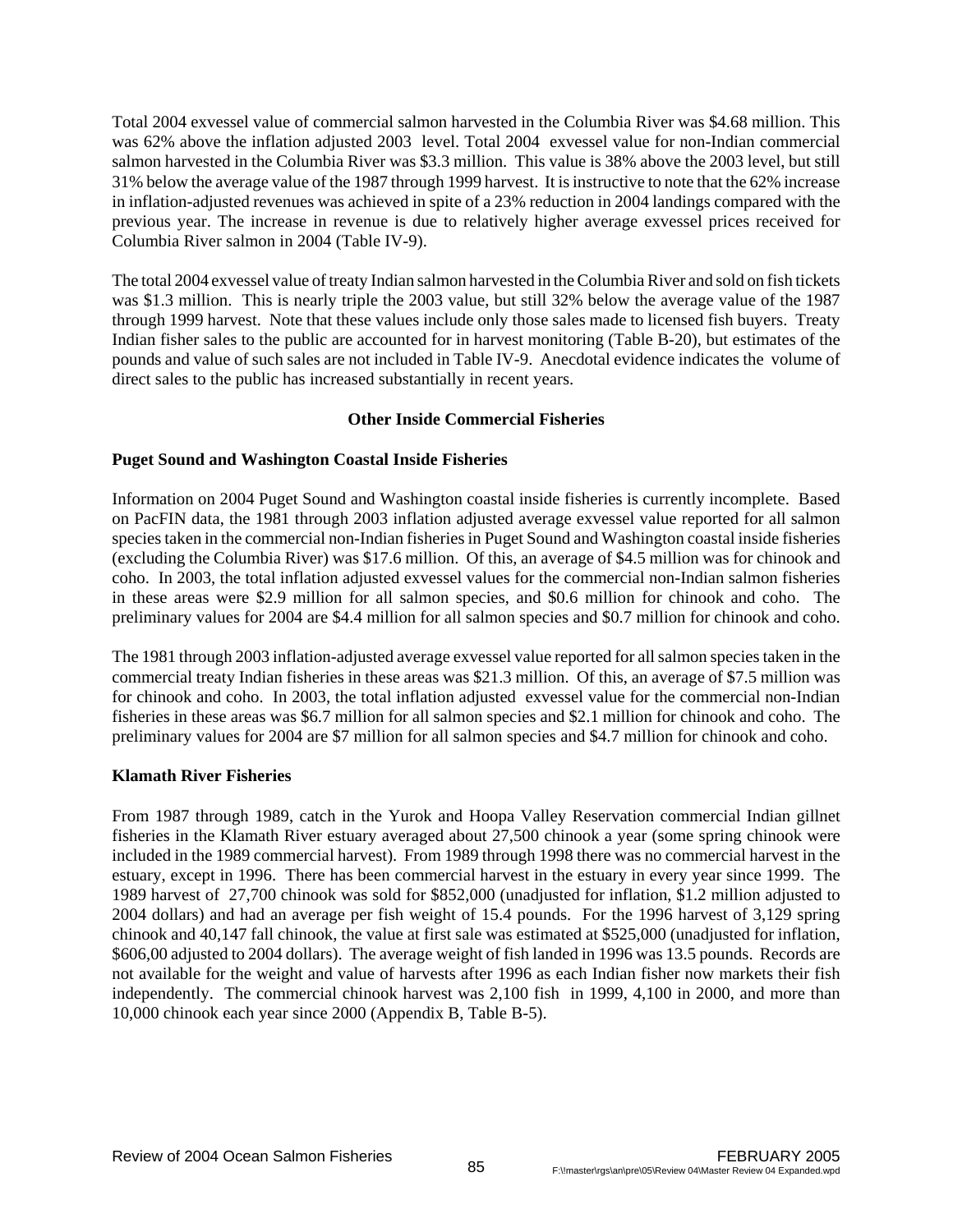Total 2004 exvessel value of commercial salmon harvested in the Columbia River was \$4.68 million. This was 62% above the inflation adjusted 2003 level. Total 2004 exvessel value for non-Indian commercial salmon harvested in the Columbia River was \$3.3 million. This value is 38% above the 2003 level, but still 31% below the average value of the 1987 through 1999 harvest. It is instructive to note that the 62% increase in inflation-adjusted revenues was achieved in spite of a 23% reduction in 2004 landings compared with the previous year. The increase in revenue is due to relatively higher average exvessel prices received for Columbia River salmon in 2004 (Table IV-9).

The total 2004 exvessel value of treaty Indian salmon harvested in the Columbia River and sold on fish tickets was \$1.3 million. This is nearly triple the 2003 value, but still 32% below the average value of the 1987 through 1999 harvest. Note that these values include only those sales made to licensed fish buyers. Treaty Indian fisher sales to the public are accounted for in harvest monitoring (Table B-20), but estimates of the pounds and value of such sales are not included in Table IV-9. Anecdotal evidence indicates the volume of direct sales to the public has increased substantially in recent years.

# **Other Inside Commercial Fisheries**

# **Puget Sound and Washington Coastal Inside Fisheries**

Information on 2004 Puget Sound and Washington coastal inside fisheries is currently incomplete. Based on PacFIN data, the 1981 through 2003 inflation adjusted average exvessel value reported for all salmon species taken in the commercial non-Indian fisheries in Puget Sound and Washington coastal inside fisheries (excluding the Columbia River) was \$17.6 million. Of this, an average of \$4.5 million was for chinook and coho. In 2003, the total inflation adjusted exvessel values for the commercial non-Indian salmon fisheries in these areas were \$2.9 million for all salmon species, and \$0.6 million for chinook and coho. The preliminary values for 2004 are \$4.4 million for all salmon species and \$0.7 million for chinook and coho.

The 1981 through 2003 inflation-adjusted average exvessel value reported for all salmon species taken in the commercial treaty Indian fisheries in these areas was \$21.3 million. Of this, an average of \$7.5 million was for chinook and coho. In 2003, the total inflation adjusted exvessel value for the commercial non-Indian fisheries in these areas was \$6.7 million for all salmon species and \$2.1 million for chinook and coho. The preliminary values for 2004 are \$7 million for all salmon species and \$4.7 million for chinook and coho.

# **Klamath River Fisheries**

From 1987 through 1989, catch in the Yurok and Hoopa Valley Reservation commercial Indian gillnet fisheries in the Klamath River estuary averaged about 27,500 chinook a year (some spring chinook were included in the 1989 commercial harvest). From 1989 through 1998 there was no commercial harvest in the estuary, except in 1996. There has been commercial harvest in the estuary in every year since 1999. The 1989 harvest of 27,700 chinook was sold for \$852,000 (unadjusted for inflation, \$1.2 million adjusted to 2004 dollars) and had an average per fish weight of 15.4 pounds. For the 1996 harvest of 3,129 spring chinook and 40,147 fall chinook, the value at first sale was estimated at \$525,000 (unadjusted for inflation, \$606,00 adjusted to 2004 dollars). The average weight of fish landed in 1996 was 13.5 pounds. Records are not available for the weight and value of harvests after 1996 as each Indian fisher now markets their fish independently. The commercial chinook harvest was 2,100 fish in 1999, 4,100 in 2000, and more than 10,000 chinook each year since 2000 (Appendix B, Table B-5).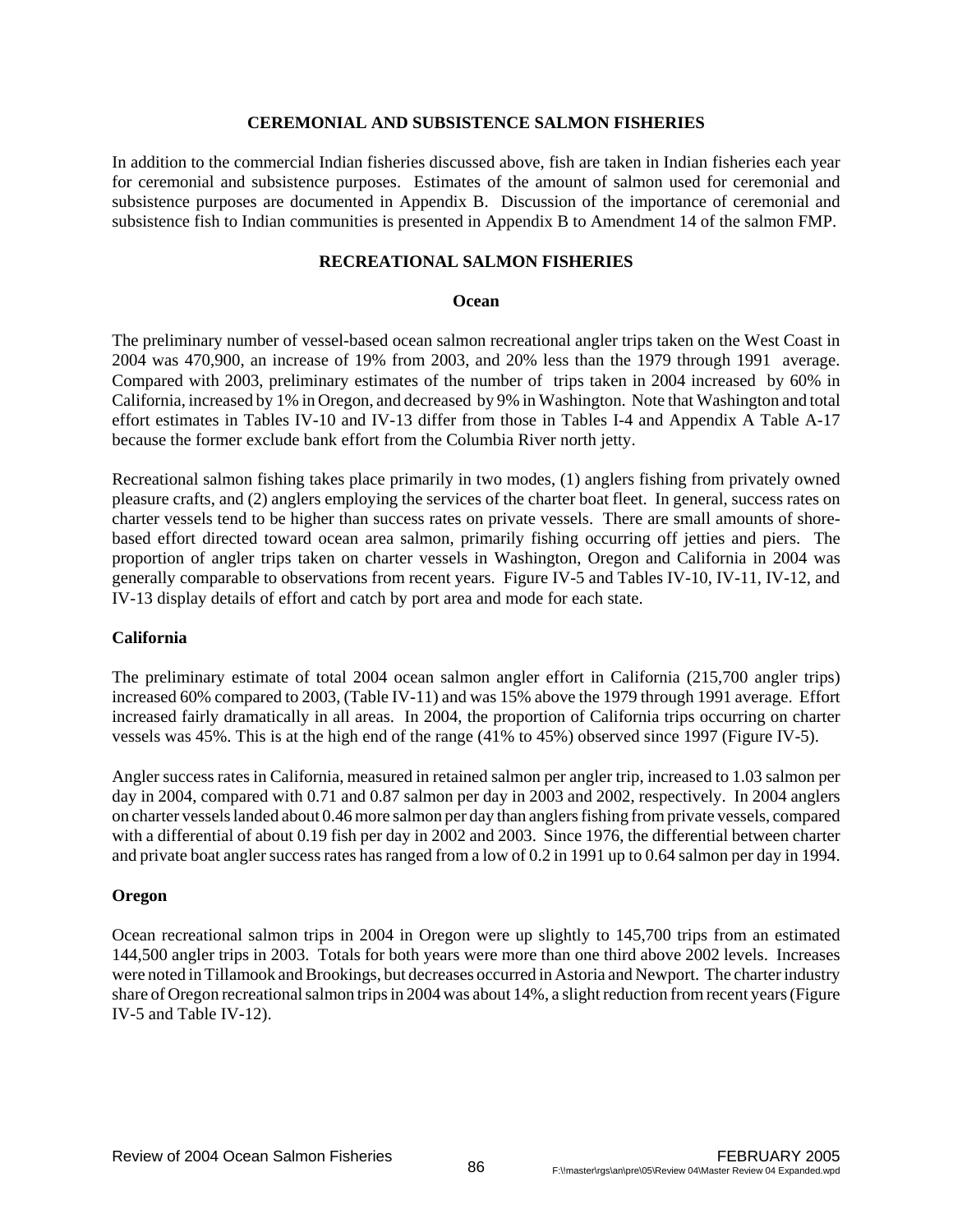#### **CEREMONIAL AND SUBSISTENCE SALMON FISHERIES**

In addition to the commercial Indian fisheries discussed above, fish are taken in Indian fisheries each year for ceremonial and subsistence purposes. Estimates of the amount of salmon used for ceremonial and subsistence purposes are documented in Appendix B. Discussion of the importance of ceremonial and subsistence fish to Indian communities is presented in Appendix B to Amendment 14 of the salmon FMP.

# **RECREATIONAL SALMON FISHERIES**

#### **Ocean**

The preliminary number of vessel-based ocean salmon recreational angler trips taken on the West Coast in 2004 was 470,900, an increase of 19% from 2003, and 20% less than the 1979 through 1991 average. Compared with 2003, preliminary estimates of the number of trips taken in 2004 increased by 60% in California, increased by 1% in Oregon, and decreased by 9% in Washington. Note that Washington and total effort estimates in Tables IV-10 and IV-13 differ from those in Tables I-4 and Appendix A Table A-17 because the former exclude bank effort from the Columbia River north jetty.

Recreational salmon fishing takes place primarily in two modes, (1) anglers fishing from privately owned pleasure crafts, and (2) anglers employing the services of the charter boat fleet. In general, success rates on charter vessels tend to be higher than success rates on private vessels. There are small amounts of shorebased effort directed toward ocean area salmon, primarily fishing occurring off jetties and piers. The proportion of angler trips taken on charter vessels in Washington, Oregon and California in 2004 was generally comparable to observations from recent years. Figure IV-5 and Tables IV-10, IV-11, IV-12, and IV-13 display details of effort and catch by port area and mode for each state.

# **California**

The preliminary estimate of total 2004 ocean salmon angler effort in California (215,700 angler trips) increased 60% compared to 2003, (Table IV-11) and was 15% above the 1979 through 1991 average. Effort increased fairly dramatically in all areas. In 2004, the proportion of California trips occurring on charter vessels was 45%. This is at the high end of the range (41% to 45%) observed since 1997 (Figure IV-5).

Angler success rates in California, measured in retained salmon per angler trip, increased to 1.03 salmon per day in 2004, compared with 0.71 and 0.87 salmon per day in 2003 and 2002, respectively. In 2004 anglers on charter vessels landed about 0.46 more salmon per day than anglers fishing from private vessels, compared with a differential of about 0.19 fish per day in 2002 and 2003. Since 1976, the differential between charter and private boat angler success rates has ranged from a low of 0.2 in 1991 up to 0.64 salmon per day in 1994.

# **Oregon**

Ocean recreational salmon trips in 2004 in Oregon were up slightly to 145,700 trips from an estimated 144,500 angler trips in 2003. Totals for both years were more than one third above 2002 levels. Increases were noted in Tillamook and Brookings, but decreases occurred in Astoria and Newport. The charter industry share of Oregon recreational salmon trips in 2004 was about 14%, a slight reduction from recent years (Figure IV-5 and Table IV-12).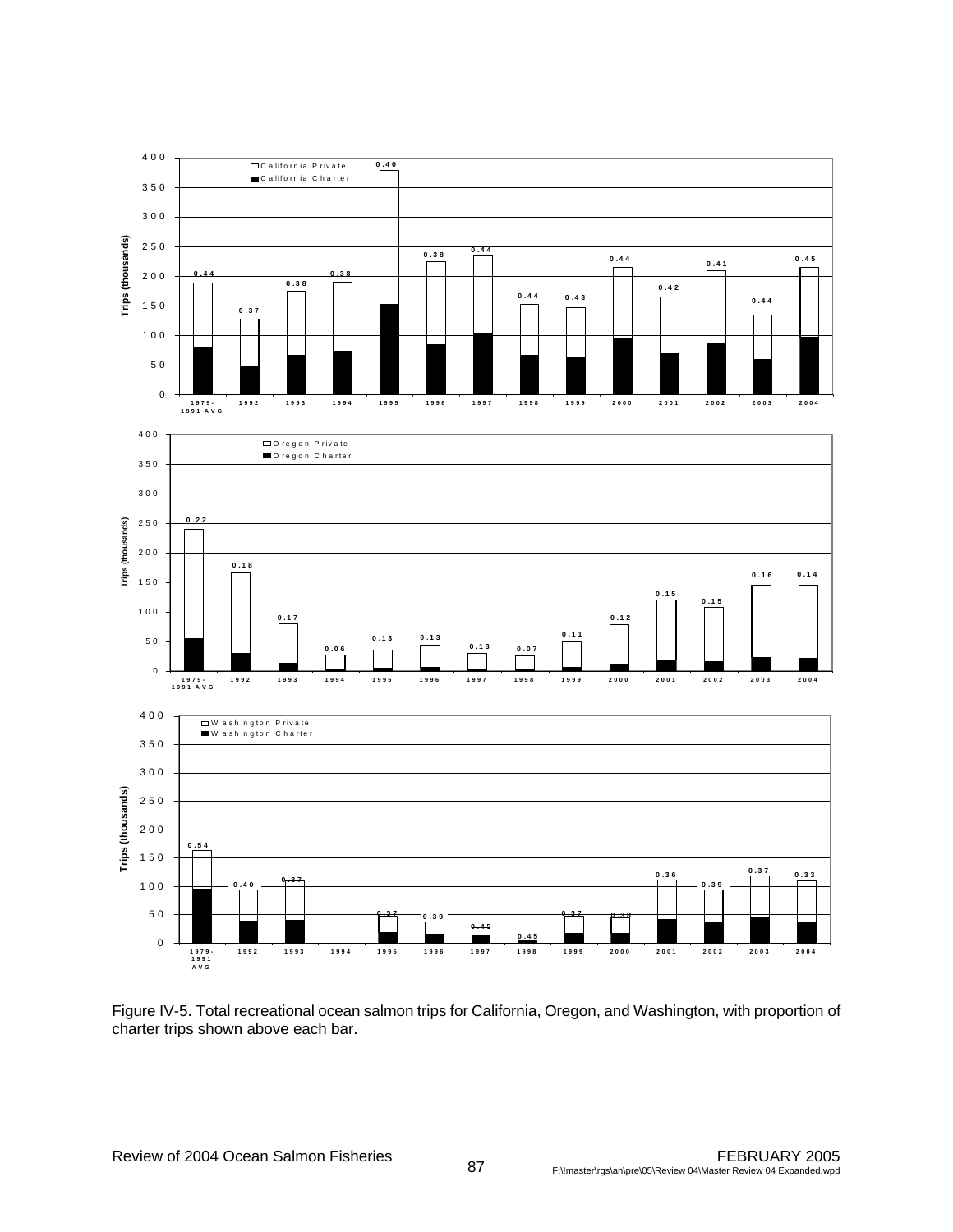

Figure IV-5. Total recreational ocean salmon trips for California, Oregon, and Washington, with proportion of charter trips shown above each bar.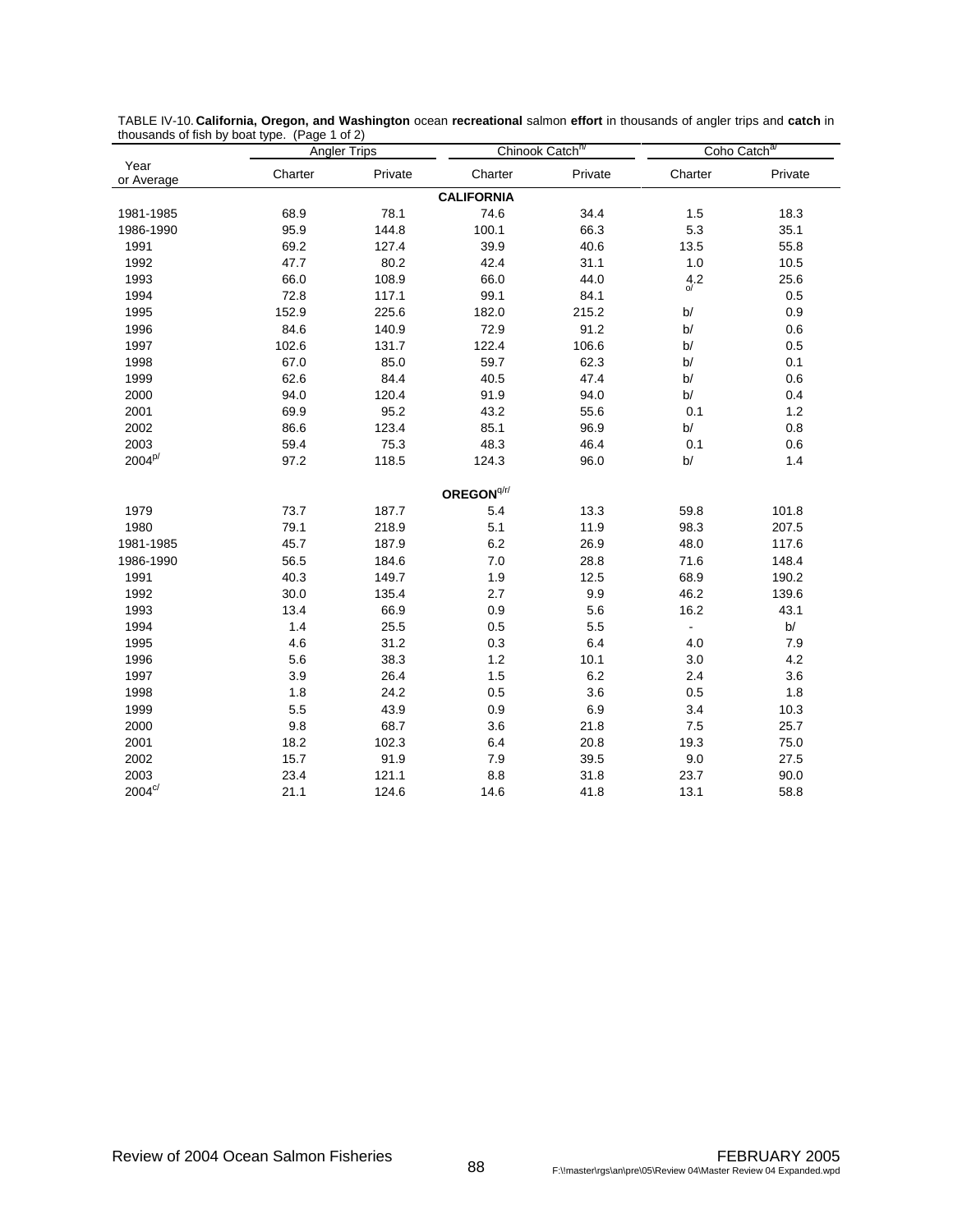|                    |         | <b>Angler Trips</b> | Chinook Catch <sup>n</sup> |         | Coho Catch <sup>a</sup> |         |  |
|--------------------|---------|---------------------|----------------------------|---------|-------------------------|---------|--|
| Year<br>or Average | Charter | Private             | Charter                    | Private | Charter                 | Private |  |
|                    |         |                     | <b>CALIFORNIA</b>          |         |                         |         |  |
| 1981-1985          | 68.9    | 78.1                | 74.6                       | 34.4    | 1.5                     | 18.3    |  |
| 1986-1990          | 95.9    | 144.8               | 100.1                      | 66.3    | 5.3                     | 35.1    |  |
| 1991               | 69.2    | 127.4               | 39.9                       | 40.6    | 13.5                    | 55.8    |  |
| 1992               | 47.7    | 80.2                | 42.4                       | 31.1    | $1.0$                   | 10.5    |  |
| 1993               | 66.0    | 108.9               | 66.0                       | 44.0    | $\frac{4.2}{9}$         | 25.6    |  |
| 1994               | 72.8    | 117.1               | 99.1                       | 84.1    |                         | 0.5     |  |
| 1995               | 152.9   | 225.6               | 182.0                      | 215.2   | b/                      | 0.9     |  |
| 1996               | 84.6    | 140.9               | 72.9                       | 91.2    | b/                      | 0.6     |  |
| 1997               | 102.6   | 131.7               | 122.4                      | 106.6   | b/                      | $0.5\,$ |  |
| 1998               | 67.0    | 85.0                | 59.7                       | 62.3    | b/                      | 0.1     |  |
| 1999               | 62.6    | 84.4                | 40.5                       | 47.4    | b/                      | 0.6     |  |
| 2000               | 94.0    | 120.4               | 91.9                       | 94.0    | b/                      | 0.4     |  |
| 2001               | 69.9    | 95.2                | 43.2                       | 55.6    | 0.1                     | $1.2$   |  |
| 2002               | 86.6    | 123.4               | 85.1                       | 96.9    | b/                      | 0.8     |  |
| 2003               | 59.4    | 75.3                | 48.3                       | 46.4    | 0.1                     | 0.6     |  |
| $2004^{p/}$        | 97.2    | 118.5               | 124.3                      | 96.0    | b/                      | 1.4     |  |
|                    |         |                     | OREGON <sup>q/r/</sup>     |         |                         |         |  |
| 1979               | 73.7    | 187.7               | 5.4                        | 13.3    | 59.8                    | 101.8   |  |
| 1980               | 79.1    | 218.9               | 5.1                        | 11.9    | 98.3                    | 207.5   |  |
| 1981-1985          | 45.7    | 187.9               | 6.2                        | 26.9    | 48.0                    | 117.6   |  |
| 1986-1990          | 56.5    | 184.6               | 7.0                        | 28.8    | 71.6                    | 148.4   |  |
| 1991               | 40.3    | 149.7               | 1.9                        | 12.5    | 68.9                    | 190.2   |  |
| 1992               | 30.0    | 135.4               | 2.7                        | 9.9     | 46.2                    | 139.6   |  |
| 1993               | 13.4    | 66.9                | 0.9                        | 5.6     | 16.2                    | 43.1    |  |
| 1994               | 1.4     | 25.5                | 0.5                        | 5.5     | $\blacksquare$          | b/      |  |
| 1995               | 4.6     | 31.2                | 0.3                        | 6.4     | 4.0                     | 7.9     |  |
| 1996               | 5.6     | 38.3                | $1.2$                      | 10.1    | 3.0                     | 4.2     |  |
| 1997               | 3.9     | 26.4                | 1.5                        | 6.2     | 2.4                     | 3.6     |  |
| 1998               | 1.8     | 24.2                | 0.5                        | 3.6     | 0.5                     | 1.8     |  |
| 1999               | 5.5     | 43.9                | 0.9                        | 6.9     | 3.4                     | 10.3    |  |
| 2000               | 9.8     | 68.7                | 3.6                        | 21.8    | 7.5                     | 25.7    |  |
| 2001               | 18.2    | 102.3               | 6.4                        | 20.8    | 19.3                    | 75.0    |  |
| 2002               | 15.7    | 91.9                | 7.9                        | 39.5    | 9.0                     | 27.5    |  |
| 2003               | 23.4    | 121.1               | 8.8                        | 31.8    | 23.7                    | 90.0    |  |
| $2004^{\circ/}$    | 21.1    | 124.6               | 14.6                       | 41.8    | 13.1                    | 58.8    |  |

TABLE IV-10. **California, Oregon, and Washington** ocean **recreational** salmon **effort** in thousands of angler trips and **catch** in thousands of fish by boat type. (Page 1 of 2)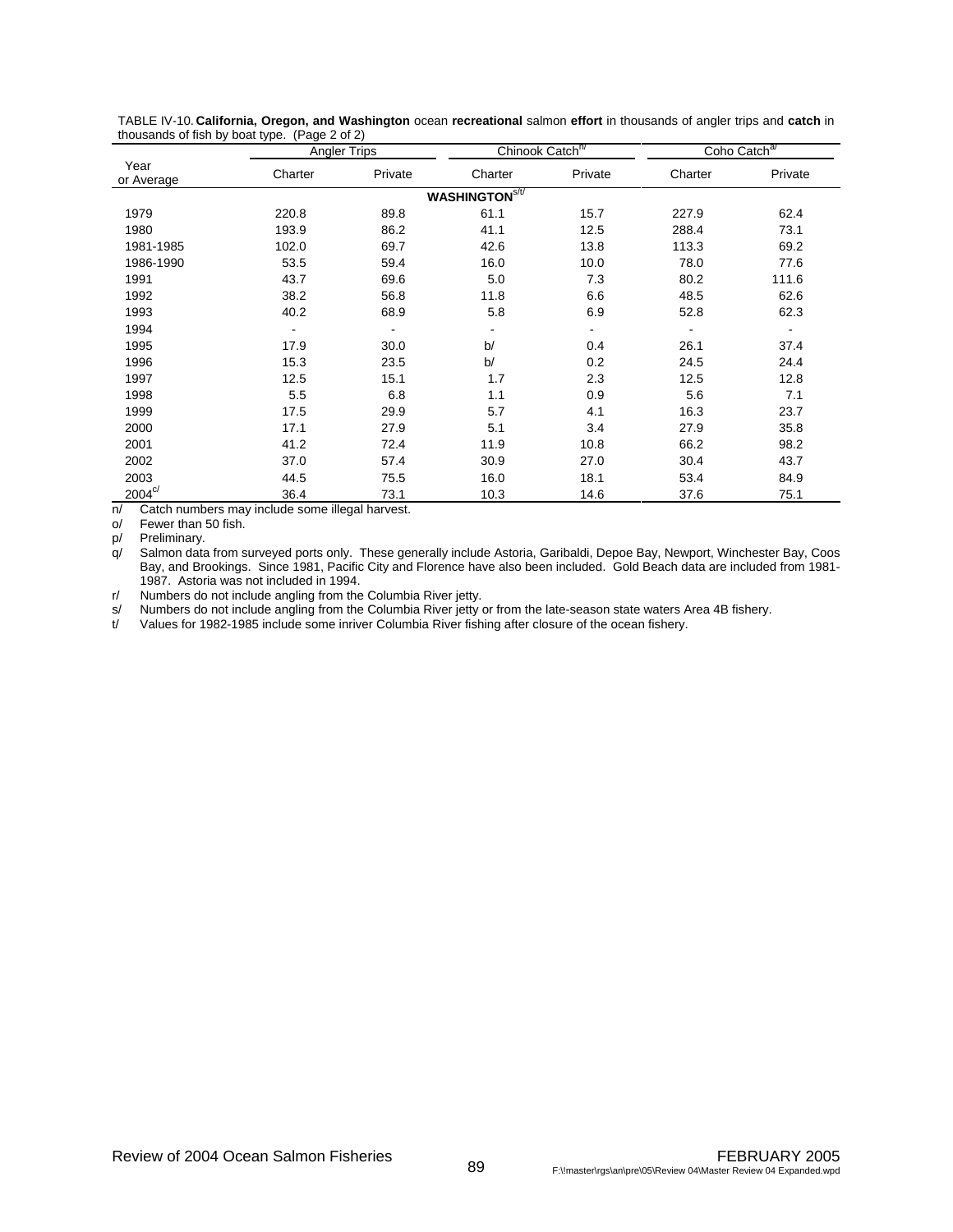|                    | ,,<br><b>Angler Trips</b> |         |                      | Chinook Catch <sup>n/</sup> | Coho Catch <sup>a/</sup> |         |  |
|--------------------|---------------------------|---------|----------------------|-----------------------------|--------------------------|---------|--|
| Year<br>or Average | Charter                   | Private | Charter              | Private                     | Charter                  | Private |  |
|                    |                           |         | <b>WASHINGTONS/U</b> |                             |                          |         |  |
| 1979               | 220.8                     | 89.8    | 61.1                 | 15.7                        | 227.9                    | 62.4    |  |
| 1980               | 193.9                     | 86.2    | 41.1                 | 12.5                        | 288.4                    | 73.1    |  |
| 1981-1985          | 102.0                     | 69.7    | 42.6                 | 13.8                        | 113.3                    | 69.2    |  |
| 1986-1990          | 53.5                      | 59.4    | 16.0                 | 10.0                        | 78.0                     | 77.6    |  |
| 1991               | 43.7                      | 69.6    | 5.0                  | 7.3                         | 80.2                     | 111.6   |  |
| 1992               | 38.2                      | 56.8    | 11.8                 | 6.6                         | 48.5                     | 62.6    |  |
| 1993               | 40.2                      | 68.9    | 5.8                  | 6.9                         | 52.8                     | 62.3    |  |
| 1994               | $\overline{\phantom{0}}$  |         |                      | ٠                           |                          |         |  |
| 1995               | 17.9                      | 30.0    | b/                   | 0.4                         | 26.1                     | 37.4    |  |
| 1996               | 15.3                      | 23.5    | b/                   | 0.2                         | 24.5                     | 24.4    |  |
| 1997               | 12.5                      | 15.1    | 1.7                  | 2.3                         | 12.5                     | 12.8    |  |
| 1998               | 5.5                       | 6.8     | 1.1                  | 0.9                         | 5.6                      | 7.1     |  |
| 1999               | 17.5                      | 29.9    | 5.7                  | 4.1                         | 16.3                     | 23.7    |  |
| 2000               | 17.1                      | 27.9    | 5.1                  | 3.4                         | 27.9                     | 35.8    |  |
| 2001               | 41.2                      | 72.4    | 11.9                 | 10.8                        | 66.2                     | 98.2    |  |
| 2002               | 37.0                      | 57.4    | 30.9                 | 27.0                        | 30.4                     | 43.7    |  |
| 2003               | 44.5                      | 75.5    | 16.0                 | 18.1                        | 53.4                     | 84.9    |  |
| $2004^{\circ/}$    | 36.4                      | 73.1    | 10.3                 | 14.6                        | 37.6                     | 75.1    |  |

TABLE IV-10. **California, Oregon, and Washington** ocean **recreational** salmon **effort** in thousands of angler trips and **catch** in thousands of fish by boat type. (Page 2 of 2)

n/ Catch numbers may include some illegal harvest.

o/ Fewer than 50 fish.

p/ Preliminary.

q/ Salmon data from surveyed ports only. These generally include Astoria, Garibaldi, Depoe Bay, Newport, Winchester Bay, Coos Bay, and Brookings. Since 1981, Pacific City and Florence have also been included. Gold Beach data are included from 1981- 1987. Astoria was not included in 1994.

r/ Numbers do not include angling from the Columbia River jetty.

s/ Numbers do not include angling from the Columbia River jetty or from the late-season state waters Area 4B fishery.<br>
Values for 1982-1985 include some inriver Columbia River fishing after closure of the ocean fishery.

Values for 1982-1985 include some inriver Columbia River fishing after closure of the ocean fishery.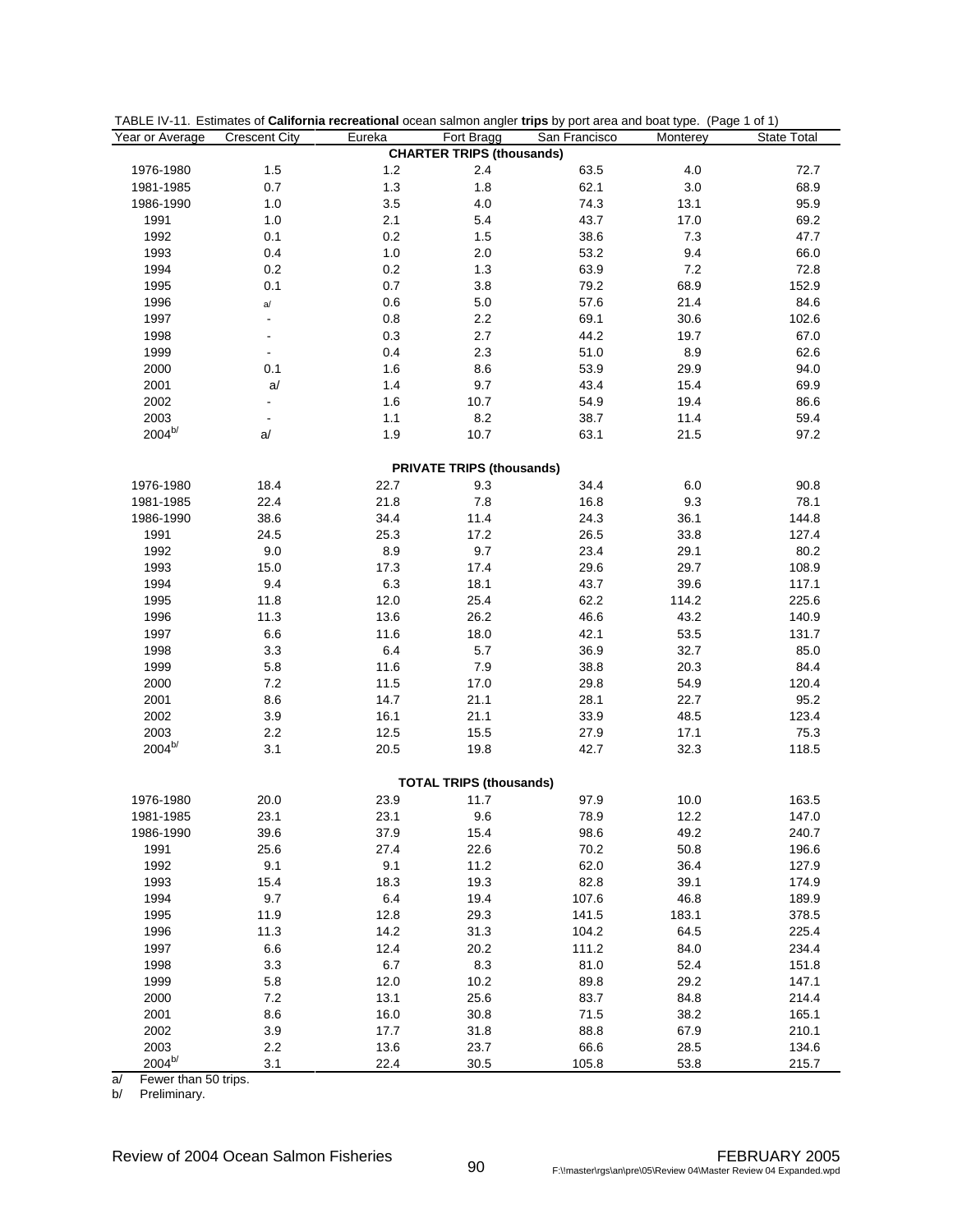| Year or Average | <b>Crescent City</b> | Eureka | Fort Bragg                       | TABLE IV-11. Estimates of <b>California recreational</b> ocean salmon angler trips by port area and boat type. (Page 1 of 1)<br>San Francisco | Monterey | State Total |
|-----------------|----------------------|--------|----------------------------------|-----------------------------------------------------------------------------------------------------------------------------------------------|----------|-------------|
|                 |                      |        | <b>CHARTER TRIPS (thousands)</b> |                                                                                                                                               |          |             |
| 1976-1980       | 1.5                  | 1.2    | 2.4                              | 63.5                                                                                                                                          | 4.0      | 72.7        |
| 1981-1985       | 0.7                  | 1.3    | 1.8                              | 62.1                                                                                                                                          | 3.0      | 68.9        |
| 1986-1990       | 1.0                  | 3.5    | 4.0                              | 74.3                                                                                                                                          | 13.1     | 95.9        |
| 1991            | 1.0                  | 2.1    | 5.4                              | 43.7                                                                                                                                          | 17.0     | 69.2        |
| 1992            | 0.1                  | 0.2    | 1.5                              | 38.6                                                                                                                                          | 7.3      | 47.7        |
| 1993            | 0.4                  | 1.0    | 2.0                              | 53.2                                                                                                                                          | 9.4      | 66.0        |
| 1994            | 0.2                  | 0.2    | 1.3                              | 63.9                                                                                                                                          | 7.2      | 72.8        |
| 1995            | 0.1                  | 0.7    | 3.8                              | 79.2                                                                                                                                          | 68.9     | 152.9       |
| 1996            | a/                   | 0.6    | $5.0\,$                          | 57.6                                                                                                                                          | 21.4     | 84.6        |
| 1997            | $\blacksquare$       | 0.8    | 2.2                              | 69.1                                                                                                                                          | 30.6     | 102.6       |
| 1998            | $\blacksquare$       | 0.3    | 2.7                              | 44.2                                                                                                                                          | 19.7     | 67.0        |
| 1999            | $\blacksquare$       | 0.4    | 2.3                              | 51.0                                                                                                                                          | 8.9      | 62.6        |
| 2000            | 0.1                  | 1.6    | 8.6                              | 53.9                                                                                                                                          | 29.9     | 94.0        |
| 2001            | a/                   | 1.4    | 9.7                              | 43.4                                                                                                                                          | 15.4     | 69.9        |
| 2002            | $\blacksquare$       | 1.6    | 10.7                             | 54.9                                                                                                                                          | 19.4     | 86.6        |
| 2003            | $\blacksquare$       | 1.1    | 8.2                              | 38.7                                                                                                                                          | 11.4     | 59.4        |
| $2004^{b/}$     | a/                   | 1.9    | 10.7                             | 63.1                                                                                                                                          | 21.5     | 97.2        |
|                 |                      |        | <b>PRIVATE TRIPS (thousands)</b> |                                                                                                                                               |          |             |
| 1976-1980       | 18.4                 | 22.7   | 9.3                              | 34.4                                                                                                                                          | 6.0      | 90.8        |
| 1981-1985       | 22.4                 | 21.8   | 7.8                              | 16.8                                                                                                                                          | 9.3      | 78.1        |
| 1986-1990       | 38.6                 | 34.4   | 11.4                             | 24.3                                                                                                                                          | 36.1     | 144.8       |
| 1991            | 24.5                 | 25.3   | 17.2                             | 26.5                                                                                                                                          | 33.8     | 127.4       |
| 1992            | 9.0                  | 8.9    | 9.7                              | 23.4                                                                                                                                          | 29.1     | 80.2        |
| 1993            | 15.0                 | 17.3   | 17.4                             | 29.6                                                                                                                                          | 29.7     | 108.9       |
| 1994            | 9.4                  | 6.3    | 18.1                             | 43.7                                                                                                                                          | 39.6     | 117.1       |
| 1995            | 11.8                 | 12.0   | 25.4                             | 62.2                                                                                                                                          | 114.2    | 225.6       |
| 1996            | 11.3                 | 13.6   | 26.2                             | 46.6                                                                                                                                          | 43.2     | 140.9       |
| 1997            | 6.6                  | 11.6   | 18.0                             | 42.1                                                                                                                                          | 53.5     | 131.7       |
| 1998            | 3.3                  | 6.4    | 5.7                              | 36.9                                                                                                                                          | 32.7     | 85.0        |
| 1999            | 5.8                  | 11.6   | 7.9                              | 38.8                                                                                                                                          | 20.3     | 84.4        |
| 2000            | 7.2                  | 11.5   | 17.0                             | 29.8                                                                                                                                          | 54.9     | 120.4       |
| 2001            | 8.6                  | 14.7   | 21.1                             | 28.1                                                                                                                                          | 22.7     | 95.2        |
| 2002            | 3.9                  | 16.1   | 21.1                             | 33.9                                                                                                                                          | 48.5     | 123.4       |
| 2003            | 2.2                  | 12.5   | 15.5                             | 27.9                                                                                                                                          | 17.1     | 75.3        |
| $2004^{b/}$     | 3.1                  | 20.5   | 19.8                             | 42.7                                                                                                                                          | 32.3     | 118.5       |
|                 |                      |        | <b>TOTAL TRIPS (thousands)</b>   |                                                                                                                                               |          |             |
| 1976-1980       | 20.0                 | 23.9   | 11.7                             | 97.9                                                                                                                                          | 10.0     | 163.5       |
| 1981-1985       | 23.1                 | 23.1   | 9.6                              | 78.9                                                                                                                                          | 12.2     | 147.0       |
| 1986-1990       | 39.6                 | 37.9   | 15.4                             | 98.6                                                                                                                                          | 49.2     | 240.7       |
| 1991            | 25.6                 | 27.4   | 22.6                             | 70.2                                                                                                                                          | 50.8     | 196.6       |
| 1992            | 9.1                  | 9.1    | 11.2                             | 62.0                                                                                                                                          | 36.4     | 127.9       |
| 1993            | 15.4                 | 18.3   | 19.3                             | 82.8                                                                                                                                          | 39.1     | 174.9       |
| 1994            | 9.7                  | 6.4    | 19.4                             | 107.6                                                                                                                                         | 46.8     | 189.9       |
| 1995            | 11.9                 | 12.8   | 29.3                             | 141.5                                                                                                                                         | 183.1    | 378.5       |
| 1996            | 11.3                 | 14.2   | 31.3                             | 104.2                                                                                                                                         | 64.5     | 225.4       |
| 1997            | 6.6                  | 12.4   | 20.2                             | 111.2                                                                                                                                         | 84.0     | 234.4       |
| 1998            | 3.3                  | 6.7    | 8.3                              | 81.0                                                                                                                                          | 52.4     | 151.8       |
| 1999            | 5.8                  | 12.0   | 10.2                             | 89.8                                                                                                                                          | 29.2     | 147.1       |
| 2000            | 7.2                  | 13.1   | 25.6                             | 83.7                                                                                                                                          | 84.8     | 214.4       |
| 2001            | 8.6                  | 16.0   | 30.8                             | 71.5                                                                                                                                          | 38.2     | 165.1       |
| 2002            | 3.9                  | 17.7   | 31.8                             | 88.8                                                                                                                                          | 67.9     | 210.1       |
| 2003            | 2.2                  | 13.6   | 23.7                             | 66.6                                                                                                                                          | 28.5     | 134.6       |
| $2004^{b/}$     | 3.1                  | 22.4   | 30.5                             | 105.8                                                                                                                                         | 53.8     | 215.7       |

TABLE IV-11. Estimates of **California recreational** ocean salmon angler **trips** by port area and boat type. (Page 1 of 1)

a/ Fewer than 50 trips.

b/ Preliminary.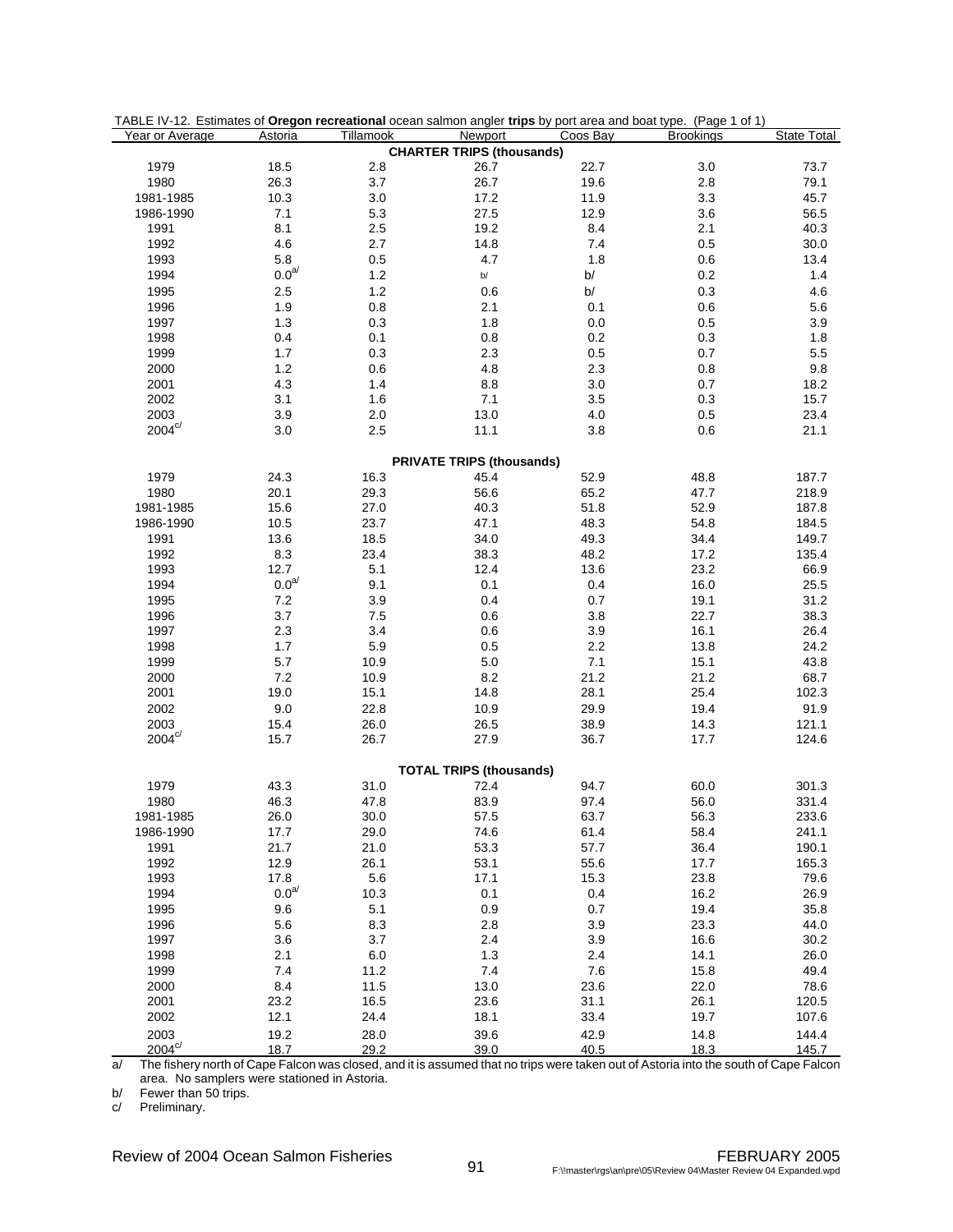| TABLE IV-12. Estimates of Oregon recreational ocean salmon angler trips by port area and boat type. (Page 1 of 1) |                   |           |                                  |          |                  |                    |
|-------------------------------------------------------------------------------------------------------------------|-------------------|-----------|----------------------------------|----------|------------------|--------------------|
| Year or Average                                                                                                   | Astoria           | Tillamook | Newport                          | Coos Bay | <b>Brookings</b> | <b>State Total</b> |
|                                                                                                                   |                   |           | <b>CHARTER TRIPS (thousands)</b> |          |                  |                    |
| 1979                                                                                                              | 18.5              | 2.8       | 26.7                             | 22.7     | 3.0              | 73.7               |
| 1980                                                                                                              | 26.3              | 3.7       | 26.7                             | 19.6     | 2.8              | 79.1               |
| 1981-1985                                                                                                         | 10.3              | 3.0       | 17.2                             | 11.9     | 3.3              | 45.7               |
| 1986-1990                                                                                                         | 7.1               | 5.3       | 27.5                             | 12.9     | 3.6              | 56.5               |
| 1991                                                                                                              | 8.1               | $2.5\,$   | 19.2                             | 8.4      | 2.1              | 40.3               |
| 1992                                                                                                              | 4.6               | 2.7       | 14.8                             | 7.4      | 0.5              | 30.0               |
| 1993                                                                                                              | 5.8               | 0.5       | 4.7                              | 1.8      | 0.6              | 13.4               |
| 1994                                                                                                              | $0.0^{\text{a/}}$ | $1.2$     | $\mathsf{b}/% \mathsf{b}$        | b/       | 0.2              | 1.4                |
| 1995                                                                                                              | 2.5               | $1.2$     | 0.6                              | b/       | 0.3              | 4.6                |
| 1996                                                                                                              | 1.9               | $0.8\,$   | 2.1                              | 0.1      | 0.6              | 5.6                |
| 1997                                                                                                              | 1.3               | 0.3       | 1.8                              | 0.0      | 0.5              | 3.9                |
| 1998                                                                                                              | 0.4               | 0.1       | 0.8                              | 0.2      | 0.3              | 1.8                |
| 1999                                                                                                              | 1.7               | 0.3       | 2.3                              | 0.5      | 0.7              | 5.5                |
| 2000                                                                                                              | 1.2               | 0.6       | 4.8                              | 2.3      | 0.8              | 9.8                |
| 2001                                                                                                              | 4.3               | 1.4       | 8.8                              | 3.0      | 0.7              | 18.2               |
| 2002                                                                                                              | 3.1               | 1.6       |                                  | 3.5      | 0.3              | 15.7               |
|                                                                                                                   |                   |           | 7.1                              |          |                  |                    |
| 2003                                                                                                              | 3.9               | 2.0       | 13.0                             | 4.0      | 0.5              | 23.4               |
| $2004^{\circ/}$                                                                                                   | 3.0               | 2.5       | 11.1                             | 3.8      | 0.6              | 21.1               |
|                                                                                                                   |                   |           |                                  |          |                  |                    |
|                                                                                                                   |                   |           | <b>PRIVATE TRIPS (thousands)</b> |          |                  |                    |
| 1979                                                                                                              | 24.3              | 16.3      | 45.4                             | 52.9     | 48.8             | 187.7              |
| 1980                                                                                                              | 20.1              | 29.3      | 56.6                             | 65.2     | 47.7             | 218.9              |
| 1981-1985                                                                                                         | 15.6              | 27.0      | 40.3                             | 51.8     | 52.9             | 187.8              |
| 1986-1990                                                                                                         | 10.5              | 23.7      | 47.1                             | 48.3     | 54.8             | 184.5              |
| 1991                                                                                                              | 13.6              | 18.5      | 34.0                             | 49.3     | 34.4             | 149.7              |
| 1992                                                                                                              | 8.3               | 23.4      | 38.3                             | 48.2     | 17.2             | 135.4              |
| 1993                                                                                                              | 12.7              | 5.1       | 12.4                             | 13.6     | 23.2             | 66.9               |
| 1994                                                                                                              | $0.0a$ /          | 9.1       | 0.1                              | 0.4      | 16.0             | 25.5               |
| 1995                                                                                                              | 7.2               | 3.9       | 0.4                              | 0.7      | 19.1             | 31.2               |
| 1996                                                                                                              | 3.7               | 7.5       | 0.6                              | 3.8      | 22.7             | 38.3               |
| 1997                                                                                                              | 2.3               | 3.4       | 0.6                              | 3.9      | 16.1             | 26.4               |
| 1998                                                                                                              | 1.7               | 5.9       | 0.5                              | 2.2      | 13.8             | 24.2               |
| 1999                                                                                                              | 5.7               | 10.9      | 5.0                              | 7.1      | 15.1             | 43.8               |
| 2000                                                                                                              | 7.2               | 10.9      | 8.2                              | 21.2     | 21.2             | 68.7               |
| 2001                                                                                                              | 19.0              | 15.1      | 14.8                             | 28.1     | 25.4             | 102.3              |
| 2002                                                                                                              | 9.0               | 22.8      | 10.9                             | 29.9     | 19.4             | 91.9               |
| 2003                                                                                                              | 15.4              | 26.0      | 26.5                             | 38.9     | 14.3             | 121.1              |
| $2004^{\mathrm{c}/}$                                                                                              | 15.7              | 26.7      | 27.9                             | 36.7     | 17.7             | 124.6              |
|                                                                                                                   |                   |           |                                  |          |                  |                    |
|                                                                                                                   |                   |           | <b>TOTAL TRIPS (thousands)</b>   |          |                  |                    |
| 1979                                                                                                              | 43.3              | 31.0      | 72.4                             | 94.7     | 60.0             | 301.3              |
| 1980                                                                                                              | 46.3              | 47.8      | 83.9                             | 97.4     | 56.0             | 331.4              |
| 1981-1985                                                                                                         | 26.0              | 30.0      | 57.5                             | 63.7     | 56.3             | 233.6              |
| 1986-1990                                                                                                         | 17.7              | 29.0      | 74.6                             | 61.4     | 58.4             | 241.1              |
| 1991                                                                                                              | 21.7              | 21.0      | 53.3                             | 57.7     | 36.4             | 190.1              |
|                                                                                                                   | 12.9              |           | 53.1                             | 55.6     | 17.7             | 165.3              |
| 1992                                                                                                              | 17.8              | 26.1      |                                  |          |                  |                    |
| 1993                                                                                                              | 0.0 <sup>a/</sup> | 5.6       | 17.1                             | 15.3     | 23.8             | 79.6               |
| 1994                                                                                                              |                   | 10.3      | 0.1                              | 0.4      | 16.2             | 26.9               |
| 1995                                                                                                              | 9.6               | 5.1       | 0.9                              | 0.7      | 19.4             | 35.8               |
| 1996                                                                                                              | 5.6               | 8.3       | 2.8                              | 3.9      | 23.3             | 44.0               |
| 1997                                                                                                              | 3.6               | 3.7       | 2.4                              | 3.9      | 16.6             | 30.2               |
| 1998                                                                                                              | 2.1               | $6.0\,$   | 1.3                              | 2.4      | 14.1             | 26.0               |
| 1999                                                                                                              | 7.4               | 11.2      | 7.4                              | 7.6      | 15.8             | 49.4               |
| 2000                                                                                                              | 8.4               | 11.5      | 13.0                             | 23.6     | 22.0             | 78.6               |
| 2001                                                                                                              | 23.2              | 16.5      | 23.6                             | 31.1     | 26.1             | 120.5              |
| 2002                                                                                                              | 12.1              | 24.4      | 18.1                             | 33.4     | 19.7             | 107.6              |
| 2003                                                                                                              | 19.2              | 28.0      | 39.6                             | 42.9     | 14.8             | 144.4              |
| $2004^{\circ/}$                                                                                                   | 18.7              | 29.2      | 39.0                             | 40.5     | 18.3             | 145.7              |

a/ The fishery north of Cape Falcon was closed, and it is assumed that no trips were taken out of Astoria into the south of Cape Falcon area. No samplers were stationed in Astoria.

b/ Fewer than 50 trips.

c/ Preliminary.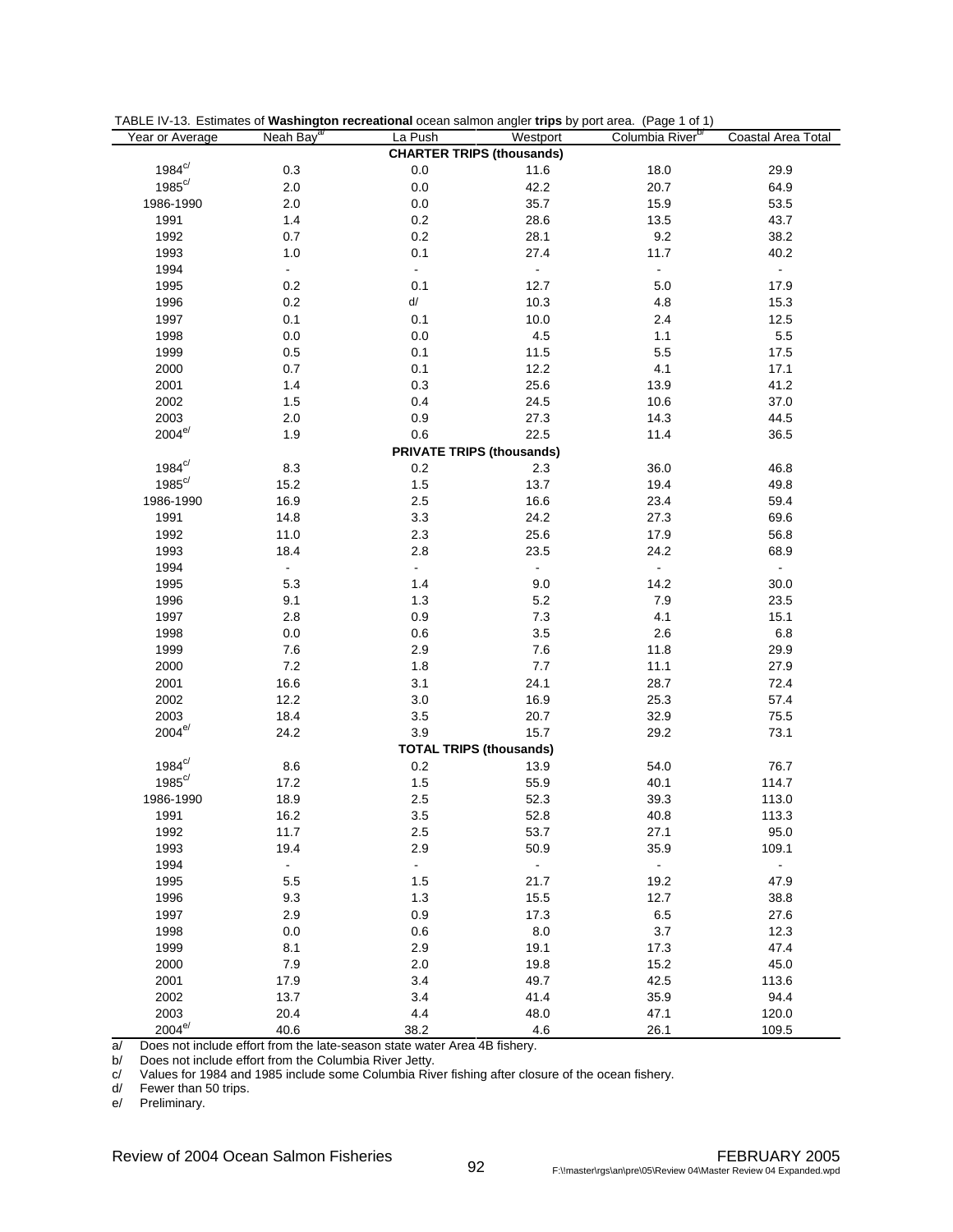| TABLE IV-13. Estimates of Washington recreational ocean salmon angler trips by port area. (Page 1 of 1) |  |  |
|---------------------------------------------------------------------------------------------------------|--|--|
|                                                                                                         |  |  |

| Year or Average      | Neah Bay <sup>ar</sup>      | La Push                          | Westport                         | כי יו<br>Columbia River <sup>b/</sup> | Coastal Area Total |
|----------------------|-----------------------------|----------------------------------|----------------------------------|---------------------------------------|--------------------|
|                      |                             |                                  | <b>CHARTER TRIPS (thousands)</b> |                                       |                    |
| $1984^{\circ}$       | $0.3\,$                     | 0.0                              | 11.6                             | 18.0                                  | 29.9               |
| $1985^{\circ/}$      | $2.0\,$                     | $0.0\,$                          | 42.2                             | 20.7                                  | 64.9               |
| 1986-1990            | $2.0\,$                     | $0.0\,$                          | 35.7                             | 15.9                                  | 53.5               |
| 1991                 | 1.4                         | 0.2                              | 28.6                             | 13.5                                  | 43.7               |
| 1992                 | 0.7                         | 0.2                              | 28.1                             | 9.2                                   | 38.2               |
| 1993                 | 1.0                         | 0.1                              | 27.4                             | 11.7                                  | 40.2               |
|                      | $\mathcal{L}_{\mathcal{A}}$ | ä,                               | $\omega$                         |                                       |                    |
| 1994                 |                             |                                  |                                  | ÷,                                    | $\omega_{\rm c}$   |
| 1995                 | 0.2                         | 0.1                              | 12.7                             | 5.0                                   | 17.9               |
| 1996                 | $0.2\,$                     | d/                               | 10.3                             | 4.8                                   | 15.3               |
| 1997                 | 0.1                         | 0.1                              | 10.0                             | 2.4                                   | 12.5               |
| 1998                 | $0.0\,$                     | $0.0\,$                          | $4.5\,$                          | 1.1                                   | $5.5\,$            |
| 1999                 | $0.5\,$                     | 0.1                              | 11.5                             | $5.5\,$                               | 17.5               |
| 2000                 | 0.7                         | 0.1                              | 12.2                             | 4.1                                   | 17.1               |
| 2001                 | $1.4$                       | 0.3                              | 25.6                             | 13.9                                  | 41.2               |
| 2002                 | $1.5\,$                     | 0.4                              | 24.5                             | 10.6                                  | 37.0               |
| 2003                 | $2.0\,$                     | 0.9                              | 27.3                             | 14.3                                  | 44.5               |
| $2004^{\mathrm{e}/}$ | 1.9                         | 0.6                              | 22.5                             | 11.4                                  | 36.5               |
|                      |                             | <b>PRIVATE TRIPS (thousands)</b> |                                  |                                       |                    |
| $1984^{\circ/}$      | 8.3                         | $0.2\,$                          | 2.3                              | 36.0                                  | 46.8               |
| $1985^{c/}$          | 15.2                        | 1.5                              | 13.7                             | 19.4                                  | 49.8               |
| 1986-1990            | 16.9                        | 2.5                              | 16.6                             | 23.4                                  | 59.4               |
| 1991                 | 14.8                        | 3.3                              | 24.2                             | 27.3                                  | 69.6               |
| 1992                 | 11.0                        | 2.3                              | 25.6                             | 17.9                                  | 56.8               |
| 1993                 | 18.4                        | 2.8                              | 23.5                             | 24.2                                  | 68.9               |
| 1994                 | $\blacksquare$              | $\blacksquare$                   | $\blacksquare$                   |                                       | $\bullet$          |
| 1995                 | 5.3                         | 1.4                              | 9.0                              | 14.2                                  | 30.0               |
| 1996                 | 9.1                         | 1.3                              | $5.2\,$                          | $7.9$                                 | 23.5               |
| 1997                 | 2.8                         | 0.9                              | $7.3$                            | 4.1                                   | 15.1               |
| 1998                 | $0.0\,$                     | 0.6                              | $3.5\,$                          | 2.6                                   | $6.8\,$            |
| 1999                 | 7.6                         | 2.9                              | 7.6                              | 11.8                                  | 29.9               |
| 2000                 | 7.2                         | 1.8                              | 7.7                              | 11.1                                  | 27.9               |
| 2001                 | 16.6                        | 3.1                              | 24.1                             | 28.7                                  | 72.4               |
|                      |                             |                                  |                                  |                                       |                    |
| 2002                 | 12.2                        | $3.0\,$                          | 16.9                             | 25.3                                  | 57.4               |
| 2003<br>$2004^{e/}$  | 18.4                        | 3.5                              | 20.7                             | 32.9                                  | 75.5               |
|                      | 24.2                        | 3.9                              | 15.7                             | 29.2                                  | 73.1               |
| $1984^{\circ/}$      |                             | <b>TOTAL TRIPS (thousands)</b>   |                                  |                                       |                    |
|                      | $8.6\,$                     | $0.2\,$                          | 13.9                             | 54.0                                  | 76.7               |
| $1985^{c/}$          | 17.2                        | 1.5                              | 55.9                             | 40.1                                  | 114.7              |
| 1986-1990            | 18.9                        | 2.5                              | 52.3                             | 39.3                                  | 113.0              |
| 1991                 | 16.2                        | 3.5                              | 52.8                             | 40.8                                  | 113.3              |
| 1992                 | 11.7                        | 2.5                              | 53.7                             | 27.1                                  | 95.0               |
| 1993                 | 19.4                        | 2.9                              | 50.9                             | 35.9                                  | 109.1              |
| 1994                 | $\blacksquare$              | $\omega_{\rm{eff}}$              | $\omega_{\rm c}$                 | $\overline{\phantom{a}}$              | $\blacksquare$     |
| 1995                 | $5.5\,$                     | 1.5                              | 21.7                             | 19.2                                  | 47.9               |
| 1996                 | 9.3                         | 1.3                              | 15.5                             | 12.7                                  | 38.8               |
| 1997                 | 2.9                         | 0.9                              | 17.3                             | $6.5\,$                               | 27.6               |
| 1998                 | 0.0                         | 0.6                              | 8.0                              | 3.7                                   | 12.3               |
| 1999                 | 8.1                         | 2.9                              | 19.1                             | 17.3                                  | 47.4               |
| 2000                 | $7.9$                       | 2.0                              | 19.8                             | 15.2                                  | 45.0               |
| 2001                 | 17.9                        | 3.4                              | 49.7                             | 42.5                                  | 113.6              |
| 2002                 | 13.7                        | 3.4                              | 41.4                             | 35.9                                  | 94.4               |
| 2003                 | 20.4                        | 4.4                              | 48.0                             | 47.1                                  | 120.0              |
| $2004^{e/}$          | 40.6                        | 38.2                             | 4.6                              | 26.1                                  | 109.5              |

 $a$  Does not include effort from the late-season state water Area 4B fishery.<br>b/ Does not include effort from the Columbia River Jetty.

b/ Does not include effort from the Columbia River Jetty.

c/ Values for 1984 and 1985 include some Columbia River fishing after closure of the ocean fishery.

d/ Fewer than 50 trips.

e/ Preliminary.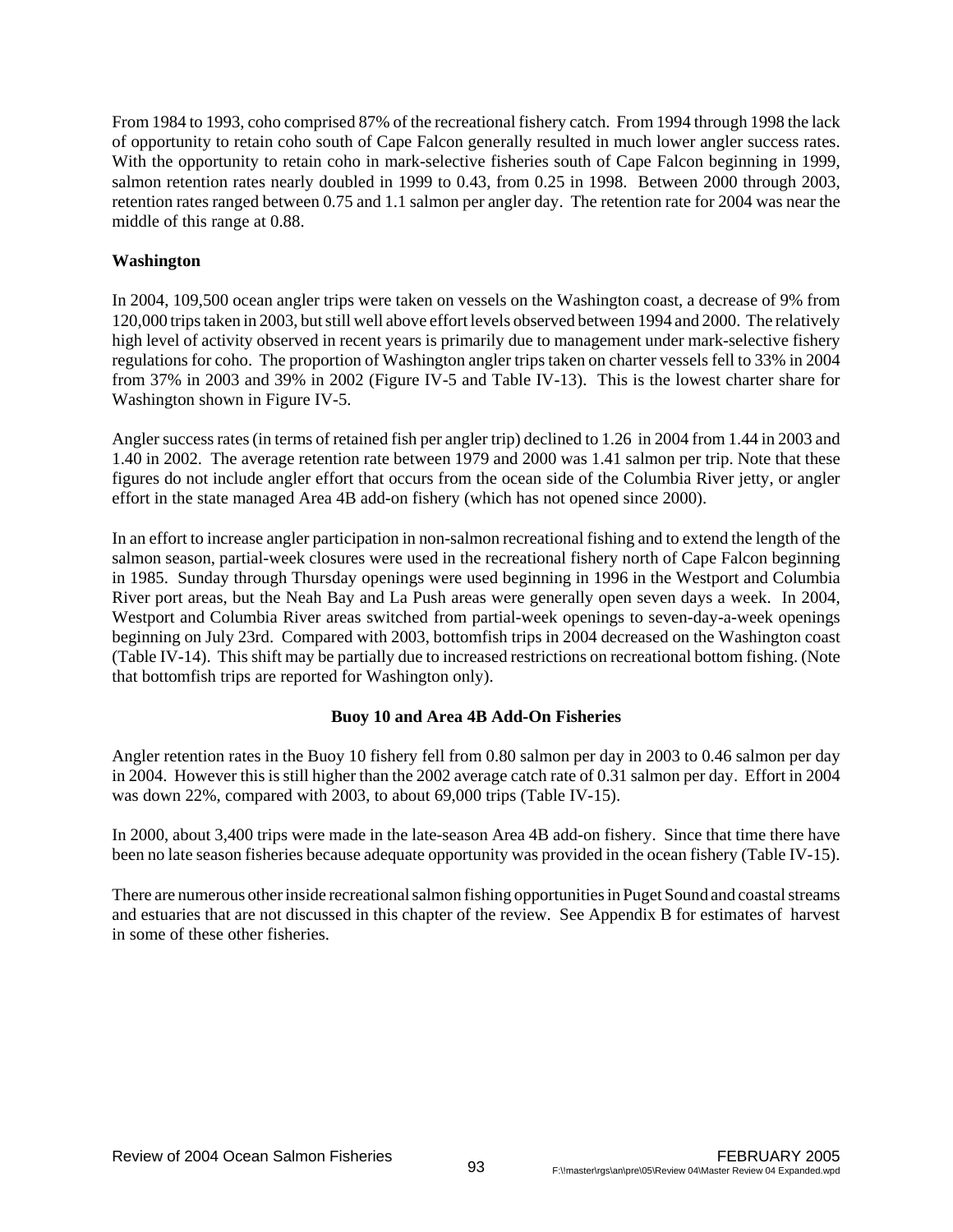From 1984 to 1993, coho comprised 87% of the recreational fishery catch. From 1994 through 1998 the lack of opportunity to retain coho south of Cape Falcon generally resulted in much lower angler success rates. With the opportunity to retain coho in mark-selective fisheries south of Cape Falcon beginning in 1999, salmon retention rates nearly doubled in 1999 to 0.43, from 0.25 in 1998. Between 2000 through 2003, retention rates ranged between 0.75 and 1.1 salmon per angler day. The retention rate for 2004 was near the middle of this range at 0.88.

# **Washington**

In 2004, 109,500 ocean angler trips were taken on vessels on the Washington coast, a decrease of 9% from 120,000 trips taken in 2003, but still well above effort levels observed between 1994 and 2000. The relatively high level of activity observed in recent years is primarily due to management under mark-selective fishery regulations for coho. The proportion of Washington angler trips taken on charter vessels fell to 33% in 2004 from 37% in 2003 and 39% in 2002 (Figure IV-5 and Table IV-13). This is the lowest charter share for Washington shown in Figure IV-5.

Angler success rates (in terms of retained fish per angler trip) declined to 1.26 in 2004 from 1.44 in 2003 and 1.40 in 2002. The average retention rate between 1979 and 2000 was 1.41 salmon per trip. Note that these figures do not include angler effort that occurs from the ocean side of the Columbia River jetty, or angler effort in the state managed Area 4B add-on fishery (which has not opened since 2000).

In an effort to increase angler participation in non-salmon recreational fishing and to extend the length of the salmon season, partial-week closures were used in the recreational fishery north of Cape Falcon beginning in 1985. Sunday through Thursday openings were used beginning in 1996 in the Westport and Columbia River port areas, but the Neah Bay and La Push areas were generally open seven days a week. In 2004, Westport and Columbia River areas switched from partial-week openings to seven-day-a-week openings beginning on July 23rd. Compared with 2003, bottomfish trips in 2004 decreased on the Washington coast (Table IV-14). This shift may be partially due to increased restrictions on recreational bottom fishing. (Note that bottomfish trips are reported for Washington only).

# **Buoy 10 and Area 4B Add-On Fisheries**

Angler retention rates in the Buoy 10 fishery fell from 0.80 salmon per day in 2003 to 0.46 salmon per day in 2004. However this is still higher than the 2002 average catch rate of 0.31 salmon per day. Effort in 2004 was down 22%, compared with 2003, to about 69,000 trips (Table IV-15).

In 2000, about 3,400 trips were made in the late-season Area 4B add-on fishery. Since that time there have been no late season fisheries because adequate opportunity was provided in the ocean fishery (Table IV-15).

There are numerous other inside recreational salmon fishing opportunities in Puget Sound and coastal streams and estuaries that are not discussed in this chapter of the review. See Appendix B for estimates of harvest in some of these other fisheries.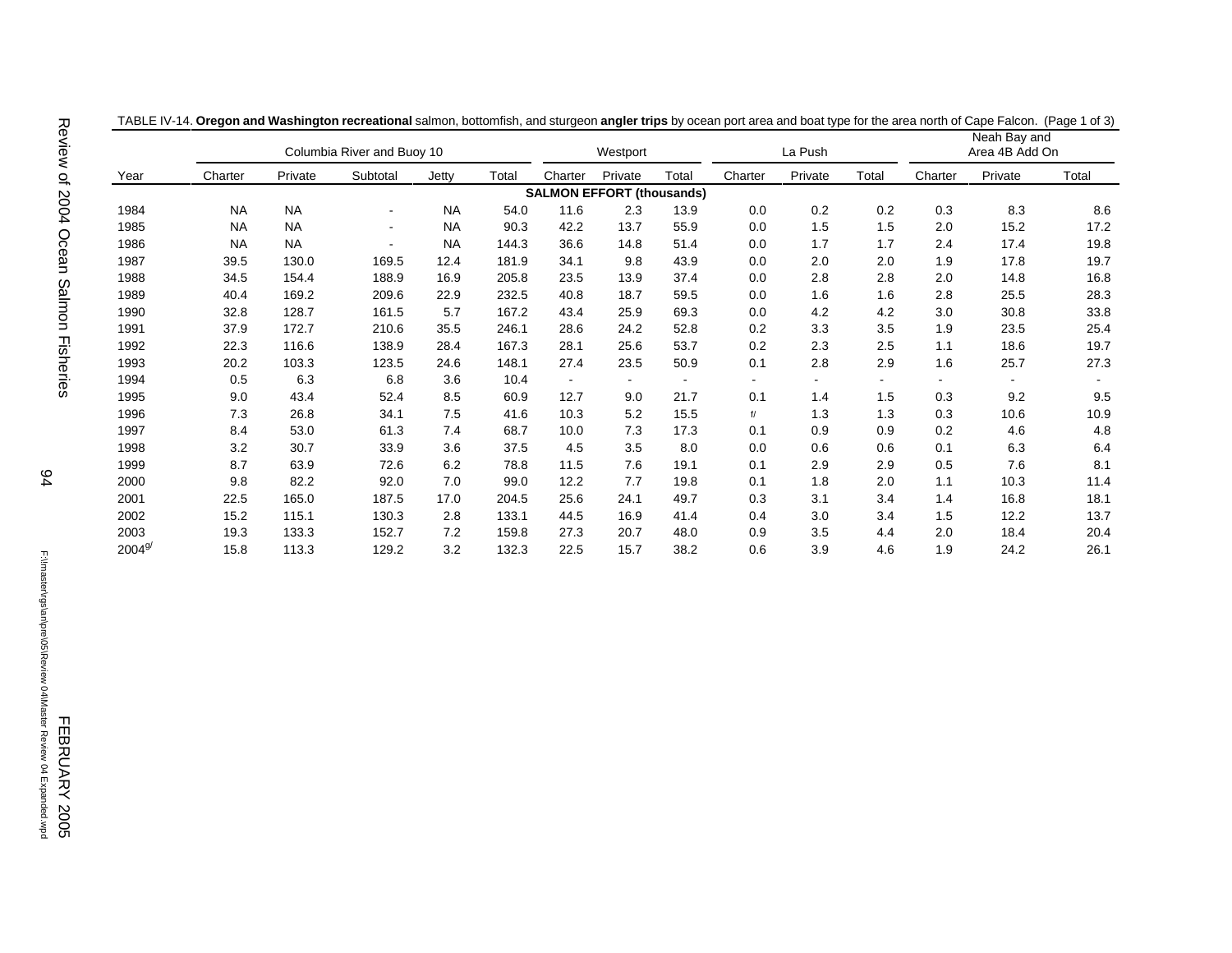|             |           | Columbia River and Buoy 10 |                          |           | Westport |         |                                  | La Push |         |         | Neah Bay and<br>Area 4B Add On |         |         |       |
|-------------|-----------|----------------------------|--------------------------|-----------|----------|---------|----------------------------------|---------|---------|---------|--------------------------------|---------|---------|-------|
| Year        | Charter   | Private                    | Subtotal                 | Jetty     | Total    | Charter | Private                          | Total   | Charter | Private | Total                          | Charter | Private | Total |
|             |           |                            |                          |           |          |         | <b>SALMON EFFORT (thousands)</b> |         |         |         |                                |         |         |       |
| 1984        | <b>NA</b> | <b>NA</b>                  | $\overline{\phantom{a}}$ | <b>NA</b> | 54.0     | 11.6    | 2.3                              | 13.9    | 0.0     | 0.2     | 0.2                            | 0.3     | 8.3     | 8.6   |
| 1985        | <b>NA</b> | <b>NA</b>                  | $\overline{\phantom{a}}$ | <b>NA</b> | 90.3     | 42.2    | 13.7                             | 55.9    | 0.0     | 1.5     | 1.5                            | 2.0     | 15.2    | 17.2  |
| 1986        | <b>NA</b> | <b>NA</b>                  | -                        | <b>NA</b> | 144.3    | 36.6    | 14.8                             | 51.4    | 0.0     | 1.7     | 1.7                            | 2.4     | 17.4    | 19.8  |
| 1987        | 39.5      | 130.0                      | 169.5                    | 12.4      | 181.9    | 34.1    | 9.8                              | 43.9    | 0.0     | 2.0     | 2.0                            | 1.9     | 17.8    | 19.7  |
| 1988        | 34.5      | 154.4                      | 188.9                    | 16.9      | 205.8    | 23.5    | 13.9                             | 37.4    | 0.0     | 2.8     | 2.8                            | 2.0     | 14.8    | 16.8  |
| 1989        | 40.4      | 169.2                      | 209.6                    | 22.9      | 232.5    | 40.8    | 18.7                             | 59.5    | 0.0     | 1.6     | 1.6                            | 2.8     | 25.5    | 28.3  |
| 1990        | 32.8      | 128.7                      | 161.5                    | 5.7       | 167.2    | 43.4    | 25.9                             | 69.3    | 0.0     | 4.2     | 4.2                            | 3.0     | 30.8    | 33.8  |
| 1991        | 37.9      | 172.7                      | 210.6                    | 35.5      | 246.1    | 28.6    | 24.2                             | 52.8    | 0.2     | 3.3     | 3.5                            | 1.9     | 23.5    | 25.4  |
| 1992        | 22.3      | 116.6                      | 138.9                    | 28.4      | 167.3    | 28.1    | 25.6                             | 53.7    | 0.2     | 2.3     | 2.5                            | 1.1     | 18.6    | 19.7  |
| 1993        | 20.2      | 103.3                      | 123.5                    | 24.6      | 148.1    | 27.4    | 23.5                             | 50.9    | 0.1     | 2.8     | 2.9                            | 1.6     | 25.7    | 27.3  |
| 1994        | 0.5       | 6.3                        | 6.8                      | 3.6       | 10.4     |         |                                  |         |         |         |                                |         |         |       |
| 1995        | 9.0       | 43.4                       | 52.4                     | 8.5       | 60.9     | 12.7    | 9.0                              | 21.7    | 0.1     | 1.4     | 1.5                            | 0.3     | 9.2     | 9.5   |
| 1996        | 7.3       | 26.8                       | 34.1                     | 7.5       | 41.6     | 10.3    | 5.2                              | 15.5    | f/      | 1.3     | 1.3                            | 0.3     | 10.6    | 10.9  |
| 1997        | 8.4       | 53.0                       | 61.3                     | 7.4       | 68.7     | 10.0    | 7.3                              | 17.3    | 0.1     | 0.9     | 0.9                            | 0.2     | 4.6     | 4.8   |
| 1998        | 3.2       | 30.7                       | 33.9                     | 3.6       | 37.5     | 4.5     | 3.5                              | 8.0     | 0.0     | 0.6     | 0.6                            | 0.1     | 6.3     | 6.4   |
| 1999        | 8.7       | 63.9                       | 72.6                     | 6.2       | 78.8     | 11.5    | 7.6                              | 19.1    | 0.1     | 2.9     | 2.9                            | 0.5     | 7.6     | 8.1   |
| 2000        | 9.8       | 82.2                       | 92.0                     | 7.0       | 99.0     | 12.2    | 7.7                              | 19.8    | 0.1     | 1.8     | 2.0                            | 1.1     | 10.3    | 11.4  |
| 2001        | 22.5      | 165.0                      | 187.5                    | 17.0      | 204.5    | 25.6    | 24.1                             | 49.7    | 0.3     | 3.1     | 3.4                            | 1.4     | 16.8    | 18.1  |
| 2002        | 15.2      | 115.1                      | 130.3                    | 2.8       | 133.1    | 44.5    | 16.9                             | 41.4    | 0.4     | 3.0     | 3.4                            | 1.5     | 12.2    | 13.7  |
| 2003        | 19.3      | 133.3                      | 152.7                    | 7.2       | 159.8    | 27.3    | 20.7                             | 48.0    | 0.9     | 3.5     | 4.4                            | 2.0     | 18.4    | 20.4  |
| $2004^{9'}$ | 15.8      | 113.3                      | 129.2                    | 3.2       | 132.3    | 22.5    | 15.7                             | 38.2    | 0.6     | 3.9     | 4.6                            | 1.9     | 24.2    | 26.1  |

TABLE IV-14. **Oregon and Washington recreational** salmon, bottomfish, and sturgeon **angler trips** by ocean port area and boat type for the area north of Cape Falcon. (Page 1 of 3)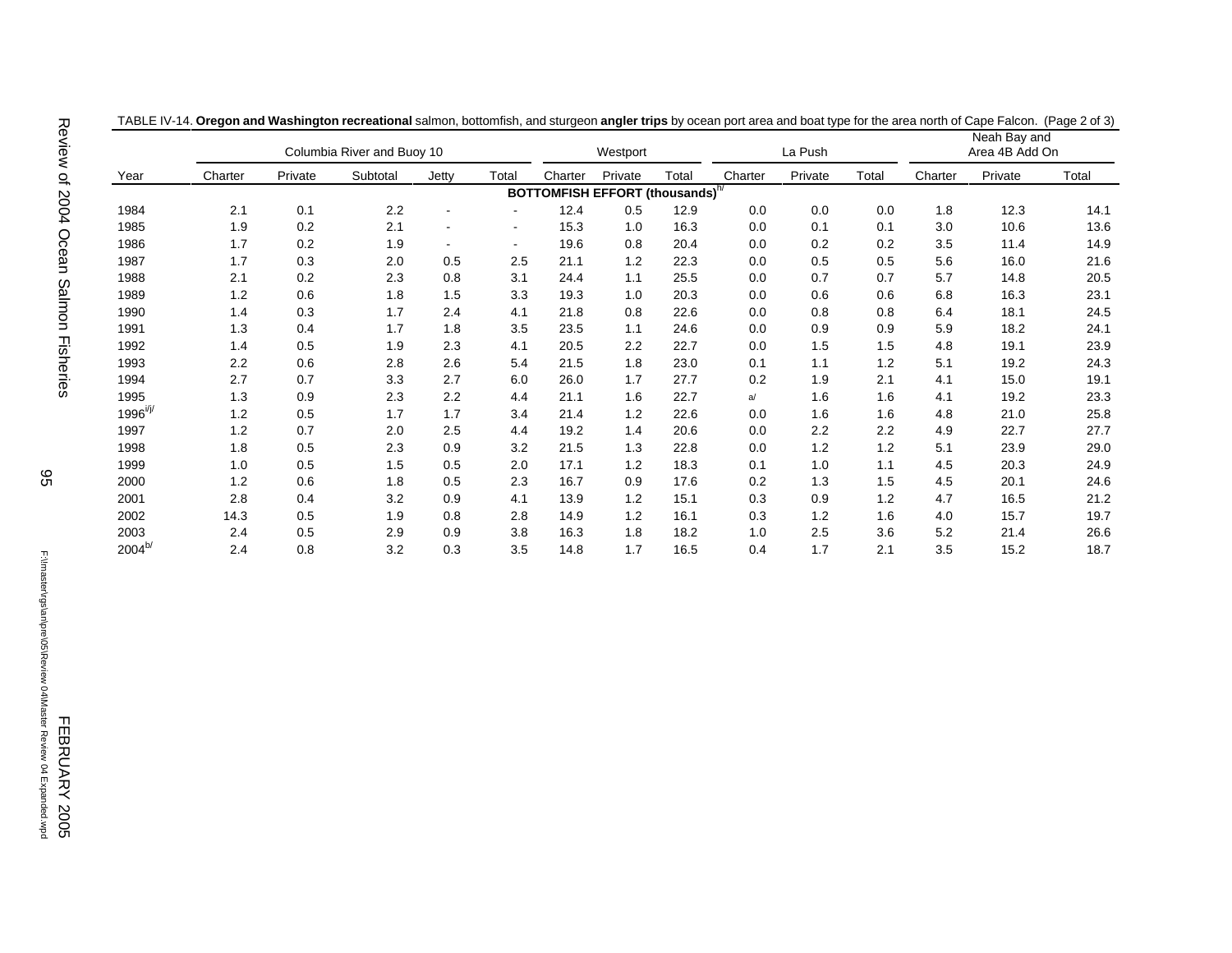|                | Columbia River and Buoy 10 |         |          |       |                | Westport |                                             | La Push |         |         | Neah Bay and<br>Area 4B Add On |         |         |       |
|----------------|----------------------------|---------|----------|-------|----------------|----------|---------------------------------------------|---------|---------|---------|--------------------------------|---------|---------|-------|
| Year           | Charter                    | Private | Subtotal | Jetty | Total          | Charter  | Private                                     | Total   | Charter | Private | Total                          | Charter | Private | Total |
|                |                            |         |          |       |                |          | BOTTOMFISH EFFORT (thousands) <sup>h/</sup> |         |         |         |                                |         |         |       |
| 1984           | 2.1                        | 0.1     | 2.2      |       |                | 12.4     | 0.5                                         | 12.9    | 0.0     | 0.0     | 0.0                            | 1.8     | 12.3    | 14.1  |
| 1985           | 1.9                        | 0.2     | 2.1      |       |                | 15.3     | 1.0                                         | 16.3    | 0.0     | 0.1     | 0.1                            | 3.0     | 10.6    | 13.6  |
| 1986           | 1.7                        | 0.2     | 1.9      |       | $\blacksquare$ | 19.6     | 0.8                                         | 20.4    | 0.0     | 0.2     | 0.2                            | 3.5     | 11.4    | 14.9  |
| 1987           | 1.7                        | 0.3     | 2.0      | 0.5   | 2.5            | 21.1     | 1.2                                         | 22.3    | 0.0     | 0.5     | 0.5                            | 5.6     | 16.0    | 21.6  |
| 1988           | 2.1                        | 0.2     | 2.3      | 0.8   | 3.1            | 24.4     | 1.1                                         | 25.5    | 0.0     | 0.7     | 0.7                            | 5.7     | 14.8    | 20.5  |
| 1989           | 1.2                        | 0.6     | 1.8      | 1.5   | 3.3            | 19.3     | 1.0                                         | 20.3    | 0.0     | 0.6     | 0.6                            | 6.8     | 16.3    | 23.1  |
| 1990           | 1.4                        | 0.3     | 1.7      | 2.4   | 4.1            | 21.8     | 0.8                                         | 22.6    | 0.0     | 0.8     | 0.8                            | 6.4     | 18.1    | 24.5  |
| 1991           | 1.3                        | 0.4     | 1.7      | 1.8   | 3.5            | 23.5     | 1.1                                         | 24.6    | 0.0     | 0.9     | 0.9                            | 5.9     | 18.2    | 24.1  |
| 1992           | 1.4                        | 0.5     | 1.9      | 2.3   | 4.1            | 20.5     | 2.2                                         | 22.7    | 0.0     | 1.5     | 1.5                            | 4.8     | 19.1    | 23.9  |
| 1993           | 2.2                        | 0.6     | 2.8      | 2.6   | 5.4            | 21.5     | 1.8                                         | 23.0    | 0.1     | 1.1     | 1.2                            | 5.1     | 19.2    | 24.3  |
| 1994           | 2.7                        | 0.7     | 3.3      | 2.7   | 6.0            | 26.0     | 1.7                                         | 27.7    | 0.2     | 1.9     | 2.1                            | 4.1     | 15.0    | 19.1  |
| 1995           | 1.3                        | 0.9     | 2.3      | 2.2   | 4.4            | 21.1     | 1.6                                         | 22.7    | a/      | 1.6     | 1.6                            | 4.1     | 19.2    | 23.3  |
| $1996^{i/j/2}$ | 1.2                        | 0.5     | 1.7      | 1.7   | 3.4            | 21.4     | 1.2                                         | 22.6    | 0.0     | 1.6     | 1.6                            | 4.8     | 21.0    | 25.8  |
| 1997           | 1.2                        | 0.7     | 2.0      | 2.5   | 4.4            | 19.2     | 1.4                                         | 20.6    | 0.0     | 2.2     | 2.2                            | 4.9     | 22.7    | 27.7  |
| 1998           | 1.8                        | 0.5     | 2.3      | 0.9   | 3.2            | 21.5     | 1.3                                         | 22.8    | 0.0     | 1.2     | 1.2                            | 5.1     | 23.9    | 29.0  |
| 1999           | 1.0                        | 0.5     | 1.5      | 0.5   | 2.0            | 17.1     | 1.2                                         | 18.3    | 0.1     | 1.0     | 1.1                            | 4.5     | 20.3    | 24.9  |
| 2000           | 1.2                        | 0.6     | 1.8      | 0.5   | 2.3            | 16.7     | 0.9                                         | 17.6    | 0.2     | 1.3     | 1.5                            | 4.5     | 20.1    | 24.6  |
| 2001           | 2.8                        | 0.4     | 3.2      | 0.9   | 4.1            | 13.9     | 1.2                                         | 15.1    | 0.3     | 0.9     | 1.2                            | 4.7     | 16.5    | 21.2  |
| 2002           | 14.3                       | 0.5     | 1.9      | 0.8   | 2.8            | 14.9     | 1.2                                         | 16.1    | 0.3     | 1.2     | 1.6                            | 4.0     | 15.7    | 19.7  |
| 2003           | 2.4                        | 0.5     | 2.9      | 0.9   | 3.8            | 16.3     | 1.8                                         | 18.2    | 1.0     | 2.5     | 3.6                            | 5.2     | 21.4    | 26.6  |
| $2004^{b/}$    | 2.4                        | 0.8     | 3.2      | 0.3   | 3.5            | 14.8     | 1.7                                         | 16.5    | 0.4     | 1.7     | 2.1                            | 3.5     | 15.2    | 18.7  |

TABLE IV-14. **Oregon and Washington recreational** salmon, bottomfish, and sturgeon **angler trips** by ocean port area and boat type for the area north of Cape Falcon. (Page 2 of 3)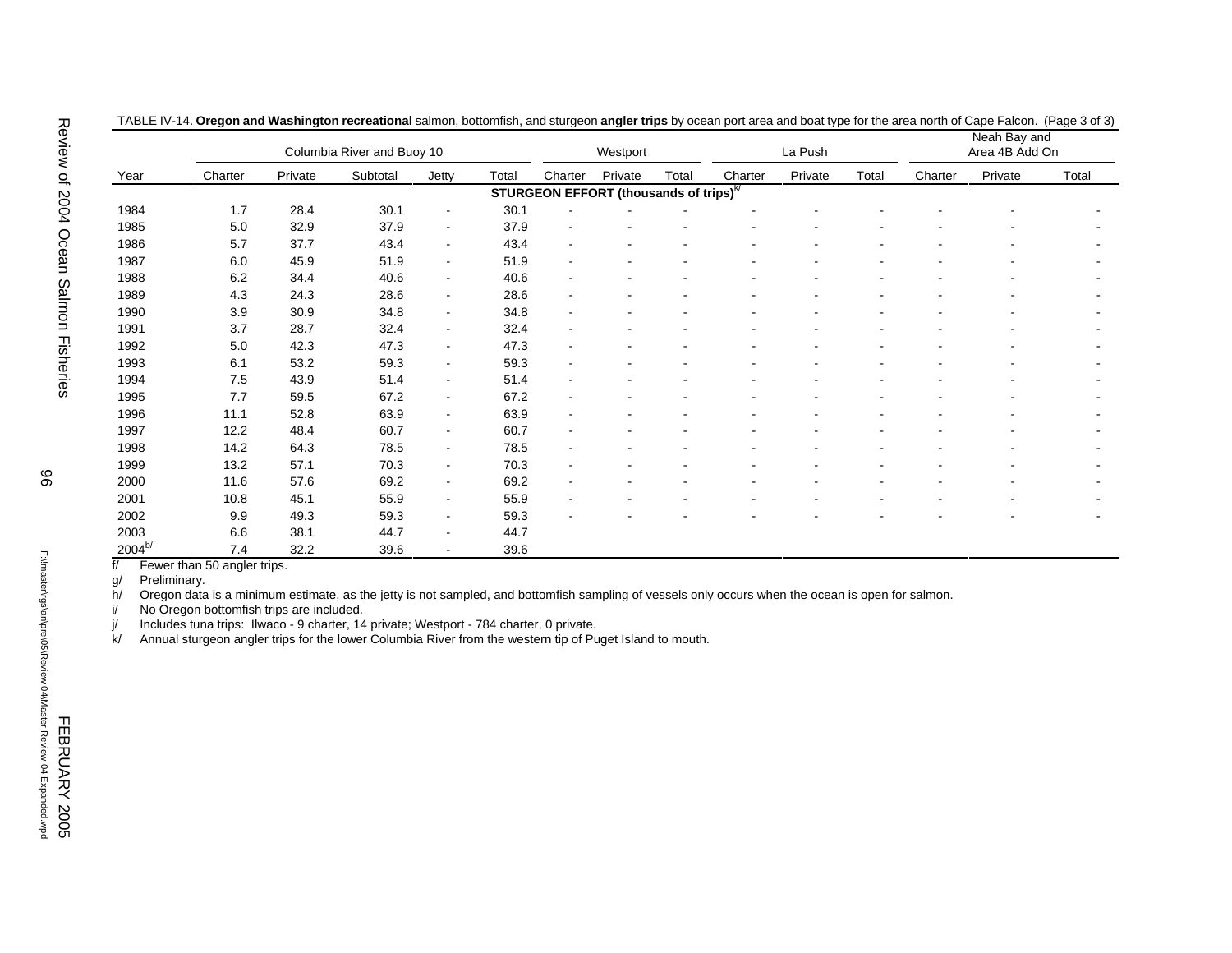|                                                                                                                                                                             |                                                                                                                                                                                                                                                                                                                                |         | Columbia River and Buoy 10 |                |       |         | Westport                                           |       |         | La Push |                |         | Neah Bay and<br>Area 4B Add On |       |
|-----------------------------------------------------------------------------------------------------------------------------------------------------------------------------|--------------------------------------------------------------------------------------------------------------------------------------------------------------------------------------------------------------------------------------------------------------------------------------------------------------------------------|---------|----------------------------|----------------|-------|---------|----------------------------------------------------|-------|---------|---------|----------------|---------|--------------------------------|-------|
| Year                                                                                                                                                                        | Charter                                                                                                                                                                                                                                                                                                                        | Private | Subtotal                   | Jetty          | Total | Charter | Private                                            | Total | Charter | Private | Total          | Charter | Private                        | Total |
|                                                                                                                                                                             |                                                                                                                                                                                                                                                                                                                                |         |                            |                |       |         | STURGEON EFFORT (thousands of trips) <sup>k/</sup> |       |         |         |                |         |                                |       |
| 1984                                                                                                                                                                        | 1.7                                                                                                                                                                                                                                                                                                                            | 28.4    | 30.1                       | $\blacksquare$ | 30.1  |         |                                                    |       |         |         |                |         |                                |       |
| 1985                                                                                                                                                                        | 5.0                                                                                                                                                                                                                                                                                                                            | 32.9    | 37.9                       | $\blacksquare$ | 37.9  |         |                                                    |       |         |         |                |         |                                |       |
| 1986                                                                                                                                                                        | 5.7                                                                                                                                                                                                                                                                                                                            | 37.7    | 43.4                       | $\blacksquare$ | 43.4  |         |                                                    |       |         |         |                |         |                                |       |
| 1987                                                                                                                                                                        | 6.0                                                                                                                                                                                                                                                                                                                            | 45.9    | 51.9                       | $\blacksquare$ | 51.9  |         |                                                    |       |         |         |                |         |                                |       |
| 1988                                                                                                                                                                        | 6.2                                                                                                                                                                                                                                                                                                                            | 34.4    | 40.6                       | $\blacksquare$ | 40.6  |         |                                                    |       |         |         |                |         |                                |       |
| 1989                                                                                                                                                                        | 4.3                                                                                                                                                                                                                                                                                                                            | 24.3    | 28.6                       | $\sim$         | 28.6  |         |                                                    |       |         |         |                |         |                                |       |
| 1990                                                                                                                                                                        | 3.9                                                                                                                                                                                                                                                                                                                            | 30.9    | 34.8                       | $\blacksquare$ | 34.8  |         |                                                    |       |         |         |                |         |                                |       |
| 1991                                                                                                                                                                        | 3.7                                                                                                                                                                                                                                                                                                                            | 28.7    | 32.4                       | $\blacksquare$ | 32.4  |         |                                                    |       |         |         |                |         |                                |       |
| 1992                                                                                                                                                                        | $5.0\,$                                                                                                                                                                                                                                                                                                                        | 42.3    | 47.3                       | $\blacksquare$ | 47.3  |         |                                                    |       |         |         |                |         |                                |       |
| 1993                                                                                                                                                                        | 6.1                                                                                                                                                                                                                                                                                                                            | 53.2    | 59.3                       | $\blacksquare$ | 59.3  |         |                                                    |       |         |         | $\blacksquare$ |         | $\blacksquare$                 |       |
| 1994                                                                                                                                                                        | $7.5$                                                                                                                                                                                                                                                                                                                          | 43.9    | 51.4                       | $\sim$         | 51.4  |         |                                                    |       |         |         | $\overline{a}$ |         | $\blacksquare$                 |       |
| 1995                                                                                                                                                                        | 7.7                                                                                                                                                                                                                                                                                                                            | 59.5    | 67.2                       | $\blacksquare$ | 67.2  |         |                                                    |       |         |         |                |         | $\blacksquare$                 |       |
| 1996                                                                                                                                                                        | 11.1                                                                                                                                                                                                                                                                                                                           | 52.8    | 63.9                       | $\blacksquare$ | 63.9  |         |                                                    |       |         |         |                |         |                                |       |
| 1997                                                                                                                                                                        | 12.2                                                                                                                                                                                                                                                                                                                           | 48.4    | 60.7                       | $\blacksquare$ | 60.7  |         |                                                    |       |         |         |                |         | $\blacksquare$                 |       |
| 1998                                                                                                                                                                        | 14.2                                                                                                                                                                                                                                                                                                                           | 64.3    | 78.5                       | $\sim$         | 78.5  |         |                                                    |       |         |         |                |         | $\overline{a}$                 |       |
| 1999                                                                                                                                                                        | 13.2                                                                                                                                                                                                                                                                                                                           | 57.1    | 70.3                       | $\blacksquare$ | 70.3  |         |                                                    |       |         |         |                |         | $\blacksquare$                 |       |
| 2000                                                                                                                                                                        | 11.6                                                                                                                                                                                                                                                                                                                           | 57.6    | 69.2                       | $\blacksquare$ | 69.2  |         |                                                    |       |         |         |                |         |                                |       |
| 2001                                                                                                                                                                        | 10.8                                                                                                                                                                                                                                                                                                                           | 45.1    | 55.9                       | $\blacksquare$ | 55.9  |         |                                                    |       |         |         | $\blacksquare$ |         |                                |       |
| 2002                                                                                                                                                                        | 9.9                                                                                                                                                                                                                                                                                                                            | 49.3    | 59.3                       | $\blacksquare$ | 59.3  |         |                                                    |       |         | ÷       | $\overline{a}$ | ÷       | $\overline{a}$                 |       |
| 2003                                                                                                                                                                        | 6.6                                                                                                                                                                                                                                                                                                                            | 38.1    | 44.7                       | $\blacksquare$ | 44.7  |         |                                                    |       |         |         |                |         |                                |       |
|                                                                                                                                                                             |                                                                                                                                                                                                                                                                                                                                |         |                            | $\sim$         |       |         |                                                    |       |         |         |                |         |                                |       |
| $2004^{b/}$<br>f/<br>Preliminary.<br>g/<br>h/<br>i/<br>j/<br>Annual sturgeon angler trips for the lower Columbia River from the western tip of Puget Island to mouth.<br>k/ | 7.4<br>Fewer than 50 angler trips.<br>Oregon data is a minimum estimate, as the jetty is not sampled, and bottomfish sampling of vessels only occurs when the ocean is open for salmon.<br>No Oregon bottomfish trips are included.<br>Includes tuna trips: Ilwaco - 9 charter, 14 private; Westport - 784 charter, 0 private. | 32.2    | 39.6                       |                | 39.6  |         |                                                    |       |         |         |                |         |                                |       |

| TABLE IV-14. Oregon and Washington recreational salmon, bottomfish, and sturgeon angler trips by ocean port area and boat type for the area north of Cape Falcon. (Page 3 of 3) |  |  |  |
|---------------------------------------------------------------------------------------------------------------------------------------------------------------------------------|--|--|--|
|                                                                                                                                                                                 |  |  |  |

|                  |      |      |      |                |      |                          | STURGEON EFFORT (thousands of trips) <sup>k/</sup> |                          |                          |                |                |
|------------------|------|------|------|----------------|------|--------------------------|----------------------------------------------------|--------------------------|--------------------------|----------------|----------------|
| 1984             | 1.7  | 28.4 | 30.1 | $\blacksquare$ | 30.1 |                          |                                                    |                          |                          |                |                |
| 1985             | 5.0  | 32.9 | 37.9 | $\sim$         | 37.9 | $\overline{\phantom{a}}$ |                                                    | $\overline{\phantom{a}}$ | $\blacksquare$           | $\blacksquare$ | $\blacksquare$ |
| 1986             | 5.7  | 37.7 | 43.4 |                | 43.4 | ۰                        |                                                    |                          |                          |                |                |
| 1987             | 6.0  | 45.9 | 51.9 | $\blacksquare$ | 51.9 | $\overline{\phantom{a}}$ |                                                    |                          |                          |                | $\sim$         |
| 1988             | 6.2  | 34.4 | 40.6 | $\blacksquare$ | 40.6 | $\overline{\phantom{a}}$ |                                                    |                          | $\blacksquare$           | $\blacksquare$ | $\sim$         |
| 1989             | 4.3  | 24.3 | 28.6 | $\blacksquare$ | 28.6 | -                        |                                                    |                          |                          |                | $\blacksquare$ |
| 1990             | 3.9  | 30.9 | 34.8 | $\blacksquare$ | 34.8 | ۰                        |                                                    |                          |                          |                | $\blacksquare$ |
| 1991             | 3.7  | 28.7 | 32.4 | $\blacksquare$ | 32.4 | $\blacksquare$           |                                                    |                          |                          |                | $\sim$         |
| 1992             | 5.0  | 42.3 | 47.3 | $\blacksquare$ | 47.3 | ۰                        |                                                    |                          |                          | ۰              | $\sim$         |
| 1993             | 6.1  | 53.2 | 59.3 | $\blacksquare$ | 59.3 | $\overline{\phantom{0}}$ |                                                    |                          |                          |                |                |
| 1994             | 7.5  | 43.9 | 51.4 | $\blacksquare$ | 51.4 | $\overline{\phantom{a}}$ |                                                    |                          |                          |                | $\blacksquare$ |
| 1995             | 7.7  | 59.5 | 67.2 | $\blacksquare$ | 67.2 | $\blacksquare$           |                                                    |                          | $\overline{\phantom{a}}$ |                | $\sim$         |
| 1996             | 11.1 | 52.8 | 63.9 | $\sim$         | 63.9 | -                        |                                                    |                          |                          |                | $\blacksquare$ |
| 1997             | 12.2 | 48.4 | 60.7 | $\blacksquare$ | 60.7 | ۰                        |                                                    |                          |                          |                | $\blacksquare$ |
| 1998             | 14.2 | 64.3 | 78.5 | $\blacksquare$ | 78.5 | ۰                        |                                                    |                          |                          |                | $\sim$         |
| 1999             | 13.2 | 57.1 | 70.3 | $\blacksquare$ | 70.3 | -                        |                                                    |                          |                          |                |                |
| 2000             | 11.6 | 57.6 | 69.2 | $\blacksquare$ | 69.2 | $\blacksquare$           |                                                    |                          | $\blacksquare$           | $\blacksquare$ | $\blacksquare$ |
| 2001             | 10.8 | 45.1 | 55.9 | $\blacksquare$ | 55.9 | ۰                        |                                                    |                          | $\blacksquare$           |                | $\blacksquare$ |
| 2002             | 9.9  | 49.3 | 59.3 | $\blacksquare$ | 59.3 |                          |                                                    |                          |                          |                |                |
| 2003             | 6.6  | 38.1 | 44.7 | $\sim$         | 44.7 |                          |                                                    |                          |                          |                |                |
| 2004 $^{\sf b/}$ | 7.4  | 32.2 | 39.6 | $\blacksquare$ | 39.6 |                          |                                                    |                          |                          |                |                |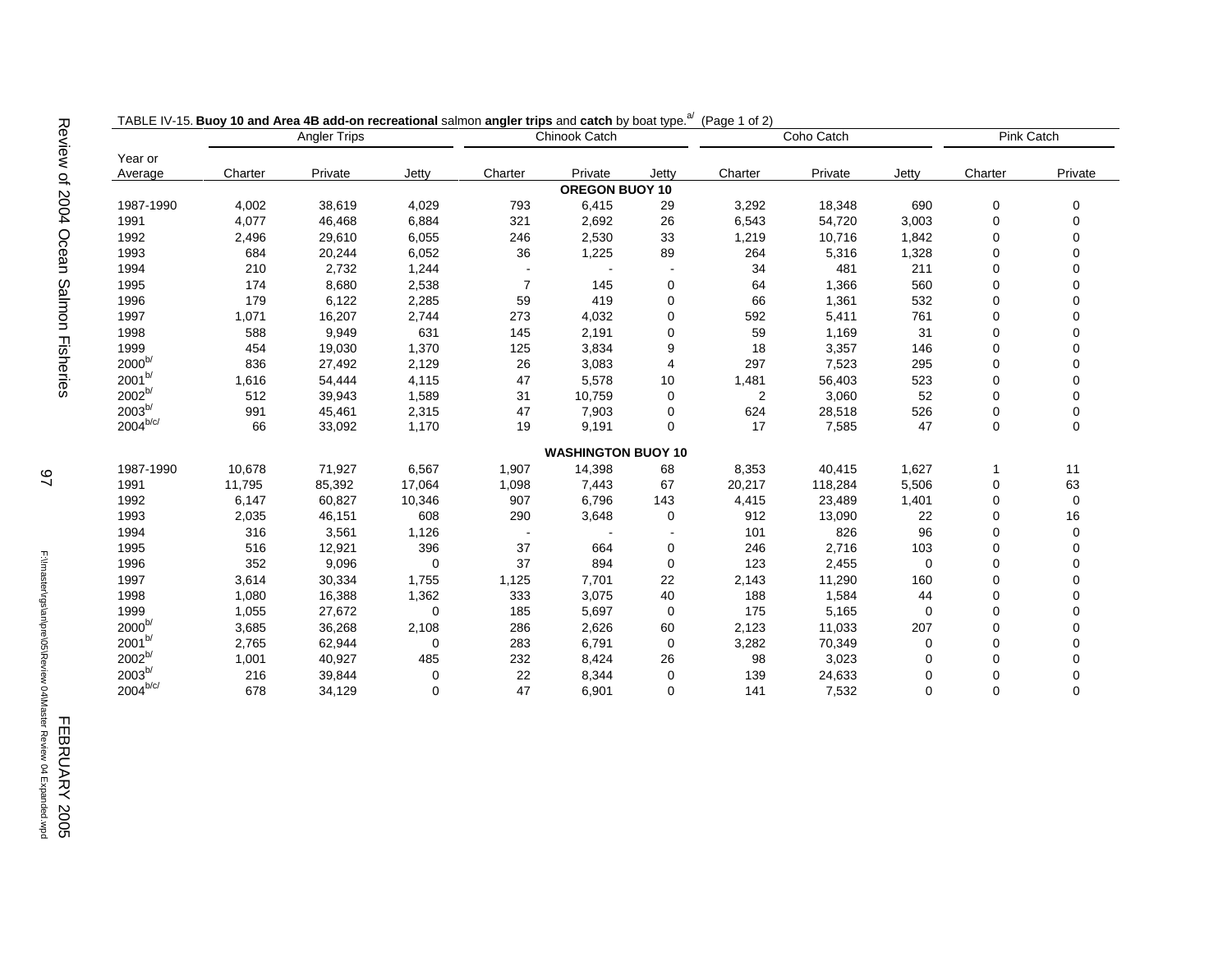|                        | <b>Angler Trips</b> |         |          | Chinook Catch            |                           |                          | Coho Catch |         |             | <b>Pink Catch</b> |             |
|------------------------|---------------------|---------|----------|--------------------------|---------------------------|--------------------------|------------|---------|-------------|-------------------|-------------|
| Year or                |                     |         |          |                          |                           |                          |            |         |             |                   |             |
| Average                | Charter             | Private | Jetty    | Charter                  | Private                   | Jetty                    | Charter    | Private | Jetty       | Charter           | Private     |
|                        |                     |         |          |                          | OREGON BUOY 10            |                          |            |         |             |                   |             |
| 1987-1990              | 4,002               | 38,619  | 4,029    | 793                      | 6,415                     | 29                       | 3,292      | 18,348  | 690         | 0                 | 0           |
| 1991                   | 4,077               | 46,468  | 6,884    | 321                      | 2,692                     | 26                       | 6,543      | 54,720  | 3,003       | $\mathbf 0$       | $\Omega$    |
| 1992                   | 2,496               | 29,610  | 6,055    | 246                      | 2,530                     | 33                       | 1,219      | 10,716  | 1,842       | 0                 | $\Omega$    |
| 1993                   | 684                 | 20,244  | 6,052    | 36                       | 1,225                     | 89                       | 264        | 5,316   | 1,328       | $\mathbf 0$       | $\Omega$    |
| 1994                   | 210                 | 2,732   | 1,244    | $\overline{\phantom{a}}$ | $\overline{\phantom{a}}$  | $\blacksquare$           | 34         | 481     | 211         | $\mathbf 0$       | $\Omega$    |
| 1995                   | 174                 | 8,680   | 2,538    | $\overline{7}$           | 145                       | 0                        | 64         | 1,366   | 560         | 0                 | $\mathbf 0$ |
| 1996                   | 179                 | 6,122   | 2,285    | 59                       | 419                       | 0                        | 66         | 1,361   | 532         | 0                 | $\mathbf 0$ |
| 1997                   | 1,071               | 16,207  | 2,744    | 273                      | 4,032                     | 0                        | 592        | 5,411   | 761         | 0                 | $\mathbf 0$ |
| 1998                   | 588                 | 9,949   | 631      | 145                      | 2,191                     | $\mathbf 0$              | 59         | 1,169   | 31          | 0                 | $\mathbf 0$ |
| 1999                   | 454                 | 19,030  | 1,370    | 125                      | 3,834                     | 9                        | 18         | 3,357   | 146         | 0                 | $\mathbf 0$ |
| $2000^{b/}$            | 836                 | 27,492  | 2,129    | 26                       | 3,083                     | 4                        | 297        | 7,523   | 295         | 0                 | $\mathbf 0$ |
| $2001^{b/}$            | 1,616               | 54,444  | 4,115    | 47                       | 5,578                     | 10                       | 1,481      | 56,403  | 523         | $\mathbf 0$       | $\mathbf 0$ |
| $2002^{b/}$            | 512                 | 39,943  | 1,589    | 31                       | 10,759                    | 0                        | 2          | 3,060   | 52          | $\mathbf 0$       | $\Omega$    |
| $2003^{b/}$            | 991                 | 45,461  | 2,315    | 47                       | 7,903                     | 0                        | 624        | 28,518  | 526         | 0                 | 0           |
| $2004^{b/c/}$          | 66                  | 33,092  | 1,170    | 19                       | 9,191                     | $\mathbf 0$              | 17         | 7,585   | 47          | 0                 | 0           |
|                        |                     |         |          |                          | <b>WASHINGTON BUOY 10</b> |                          |            |         |             |                   |             |
| 1987-1990              | 10,678              | 71,927  | 6,567    | 1,907                    | 14,398                    | 68                       | 8,353      | 40,415  | 1,627       | $\mathbf 1$       | 11          |
| 1991                   | 11,795              | 85,392  | 17,064   | 1,098                    | 7,443                     | 67                       | 20,217     | 118,284 | 5,506       | $\mathbf 0$       | 63          |
| 1992                   | 6,147               | 60,827  | 10,346   | 907                      | 6,796                     | 143                      | 4,415      | 23,489  | 1,401       | $\mathbf 0$       | $\mathbf 0$ |
| 1993                   | 2,035               | 46,151  | 608      | 290                      | 3,648                     | 0                        | 912        | 13,090  | 22          | 0                 | 16          |
| 1994                   | 316                 | 3,561   | 1,126    | $\blacksquare$           | $\overline{\phantom{a}}$  | $\overline{\phantom{a}}$ | 101        | 826     | 96          | 0                 | 0           |
| 1995                   | 516                 | 12,921  | 396      | 37                       | 664                       | 0                        | 246        | 2,716   | 103         | 0                 | $\mathbf 0$ |
| 1996                   | 352                 | 9,096   | $\Omega$ | 37                       | 894                       | $\mathbf 0$              | 123        | 2,455   | $\Omega$    | 0                 | $\mathbf 0$ |
| 1997                   | 3,614               | 30,334  | 1,755    | 1,125                    | 7,701                     | 22                       | 2,143      | 11,290  | 160         | 0                 | $\mathbf 0$ |
| 1998                   | 1,080               | 16,388  | 1,362    | 333                      | 3,075                     | 40                       | 188        | 1,584   | 44          | 0                 | $\mathbf 0$ |
| 1999                   | 1,055               | 27,672  | $\Omega$ | 185                      | 5,697                     | $\mathbf 0$              | 175        | 5,165   | $\Omega$    | 0                 | $\mathbf 0$ |
| $2000^{b/}$            | 3,685               | 36,268  | 2,108    | 286                      | 2,626                     | 60                       | 2,123      | 11,033  | 207         | 0                 | $\mathbf 0$ |
| $2001^{b/}$            | 2,765               | 62,944  | $\Omega$ | 283                      | 6,791                     | $\mathbf 0$              | 3,282      | 70,349  | 0           | 0                 | $\Omega$    |
| $2002^{b/}$            | 1,001               | 40,927  | 485      | 232                      | 8,424                     | 26                       | 98         | 3,023   | $\mathbf 0$ | 0                 | $\Omega$    |
| $2003^{b/}$            | 216                 | 39,844  | 0        | 22                       | 8,344                     | 0                        | 139        | 24,633  | $\mathbf 0$ | 0                 | 0           |
| $2004^{\mathrm{b/c/}}$ | 678                 | 34,129  | 0        | 47                       | 6,901                     | 0                        | 141        | 7,532   | $\Omega$    | 0                 | $\mathbf 0$ |

TABLE IV-15. Buoy 10 and Area 4B add-on recreational salmon angler trips and catch by boat type.<sup>a/</sup> (Page 1 of 2)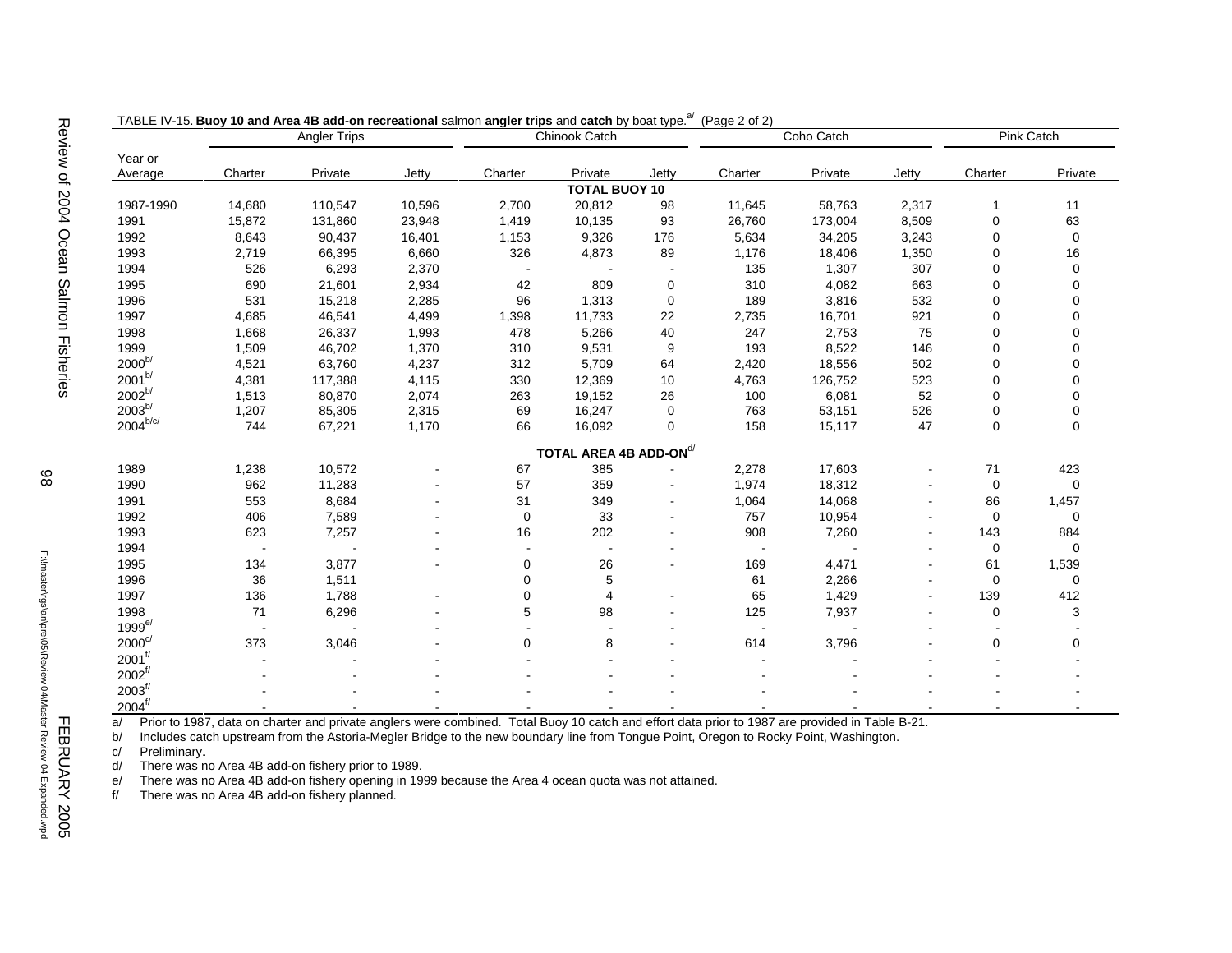|                        |         | <b>Angler Trips</b> |        |             | Chinook Catch                      |       |         | Coho Catch | Pink Catch               |             |                |
|------------------------|---------|---------------------|--------|-------------|------------------------------------|-------|---------|------------|--------------------------|-------------|----------------|
| Year or                |         |                     |        |             |                                    |       |         |            |                          |             |                |
| Average                | Charter | Private             | Jetty  | Charter     | Private                            | Jetty | Charter | Private    | Jetty                    | Charter     | Private        |
|                        |         |                     |        |             | <b>TOTAL BUOY 10</b>               |       |         |            |                          |             |                |
| 1987-1990              | 14,680  | 110,547             | 10,596 | 2,700       | 20,812                             | 98    | 11,645  | 58,763     | 2,317                    | -1          | 11             |
| 1991                   | 15,872  | 131,860             | 23,948 | 1,419       | 10,135                             | 93    | 26,760  | 173,004    | 8,509                    | $\mathbf 0$ | 63             |
| 1992                   | 8,643   | 90,437              | 16,401 | 1,153       | 9,326                              | 176   | 5,634   | 34,205     | 3,243                    | $\mathbf 0$ | $\pmb{0}$      |
| 1993                   | 2,719   | 66,395              | 6,660  | 326         | 4,873                              | 89    | 1,176   | 18,406     | 1,350                    | $\mathbf 0$ | 16             |
| 1994                   | 526     | 6,293               | 2,370  |             |                                    |       | 135     | 1,307      | 307                      | $\mathbf 0$ | 0              |
| 1995                   | 690     | 21,601              | 2,934  | 42          | 809                                | 0     | 310     | 4,082      | 663                      | $\mathbf 0$ | $\overline{0}$ |
| 1996                   | 531     | 15,218              | 2,285  | 96          | 1,313                              | 0     | 189     | 3,816      | 532                      | $\mathbf 0$ | $\overline{0}$ |
| 1997                   | 4,685   | 46,541              | 4,499  | 1,398       | 11,733                             | 22    | 2,735   | 16,701     | 921                      | $\mathbf 0$ | $\overline{0}$ |
| 1998                   | 1,668   | 26,337              | 1,993  | 478         | 5,266                              | 40    | 247     | 2,753      | 75                       | $\mathbf 0$ | $\overline{0}$ |
| 1999                   | 1,509   | 46,702              | 1,370  | 310         | 9,531                              | 9     | 193     | 8,522      | 146                      | $\mathbf 0$ | $\overline{0}$ |
| $2000^{b/}$            | 4,521   | 63,760              | 4,237  | 312         | 5,709                              | 64    | 2,420   | 18,556     | 502                      | $\mathbf 0$ | $\overline{0}$ |
| $2001^{b/}$            | 4,381   | 117,388             | 4,115  | 330         | 12,369                             | 10    | 4,763   | 126,752    | 523                      | $\mathbf 0$ | $\Omega$       |
| $2002^{b/}$            | 1,513   | 80,870              | 2,074  | 263         | 19,152                             | 26    | 100     | 6,081      | 52                       | $\mathbf 0$ | $\Omega$       |
| $2003^{b/}$            | 1,207   | 85,305              | 2,315  | 69          | 16,247                             | 0     | 763     | 53,151     | 526                      | $\mathbf 0$ |                |
| $2004^{\mathrm{b/c/}}$ | 744     | 67,221              | 1,170  | 66          | 16,092                             | 0     | 158     | 15,117     | 47                       | $\mathbf 0$ | 0              |
|                        |         |                     |        |             | TOTAL AREA 4B ADD-ON <sup>d/</sup> |       |         |            |                          |             |                |
| 1989                   | 1,238   | 10,572              |        | 67          | 385                                |       | 2,278   | 17,603     |                          | 71          | 423            |
| 1990                   | 962     | 11,283              |        | 57          | 359                                |       | 1,974   | 18,312     |                          | $\mathbf 0$ | 0              |
| 1991                   | 553     | 8,684               |        | 31          | 349                                |       | 1,064   | 14,068     |                          | 86          | 1,457          |
| 1992                   | 406     | 7,589               |        | $\mathbf 0$ | 33                                 |       | 757     | 10,954     | $\sim$                   | $\mathbf 0$ | 0              |
| 1993                   | 623     | 7,257               |        | 16          | 202                                |       | 908     | 7,260      | $\overline{\phantom{a}}$ | 143         | 884            |
| 1994                   |         |                     |        |             |                                    |       |         |            | $\blacksquare$           | 0           | 0              |
| 1995                   | 134     | 3,877               |        | 0           | 26                                 |       | 169     | 4,471      | $\blacksquare$           | 61          | 1,539          |
| 1996                   | 36      | 1,511               |        | 0           | 5                                  |       | 61      | 2,266      | $\sim$                   | 0           | 0              |
| 1997                   | 136     | 1,788               |        | 0           | 4                                  |       | 65      | 1,429      | $\blacksquare$           | 139         | 412            |
| 1998                   | 71      | 6,296               |        | 5           | 98                                 |       | 125     | 7,937      | $\sim$                   | $\mathbf 0$ | 3              |
| $1999^{e/}$            |         |                     |        |             |                                    |       |         |            |                          |             |                |
| $2000^{\circ/}$        | 373     | 3,046               |        | 0           | 8                                  |       | 614     | 3,796      |                          | 0           | 0              |
| $2001^{f/}$            |         |                     |        |             |                                    |       |         |            |                          |             |                |
| $2002^{f/}$            |         |                     |        |             |                                    |       |         |            |                          |             |                |
| $2003^{f/}$            |         |                     |        |             |                                    |       |         |            |                          |             |                |
| $2004^{f/}$            |         |                     |        |             |                                    |       |         |            |                          |             |                |

TABLE IV-15. Buoy 10 and Area 4B add-on recreational salmon angler trips and catch by boat type.<sup>a/</sup> (Page 2 of 2)

a/ Prior to 1987, data on charter and private anglers were combined. Total Buoy 10 catch and effort data prior to 1987 are provided in Table B-21.

b/ Includes catch upstream from the Astoria-Megler Bridge to the new boundary line from Tongue Point, Oregon to Rocky Point, Washington.

c/ Preliminary.

d/ There was no Area 4B add-on fishery prior to 1989.

e/ There was no Area 4B add-on fishery opening in 1999 because the Area 4 ocean quota was not attained.

f/ There was no Area 4B add-on fishery planned.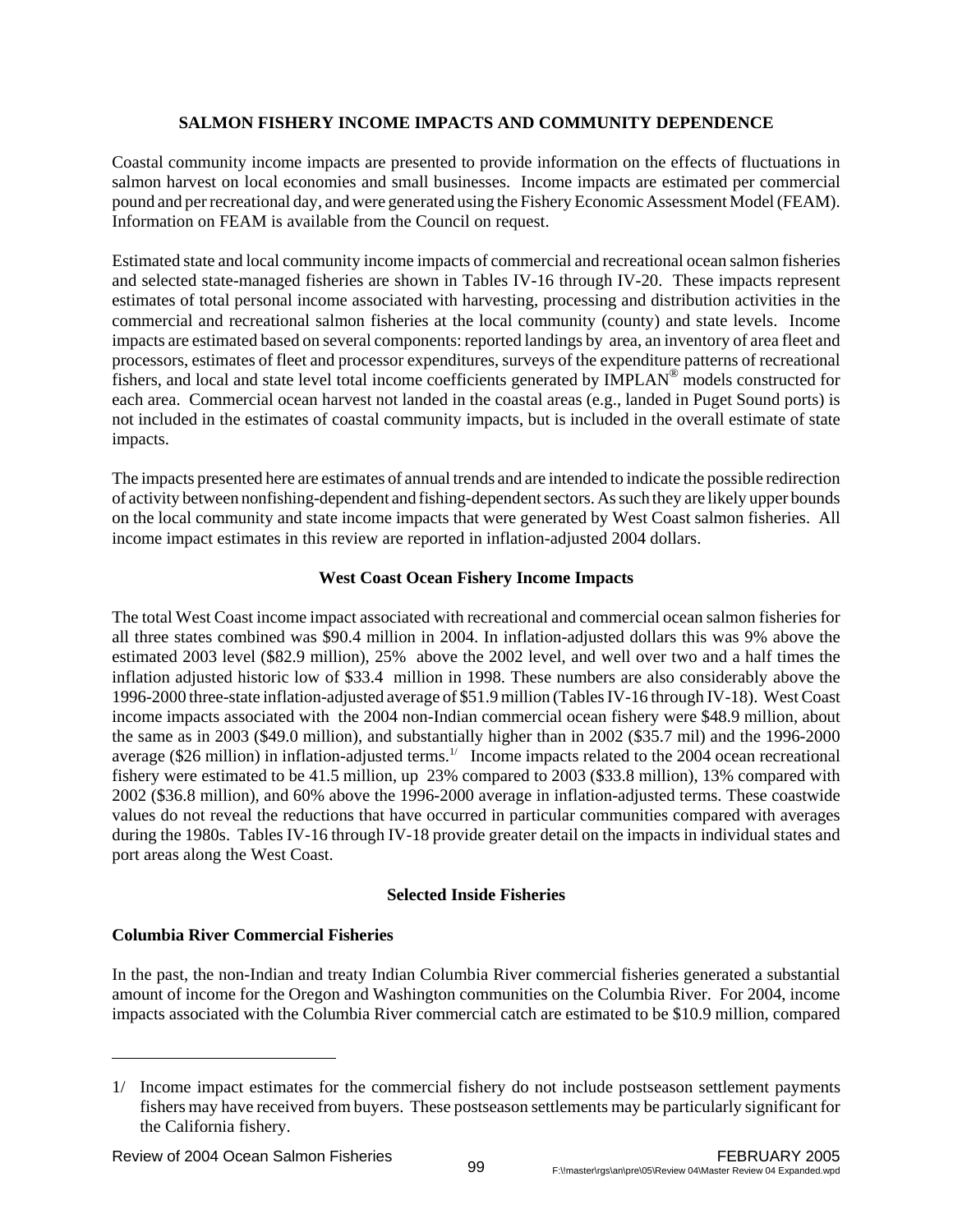# **SALMON FISHERY INCOME IMPACTS AND COMMUNITY DEPENDENCE**

Coastal community income impacts are presented to provide information on the effects of fluctuations in salmon harvest on local economies and small businesses. Income impacts are estimated per commercial pound and per recreational day, and were generated using the Fishery Economic Assessment Model (FEAM). Information on FEAM is available from the Council on request.

Estimated state and local community income impacts of commercial and recreational ocean salmon fisheries and selected state-managed fisheries are shown in Tables IV-16 through IV-20. These impacts represent estimates of total personal income associated with harvesting, processing and distribution activities in the commercial and recreational salmon fisheries at the local community (county) and state levels. Income impacts are estimated based on several components: reported landings by area, an inventory of area fleet and processors, estimates of fleet and processor expenditures, surveys of the expenditure patterns of recreational fishers, and local and state level total income coefficients generated by IMPLAN® models constructed for each area. Commercial ocean harvest not landed in the coastal areas (e.g., landed in Puget Sound ports) is not included in the estimates of coastal community impacts, but is included in the overall estimate of state impacts.

The impacts presented here are estimates of annual trends and are intended to indicate the possible redirection of activity between nonfishing-dependent and fishing-dependent sectors. As such they are likely upper bounds on the local community and state income impacts that were generated by West Coast salmon fisheries. All income impact estimates in this review are reported in inflation-adjusted 2004 dollars.

# **West Coast Ocean Fishery Income Impacts**

The total West Coast income impact associated with recreational and commercial ocean salmon fisheries for all three states combined was \$90.4 million in 2004. In inflation-adjusted dollars this was 9% above the estimated 2003 level (\$82.9 million), 25% above the 2002 level, and well over two and a half times the inflation adjusted historic low of \$33.4 million in 1998. These numbers are also considerably above the 1996-2000 three-state inflation-adjusted average of \$51.9 million (Tables IV-16 through IV-18). West Coast income impacts associated with the 2004 non-Indian commercial ocean fishery were \$48.9 million, about the same as in 2003 (\$49.0 million), and substantially higher than in 2002 (\$35.7 mil) and the 1996-2000 average (\$26 million) in inflation-adjusted terms.<sup>1/</sup> Income impacts related to the 2004 ocean recreational fishery were estimated to be 41.5 million, up 23% compared to 2003 (\$33.8 million), 13% compared with 2002 (\$36.8 million), and 60% above the 1996-2000 average in inflation-adjusted terms. These coastwide values do not reveal the reductions that have occurred in particular communities compared with averages during the 1980s. Tables IV-16 through IV-18 provide greater detail on the impacts in individual states and port areas along the West Coast.

# **Selected Inside Fisheries**

# **Columbia River Commercial Fisheries**

In the past, the non-Indian and treaty Indian Columbia River commercial fisheries generated a substantial amount of income for the Oregon and Washington communities on the Columbia River. For 2004, income impacts associated with the Columbia River commercial catch are estimated to be \$10.9 million, compared

<sup>1/</sup> Income impact estimates for the commercial fishery do not include postseason settlement payments fishers may have received from buyers. These postseason settlements may be particularly significant for the California fishery.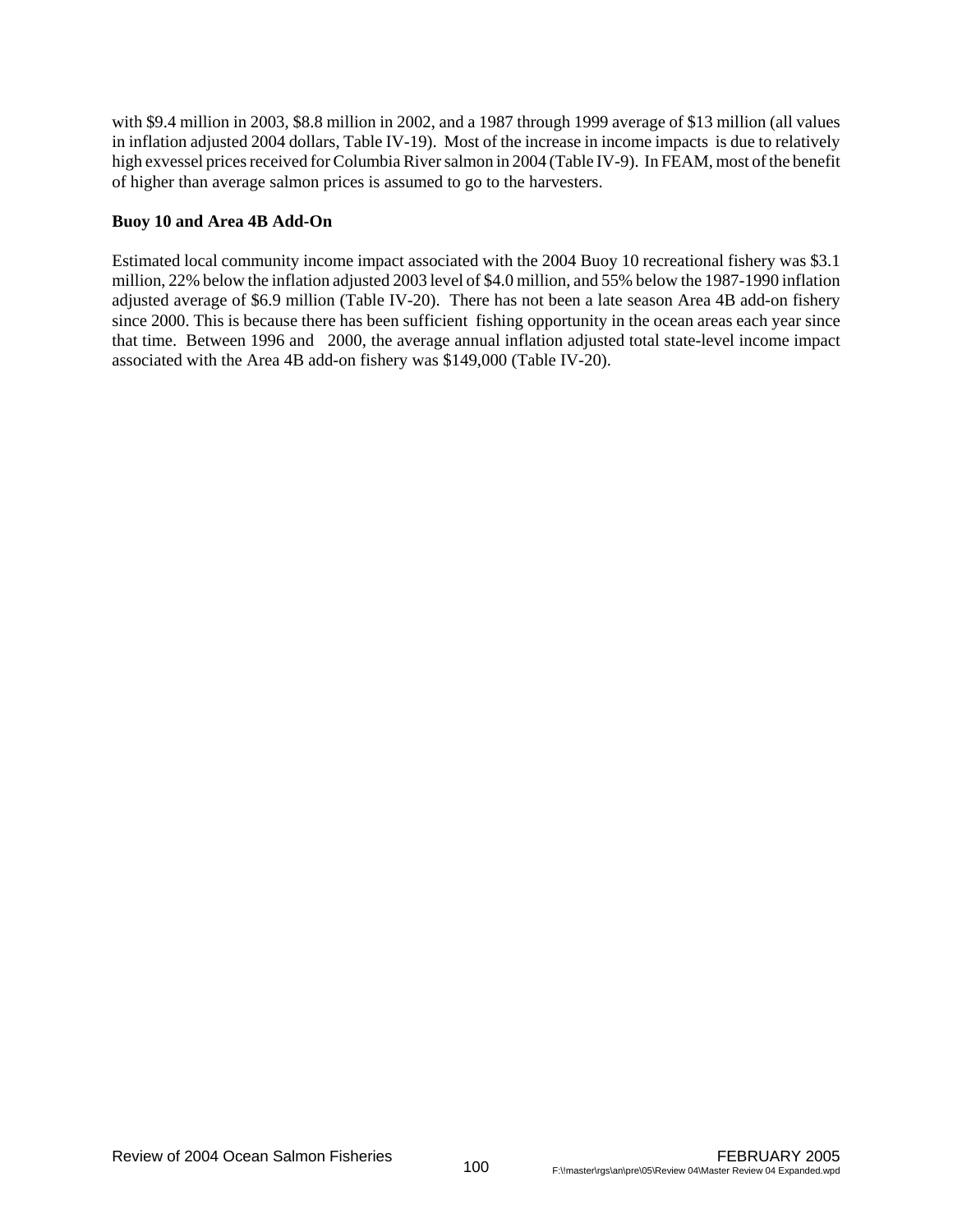with \$9.4 million in 2003, \$8.8 million in 2002, and a 1987 through 1999 average of \$13 million (all values in inflation adjusted 2004 dollars, Table IV-19). Most of the increase in income impacts is due to relatively high exvessel prices received for Columbia River salmon in 2004 (Table IV-9). In FEAM, most of the benefit of higher than average salmon prices is assumed to go to the harvesters.

# **Buoy 10 and Area 4B Add-On**

Estimated local community income impact associated with the 2004 Buoy 10 recreational fishery was \$3.1 million, 22% below the inflation adjusted 2003 level of \$4.0 million, and 55% below the 1987-1990 inflation adjusted average of \$6.9 million (Table IV-20). There has not been a late season Area 4B add-on fishery since 2000. This is because there has been sufficient fishing opportunity in the ocean areas each year since that time. Between 1996 and 2000, the average annual inflation adjusted total state-level income impact associated with the Area 4B add-on fishery was \$149,000 (Table IV-20).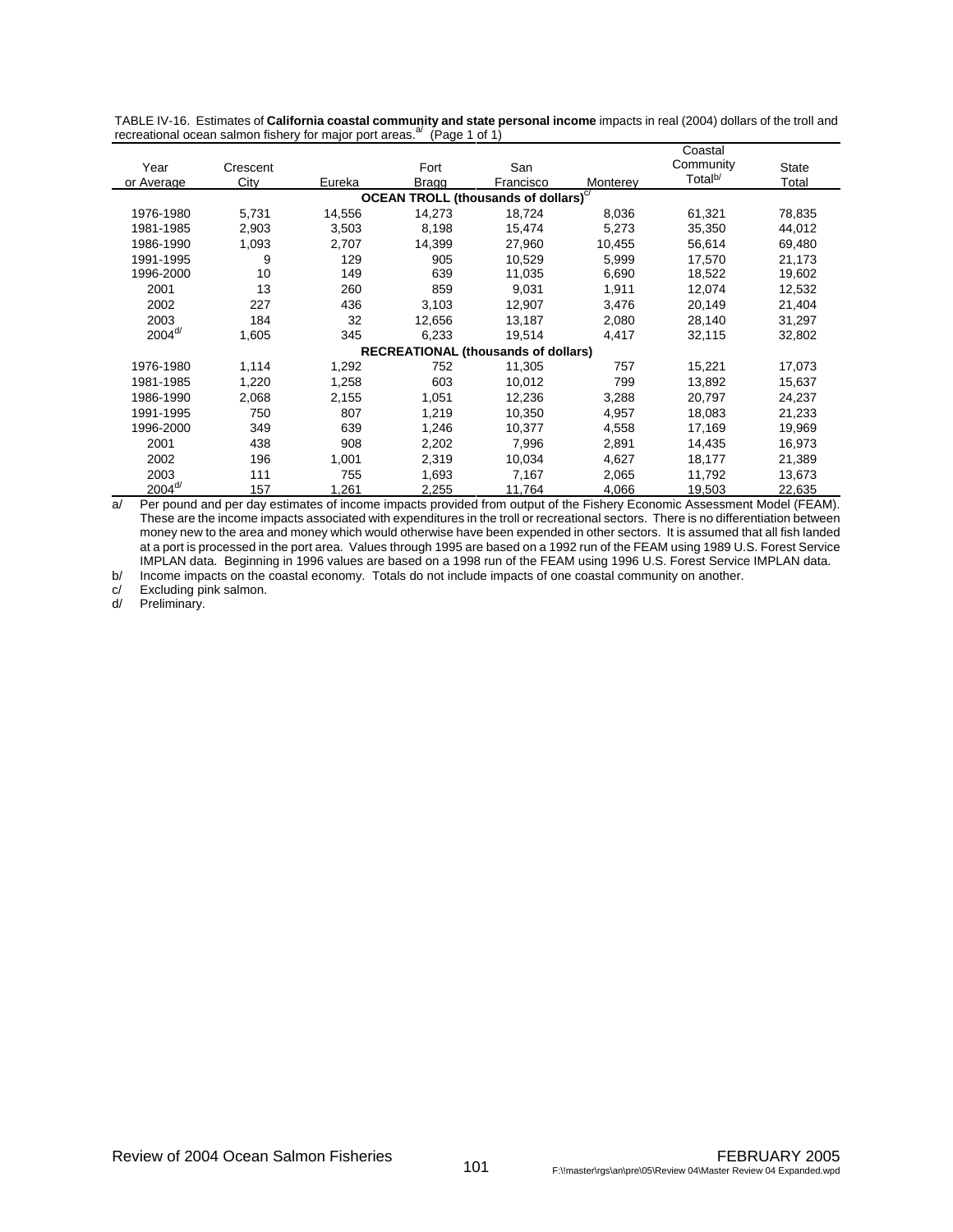|                                                         |          |        |              |                                            |          | Coastal             |              |  |  |  |  |  |
|---------------------------------------------------------|----------|--------|--------------|--------------------------------------------|----------|---------------------|--------------|--|--|--|--|--|
| Year                                                    | Crescent |        | Fort         | San                                        |          | Community           | <b>State</b> |  |  |  |  |  |
| or Average                                              | City     | Eureka | <b>Bragg</b> | Francisco                                  | Monterey | Total <sup>b/</sup> | Total        |  |  |  |  |  |
| <b>OCEAN TROLL (thousands of dollars)</b> <sup>c/</sup> |          |        |              |                                            |          |                     |              |  |  |  |  |  |
| 1976-1980                                               | 5,731    | 14,556 | 14,273       | 18,724                                     | 8,036    | 61,321              | 78,835       |  |  |  |  |  |
| 1981-1985                                               | 2,903    | 3,503  | 8,198        | 15,474                                     | 5,273    | 35,350              | 44,012       |  |  |  |  |  |
| 1986-1990                                               | 1,093    | 2,707  | 14,399       | 27,960                                     | 10,455   | 56,614              | 69,480       |  |  |  |  |  |
| 1991-1995                                               | 9        | 129    | 905          | 10,529                                     | 5,999    | 17,570              | 21,173       |  |  |  |  |  |
| 1996-2000                                               | 10       | 149    | 639          | 11,035                                     | 6,690    | 18,522              | 19,602       |  |  |  |  |  |
| 2001                                                    | 13       | 260    | 859          | 9,031                                      | 1,911    | 12,074              | 12,532       |  |  |  |  |  |
| 2002                                                    | 227      | 436    | 3,103        | 12,907                                     | 3,476    | 20,149              | 21,404       |  |  |  |  |  |
| 2003                                                    | 184      | 32     | 12,656       | 13,187                                     | 2,080    | 28,140              | 31,297       |  |  |  |  |  |
| $2004 d$                                                | 1,605    | 345    | 6,233        | 19,514                                     | 4,417    | 32,115              | 32,802       |  |  |  |  |  |
|                                                         |          |        |              | <b>RECREATIONAL (thousands of dollars)</b> |          |                     |              |  |  |  |  |  |
| 1976-1980                                               | 1,114    | 1,292  | 752          | 11,305                                     | 757      | 15,221              | 17,073       |  |  |  |  |  |
| 1981-1985                                               | 1,220    | 1,258  | 603          | 10,012                                     | 799      | 13,892              | 15,637       |  |  |  |  |  |
| 1986-1990                                               | 2,068    | 2,155  | 1,051        | 12,236                                     | 3,288    | 20,797              | 24,237       |  |  |  |  |  |
| 1991-1995                                               | 750      | 807    | 1,219        | 10,350                                     | 4,957    | 18,083              | 21,233       |  |  |  |  |  |
| 1996-2000                                               | 349      | 639    | 1,246        | 10.377                                     | 4,558    | 17,169              | 19,969       |  |  |  |  |  |
| 2001                                                    | 438      | 908    | 2,202        | 7,996                                      | 2,891    | 14,435              | 16,973       |  |  |  |  |  |
| 2002                                                    | 196      | 1,001  | 2,319        | 10,034                                     | 4,627    | 18,177              | 21,389       |  |  |  |  |  |
| 2003                                                    | 111      | 755    | 1,693        | 7,167                                      | 2,065    | 11,792              | 13,673       |  |  |  |  |  |
| $2004^{d/2}$                                            | 157      | 1,261  | 2,255        | 11,764                                     | 4,066    | 19,503              | 22,635       |  |  |  |  |  |

TABLE IV-16. Estimates of **California coastal community and state personal income** impacts in real (2004) dollars of the troll and recreational ocean salmon fishery for major port areas.<sup>a/</sup> (Page 1 of 1)

a/ Per pound and per day estimates of income impacts provided from output of the Fishery Economic Assessment Model (FEAM). These are the income impacts associated with expenditures in the troll or recreational sectors. There is no differentiation between money new to the area and money which would otherwise have been expended in other sectors. It is assumed that all fish landed at a port is processed in the port area. Values through 1995 are based on a 1992 run of the FEAM using 1989 U.S. Forest Service IMPLAN data. Beginning in 1996 values are based on a 1998 run of the FEAM using 1996 U.S. Forest Service IMPLAN data.

b/ Income impacts on the coastal economy. Totals do not include impacts of one coastal community on another.

c/ Excluding pink salmon.<br>d/ Preliminary.

Preliminary.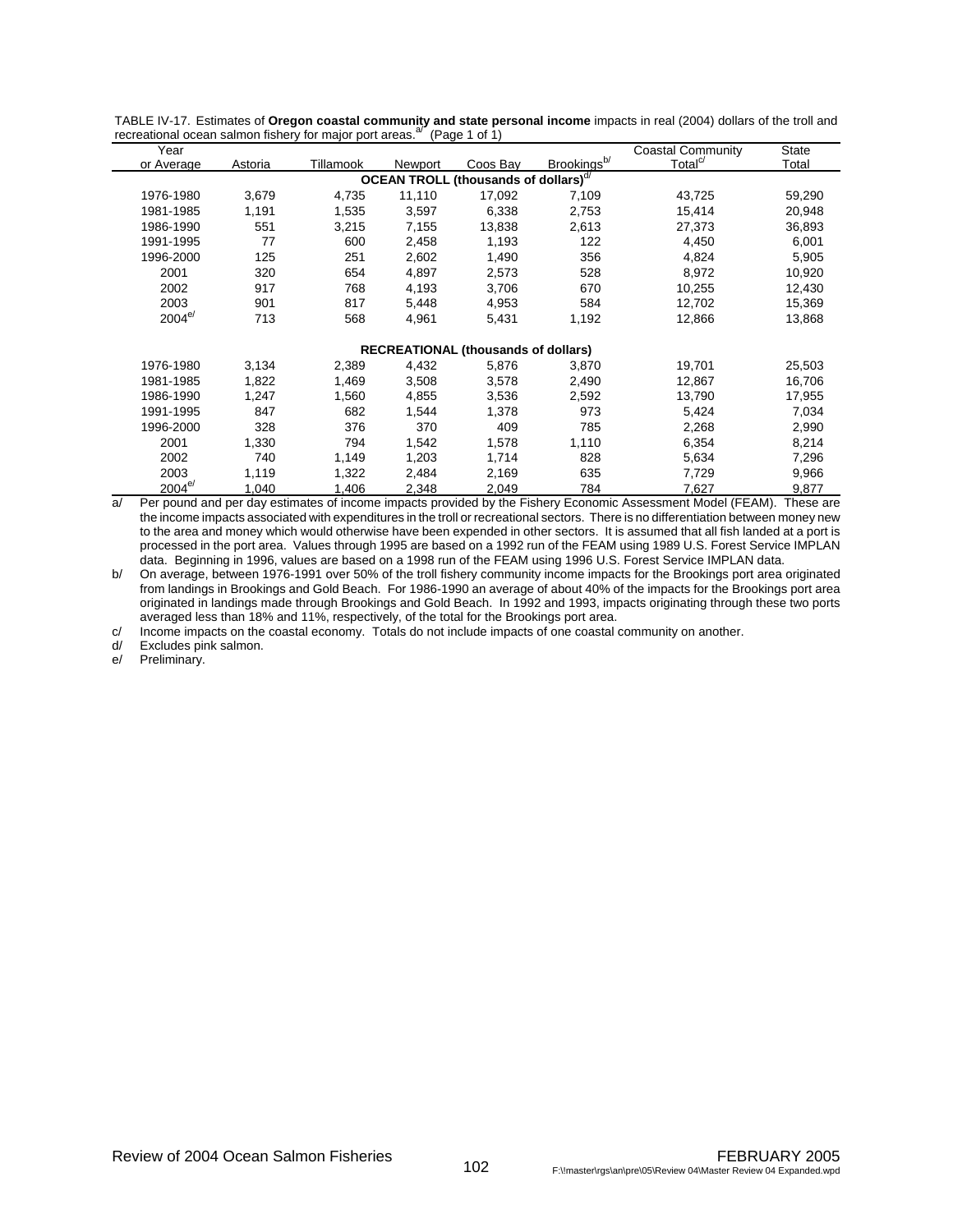| Year                                             |         |           |         |                                            |                         | <b>Coastal Community</b> | <b>State</b> |  |  |  |  |  |  |
|--------------------------------------------------|---------|-----------|---------|--------------------------------------------|-------------------------|--------------------------|--------------|--|--|--|--|--|--|
| or Average                                       | Astoria | Tillamook | Newport | Coos Bay                                   | Brookings <sup>b/</sup> | Total <sup>c/</sup>      | Total        |  |  |  |  |  |  |
| OCEAN TROLL (thousands of dollars) <sup>d/</sup> |         |           |         |                                            |                         |                          |              |  |  |  |  |  |  |
| 1976-1980                                        | 3,679   | 4,735     | 11,110  | 17,092                                     | 7,109                   | 43,725                   | 59,290       |  |  |  |  |  |  |
| 1981-1985                                        | 1,191   | 1,535     | 3,597   | 6,338                                      | 2,753                   | 15,414                   | 20,948       |  |  |  |  |  |  |
| 1986-1990                                        | 551     | 3,215     | 7,155   | 13,838                                     | 2,613                   | 27,373                   | 36,893       |  |  |  |  |  |  |
| 1991-1995                                        | 77      | 600       | 2,458   | 1,193                                      | 122                     | 4,450                    | 6,001        |  |  |  |  |  |  |
| 1996-2000                                        | 125     | 251       | 2,602   | 1,490                                      | 356                     | 4,824                    | 5,905        |  |  |  |  |  |  |
| 2001                                             | 320     | 654       | 4,897   | 2,573                                      | 528                     | 8,972                    | 10,920       |  |  |  |  |  |  |
| 2002                                             | 917     | 768       | 4,193   | 3,706                                      | 670                     | 10,255                   | 12,430       |  |  |  |  |  |  |
| 2003                                             | 901     | 817       | 5,448   | 4,953                                      | 584                     | 12,702                   | 15,369       |  |  |  |  |  |  |
| $2004^{e/}$                                      | 713     | 568       | 4,961   | 5,431                                      | 1,192                   | 12,866                   | 13,868       |  |  |  |  |  |  |
|                                                  |         |           |         |                                            |                         |                          |              |  |  |  |  |  |  |
|                                                  |         |           |         | <b>RECREATIONAL (thousands of dollars)</b> |                         |                          |              |  |  |  |  |  |  |
| 1976-1980                                        | 3,134   | 2,389     | 4,432   | 5,876                                      | 3,870                   | 19,701                   | 25,503       |  |  |  |  |  |  |
| 1981-1985                                        | 1,822   | 1,469     | 3,508   | 3,578                                      | 2,490                   | 12,867                   | 16,706       |  |  |  |  |  |  |
| 1986-1990                                        | 1,247   | 1,560     | 4,855   | 3,536                                      | 2,592                   | 13,790                   | 17,955       |  |  |  |  |  |  |
| 1991-1995                                        | 847     | 682       | 1,544   | 1,378                                      | 973                     | 5,424                    | 7,034        |  |  |  |  |  |  |
| 1996-2000                                        | 328     | 376       | 370     | 409                                        | 785                     | 2,268                    | 2,990        |  |  |  |  |  |  |
| 2001                                             | 1,330   | 794       | 1,542   | 1,578                                      | 1,110                   | 6,354                    | 8,214        |  |  |  |  |  |  |
| 2002                                             | 740     | 1,149     | 1,203   | 1,714                                      | 828                     | 5,634                    | 7,296        |  |  |  |  |  |  |
| 2003                                             | 1,119   | 1,322     | 2,484   | 2,169                                      | 635                     | 7,729                    | 9,966        |  |  |  |  |  |  |
| $2004^{e/}$                                      | 1,040   | 1,406     | 2,348   | 2,049                                      | 784                     | 7,627                    | 9,877        |  |  |  |  |  |  |

TABLE IV-17. Estimates of **Oregon coastal community and state personal income** impacts in real (2004) dollars of the troll and recreational ocean salmon fishery for major port areas. $a^{2}$  (Page 1 of 1)

a/ Per pound and per day estimates of income impacts provided by the Fishery Economic Assessment Model (FEAM). These are the income impacts associated with expenditures in the troll or recreational sectors. There is no differentiation between money new to the area and money which would otherwise have been expended in other sectors. It is assumed that all fish landed at a port is processed in the port area. Values through 1995 are based on a 1992 run of the FEAM using 1989 U.S. Forest Service IMPLAN data. Beginning in 1996, values are based on a 1998 run of the FEAM using 1996 U.S. Forest Service IMPLAN data.

b/ On average, between 1976-1991 over 50% of the troll fishery community income impacts for the Brookings port area originated from landings in Brookings and Gold Beach. For 1986-1990 an average of about 40% of the impacts for the Brookings port area originated in landings made through Brookings and Gold Beach. In 1992 and 1993, impacts originating through these two ports averaged less than 18% and 11%, respectively, of the total for the Brookings port area.

c/ Income impacts on the coastal economy. Totals do not include impacts of one coastal community on another.<br>d/ Excludes pink salmon

Excludes pink salmon.

e/ Preliminary.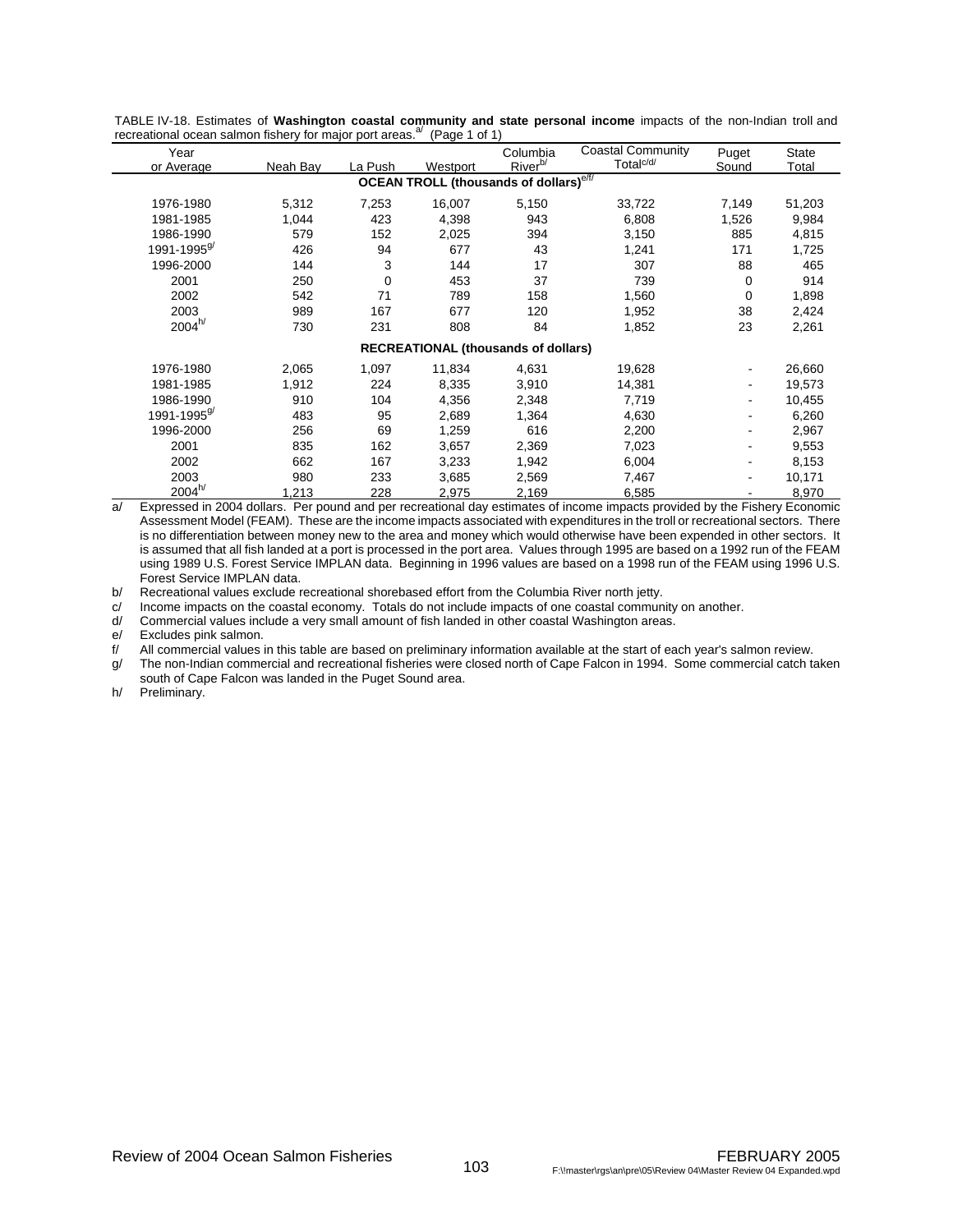| Year                                                      |          |             |          | Columbia                                   | <b>Coastal Community</b> | Puget       | <b>State</b> |  |  |  |  |  |
|-----------------------------------------------------------|----------|-------------|----------|--------------------------------------------|--------------------------|-------------|--------------|--|--|--|--|--|
| or Average                                                | Neah Bay | La Push     | Westport | River <sup>b/</sup>                        | Total <sup>c/d/</sup>    | Sound       | Total        |  |  |  |  |  |
| <b>OCEAN TROLL (thousands of dollars)</b> <sup>e/f/</sup> |          |             |          |                                            |                          |             |              |  |  |  |  |  |
| 1976-1980                                                 | 5,312    | 7,253       | 16,007   | 5,150                                      | 33,722                   | 7,149       | 51,203       |  |  |  |  |  |
| 1981-1985                                                 | 1,044    | 423         | 4,398    | 943                                        | 6,808                    | 1,526       | 9,984        |  |  |  |  |  |
| 1986-1990                                                 | 579      | 152         | 2,025    | 394                                        | 3,150                    | 885         | 4,815        |  |  |  |  |  |
| 1991-1995 <sup>9</sup>                                    | 426      | 94          | 677      | 43                                         | 1,241                    | 171         | 1,725        |  |  |  |  |  |
| 1996-2000                                                 | 144      | 3           | 144      | 17                                         | 307                      | 88          | 465          |  |  |  |  |  |
| 2001                                                      | 250      | $\mathbf 0$ | 453      | 37                                         | 739                      | $\mathbf 0$ | 914          |  |  |  |  |  |
| 2002                                                      | 542      | 71          | 789      | 158                                        | 1,560                    | $\mathbf 0$ | 1,898        |  |  |  |  |  |
| 2003                                                      | 989      | 167         | 677      | 120                                        | 1,952                    | 38          | 2,424        |  |  |  |  |  |
| $2004^{h/}$                                               | 730      | 231         | 808      | 84                                         | 1,852                    | 23          | 2,261        |  |  |  |  |  |
|                                                           |          |             |          | <b>RECREATIONAL (thousands of dollars)</b> |                          |             |              |  |  |  |  |  |
| 1976-1980                                                 | 2,065    | 1,097       | 11,834   | 4,631                                      | 19,628                   |             | 26,660       |  |  |  |  |  |
| 1981-1985                                                 | 1,912    | 224         | 8,335    | 3,910                                      | 14,381                   |             | 19,573       |  |  |  |  |  |
| 1986-1990                                                 | 910      | 104         | 4,356    | 2,348                                      | 7,719                    |             | 10,455       |  |  |  |  |  |
| 1991-1995 <sup>9</sup>                                    | 483      | 95          | 2,689    | 1,364                                      | 4,630                    |             | 6,260        |  |  |  |  |  |
| 1996-2000                                                 | 256      | 69          | 1,259    | 616                                        | 2,200                    |             | 2,967        |  |  |  |  |  |
| 2001                                                      | 835      | 162         | 3,657    | 2,369                                      | 7,023                    |             | 9,553        |  |  |  |  |  |
| 2002                                                      | 662      | 167         | 3,233    | 1,942                                      | 6,004                    |             | 8,153        |  |  |  |  |  |
| 2003                                                      | 980      | 233         | 3,685    | 2,569                                      | 7,467                    |             | 10,171       |  |  |  |  |  |
| $2004^{h/}$                                               | 1,213    | 228         | 2,975    | 2,169                                      | 6,585                    |             | 8,970        |  |  |  |  |  |

TABLE IV-18. Estimates of **Washington coastal community and state personal income** impacts of the non-Indian troll and recreational ocean salmon fishery for major port areas. $a^{(1)}$  (Page 1 of 1)

a/ Expressed in 2004 dollars. Per pound and per recreational day estimates of income impacts provided by the Fishery Economic Assessment Model (FEAM). These are the income impacts associated with expenditures in the troll or recreational sectors. There is no differentiation between money new to the area and money which would otherwise have been expended in other sectors. It is assumed that all fish landed at a port is processed in the port area. Values through 1995 are based on a 1992 run of the FEAM using 1989 U.S. Forest Service IMPLAN data. Beginning in 1996 values are based on a 1998 run of the FEAM using 1996 U.S. Forest Service IMPLAN data.

b/ Recreational values exclude recreational shorebased effort from the Columbia River north jetty.

c/ Income impacts on the coastal economy. Totals do not include impacts of one coastal community on another.

d/ Commercial values include a very small amount of fish landed in other coastal Washington areas.

e/ Excludes pink salmon.<br>f/ All commercial values in

All commercial values in this table are based on preliminary information available at the start of each year's salmon review.

g/ The non-Indian commercial and recreational fisheries were closed north of Cape Falcon in 1994. Some commercial catch taken south of Cape Falcon was landed in the Puget Sound area.

h/ Preliminary.